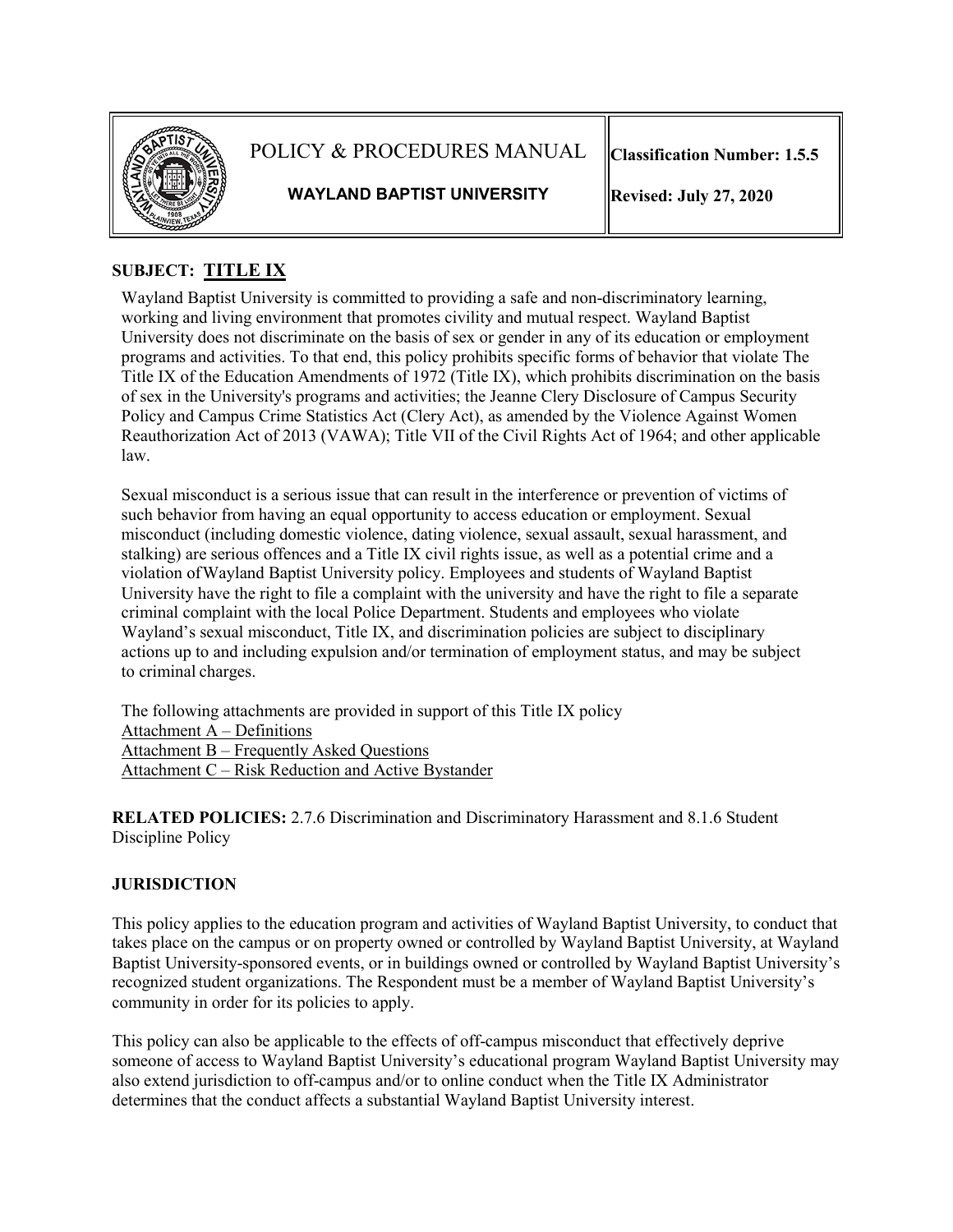

POLICY & PROCEDURES MANUAL

**Classification Number: 1.5.5**

**WAYLAND BAPTIST UNIVERSITY**

**Revised: July 27, 2020**

# **SUBJECT: TITLE IX**

Wayland Baptist University is committed to providing a safe and non-discriminatory learning, working and living environment that promotes civility and mutual respect. Wayland Baptist University does not discriminate on the basis of sex or gender in any of its education or employment programs and activities. To that end, this policy prohibits specific forms of behavior that violate The Title IX of the Education Amendments of 1972 (Title IX), which prohibits discrimination on the basis of sex in the University's programs and activities; the Jeanne Clery Disclosure of Campus Security Policy and Campus Crime Statistics Act (Clery Act), as amended by the Violence Against Women Reauthorization Act of 2013 (VAWA); Title VII of the Civil Rights Act of 1964; and other applicable law.

Sexual misconduct is a serious issue that can result in the interference or prevention of victims of such behavior from having an equal opportunity to access education or employment. Sexual misconduct (including domestic violence, dating violence, sexual assault, sexual harassment, and stalking) are serious offences and a Title IX civil rights issue, as well as a potential crime and a violation ofWayland Baptist University policy. Employees and students of Wayland Baptist University have the right to file a complaint with the university and have the right to file a separate criminal complaint with the local Police Department. Students and employees who violate Wayland's sexual misconduct, Title IX, and discrimination policies are subject to disciplinary actions up to and including expulsion and/or termination of employment status, and may be subject to criminal charges.

The following attachments are provided in support of this Title IX policy Attachment A – Definitions Attachment B – Frequently Asked Questions Attachment C – Risk Reduction and Active Bystander

**RELATED POLICIES:** 2.7.6 Discrimination and Discriminatory Harassment and 8.1.6 Student Discipline Policy

## **JURISDICTION**

This policy applies to the education program and activities of Wayland Baptist University, to conduct that takes place on the campus or on property owned or controlled by Wayland Baptist University, at Wayland Baptist University-sponsored events, or in buildings owned or controlled by Wayland Baptist University's recognized student organizations. The Respondent must be a member of Wayland Baptist University's community in order for its policies to apply.

This policy can also be applicable to the effects of off-campus misconduct that effectively deprive someone of access to Wayland Baptist University's educational program Wayland Baptist University may also extend jurisdiction to off-campus and/or to online conduct when the Title IX Administrator determines that the conduct affects a substantial Wayland Baptist University interest.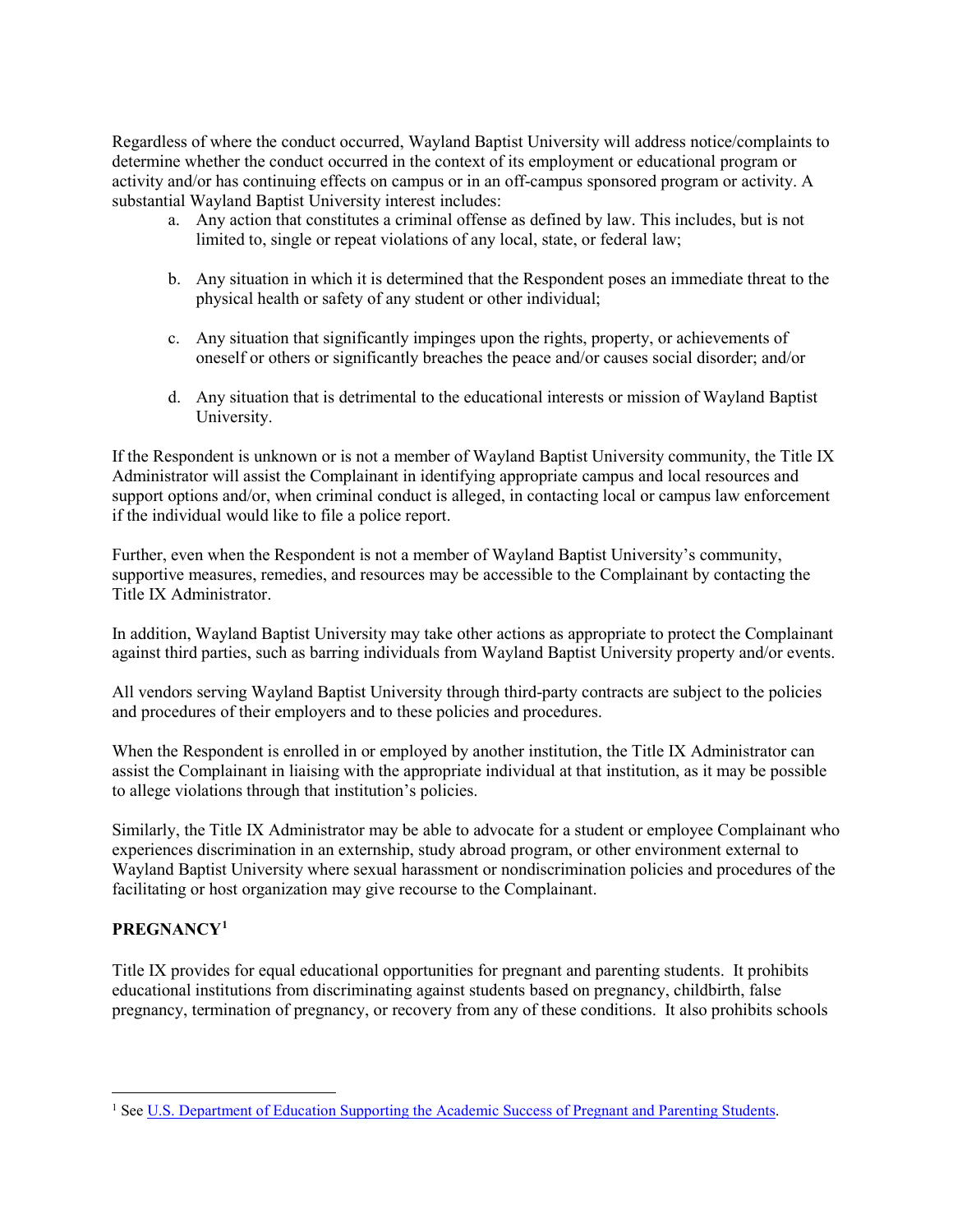Regardless of where the conduct occurred, Wayland Baptist University will address notice/complaints to determine whether the conduct occurred in the context of its employment or educational program or activity and/or has continuing effects on campus or in an off-campus sponsored program or activity. A substantial Wayland Baptist University interest includes:

- a. Any action that constitutes a criminal offense as defined by law. This includes, but is not limited to, single or repeat violations of any local, state, or federal law;
- b. Any situation in which it is determined that the Respondent poses an immediate threat to the physical health or safety of any student or other individual;
- c. Any situation that significantly impinges upon the rights, property, or achievements of oneself or others or significantly breaches the peace and/or causes social disorder; and/or
- d. Any situation that is detrimental to the educational interests or mission of Wayland Baptist University.

If the Respondent is unknown or is not a member of Wayland Baptist University community, the Title IX Administrator will assist the Complainant in identifying appropriate campus and local resources and support options and/or, when criminal conduct is alleged, in contacting local or campus law enforcement if the individual would like to file a police report.

Further, even when the Respondent is not a member of Wayland Baptist University's community, supportive measures, remedies, and resources may be accessible to the Complainant by contacting the Title IX Administrator.

In addition, Wayland Baptist University may take other actions as appropriate to protect the Complainant against third parties, such as barring individuals from Wayland Baptist University property and/or events.

All vendors serving Wayland Baptist University through third-party contracts are subject to the policies and procedures of their employers and to these policies and procedures.

When the Respondent is enrolled in or employed by another institution, the Title IX Administrator can assist the Complainant in liaising with the appropriate individual at that institution, as it may be possible to allege violations through that institution's policies.

Similarly, the Title IX Administrator may be able to advocate for a student or employee Complainant who experiences discrimination in an externship, study abroad program, or other environment external to Wayland Baptist University where sexual harassment or nondiscrimination policies and procedures of the facilitating or host organization may give recourse to the Complainant.

### **PREGNANCY[1](#page-1-0)**

Title IX provides for equal educational opportunities for pregnant and parenting students. It prohibits educational institutions from discriminating against students based on pregnancy, childbirth, false pregnancy, termination of pregnancy, or recovery from any of these conditions. It also prohibits schools

<span id="page-1-0"></span><sup>&</sup>lt;sup>1</sup> See U.S. Department of Education Supporting the Academic Success of Pregnant and Parenting Students.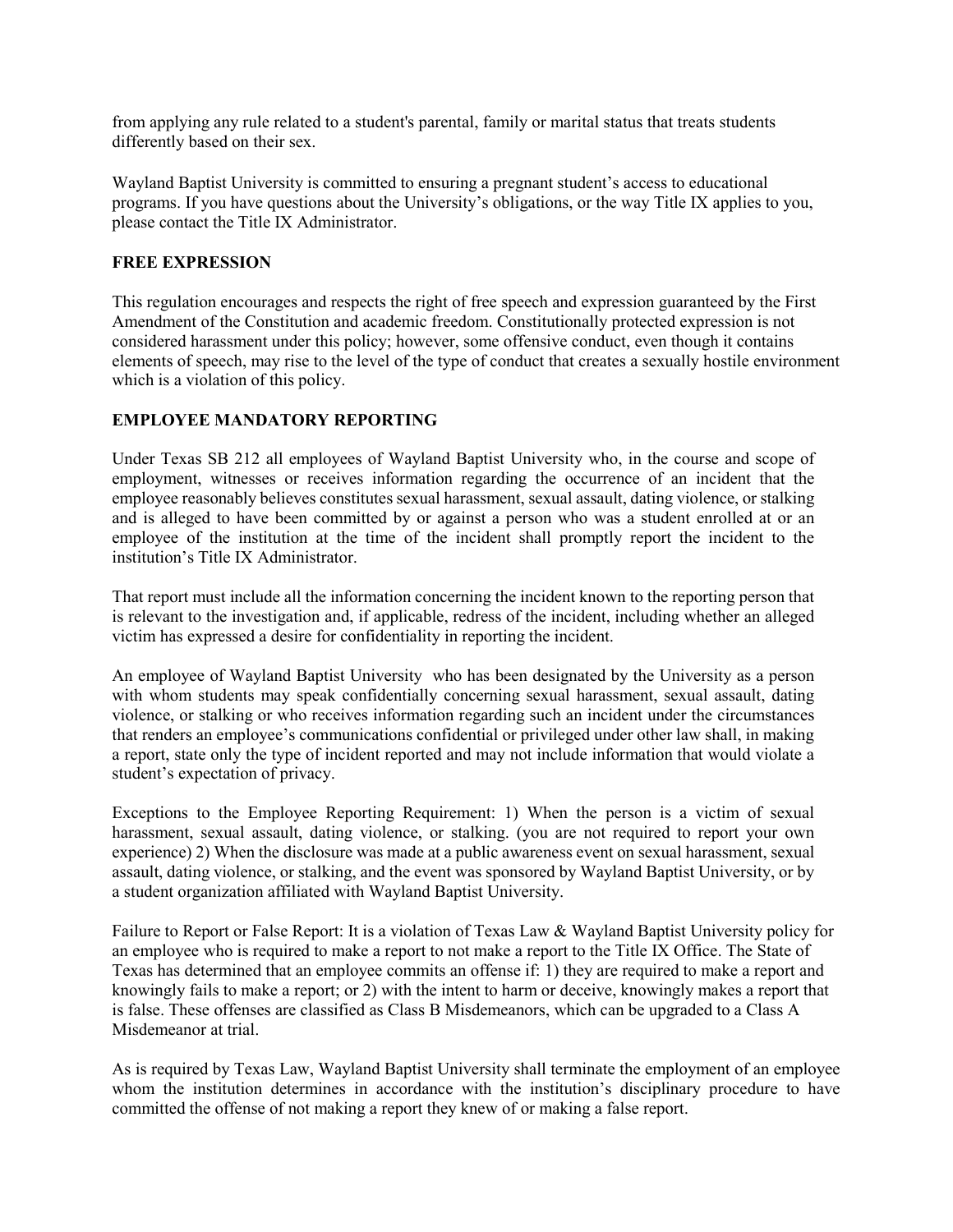from applying any rule related to a student's parental, family or marital status that treats students differently based on their sex.

Wayland Baptist University is committed to ensuring a pregnant student's access to educational programs. If you have questions about the University's obligations, or the way Title IX applies to you, please contact the Title IX Administrator.

#### **FREE EXPRESSION**

This regulation encourages and respects the right of free speech and expression guaranteed by the First Amendment of the Constitution and academic freedom. Constitutionally protected expression is not considered harassment under this policy; however, some offensive conduct, even though it contains elements of speech, may rise to the level of the type of conduct that creates a sexually hostile environment which is a violation of this policy.

### **EMPLOYEE MANDATORY REPORTING**

Under Texas SB 212 all employees of Wayland Baptist University who, in the course and scope of employment, witnesses or receives information regarding the occurrence of an incident that the employee reasonably believes constitutes sexual harassment, sexual assault, dating violence, or stalking and is alleged to have been committed by or against a person who was a student enrolled at or an employee of the institution at the time of the incident shall promptly report the incident to the institution's Title IX Administrator.

That report must include all the information concerning the incident known to the reporting person that is relevant to the investigation and, if applicable, redress of the incident, including whether an alleged victim has expressed a desire for confidentiality in reporting the incident.

An employee of Wayland Baptist University who has been designated by the University as a person with whom students may speak confidentially concerning sexual harassment, sexual assault, dating violence, or stalking or who receives information regarding such an incident under the circumstances that renders an employee's communications confidential or privileged under other law shall, in making a report, state only the type of incident reported and may not include information that would violate a student's expectation of privacy.

Exceptions to the Employee Reporting Requirement: 1) When the person is a victim of sexual harassment, sexual assault, dating violence, or stalking. (you are not required to report your own experience) 2) When the disclosure was made at a public awareness event on sexual harassment, sexual assault, dating violence, or stalking, and the event was sponsored by Wayland Baptist University, or by a student organization affiliated with Wayland Baptist University.

Failure to Report or False Report: It is a violation of Texas Law & Wayland Baptist University policy for an employee who is required to make a report to not make a report to the Title IX Office. The State of Texas has determined that an employee commits an offense if: 1) they are required to make a report and knowingly fails to make a report; or 2) with the intent to harm or deceive, knowingly makes a report that is false. These offenses are classified as Class B Misdemeanors, which can be upgraded to a Class A Misdemeanor at trial.

As is required by Texas Law, Wayland Baptist University shall terminate the employment of an employee whom the institution determines in accordance with the institution's disciplinary procedure to have committed the offense of not making a report they knew of or making a false report.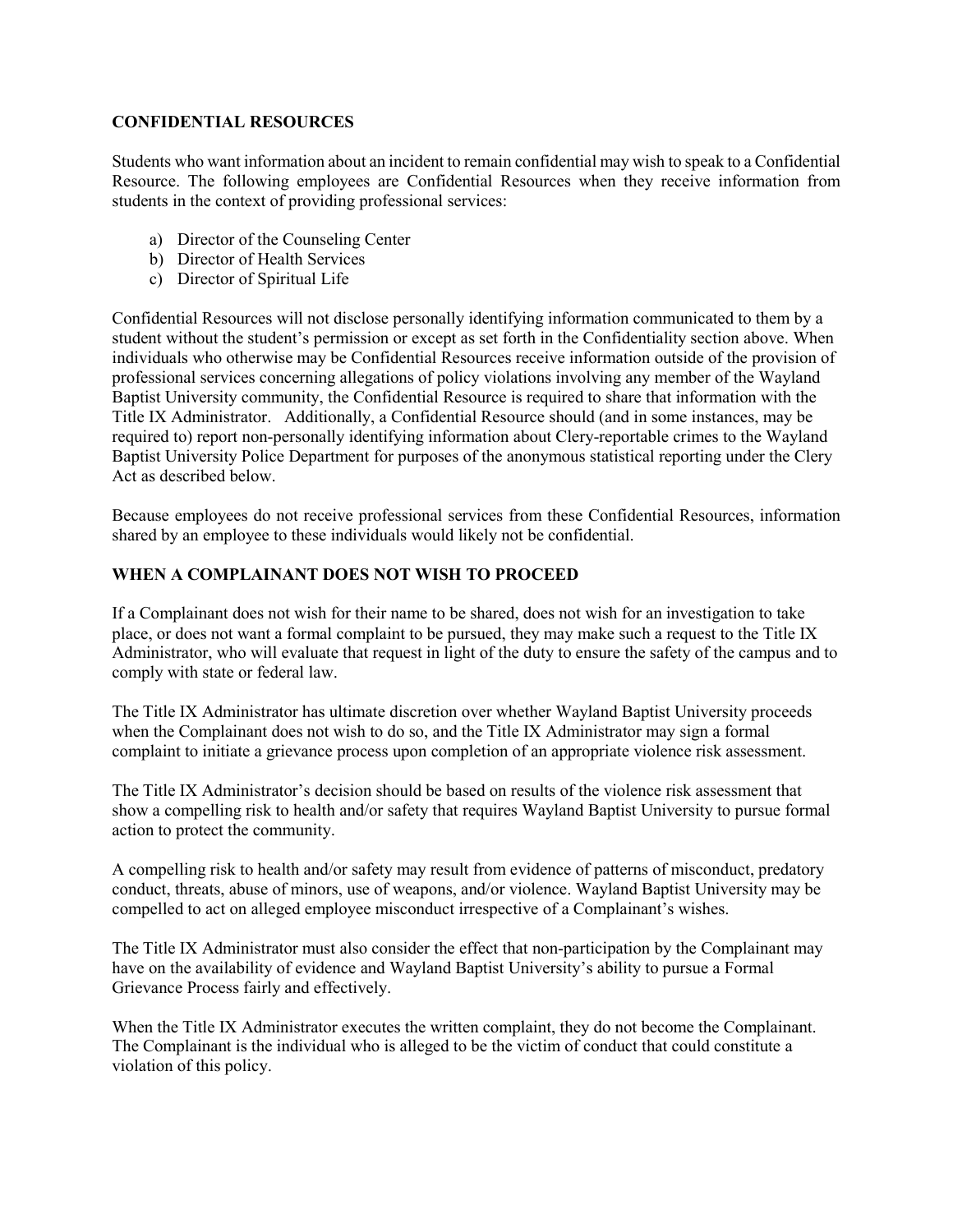#### **CONFIDENTIAL RESOURCES**

Students who want information about an incident to remain confidential may wish to speak to a Confidential Resource. The following employees are Confidential Resources when they receive information from students in the context of providing professional services:

- a) Director of the Counseling Center
- b) Director of Health Services
- c) Director of Spiritual Life

Confidential Resources will not disclose personally identifying information communicated to them by a student without the student's permission or except as set forth in the Confidentiality section above. When individuals who otherwise may be Confidential Resources receive information outside of the provision of professional services concerning allegations of policy violations involving any member of the Wayland Baptist University community, the Confidential Resource is required to share that information with the Title IX Administrator. Additionally, a Confidential Resource should (and in some instances, may be required to) report non-personally identifying information about Clery-reportable crimes to the Wayland Baptist University Police Department for purposes of the anonymous statistical reporting under the Clery Act as described below.

Because employees do not receive professional services from these Confidential Resources, information shared by an employee to these individuals would likely not be confidential.

### **WHEN A COMPLAINANT DOES NOT WISH TO PROCEED**

If a Complainant does not wish for their name to be shared, does not wish for an investigation to take place, or does not want a formal complaint to be pursued, they may make such a request to the Title IX Administrator, who will evaluate that request in light of the duty to ensure the safety of the campus and to comply with state or federal law.

The Title IX Administrator has ultimate discretion over whether Wayland Baptist University proceeds when the Complainant does not wish to do so, and the Title IX Administrator may sign a formal complaint to initiate a grievance process upon completion of an appropriate violence risk assessment.

The Title IX Administrator's decision should be based on results of the violence risk assessment that show a compelling risk to health and/or safety that requires Wayland Baptist University to pursue formal action to protect the community.

A compelling risk to health and/or safety may result from evidence of patterns of misconduct, predatory conduct, threats, abuse of minors, use of weapons, and/or violence. Wayland Baptist University may be compelled to act on alleged employee misconduct irrespective of a Complainant's wishes.

The Title IX Administrator must also consider the effect that non-participation by the Complainant may have on the availability of evidence and Wayland Baptist University's ability to pursue a Formal Grievance Process fairly and effectively.

When the Title IX Administrator executes the written complaint, they do not become the Complainant. The Complainant is the individual who is alleged to be the victim of conduct that could constitute a violation of this policy.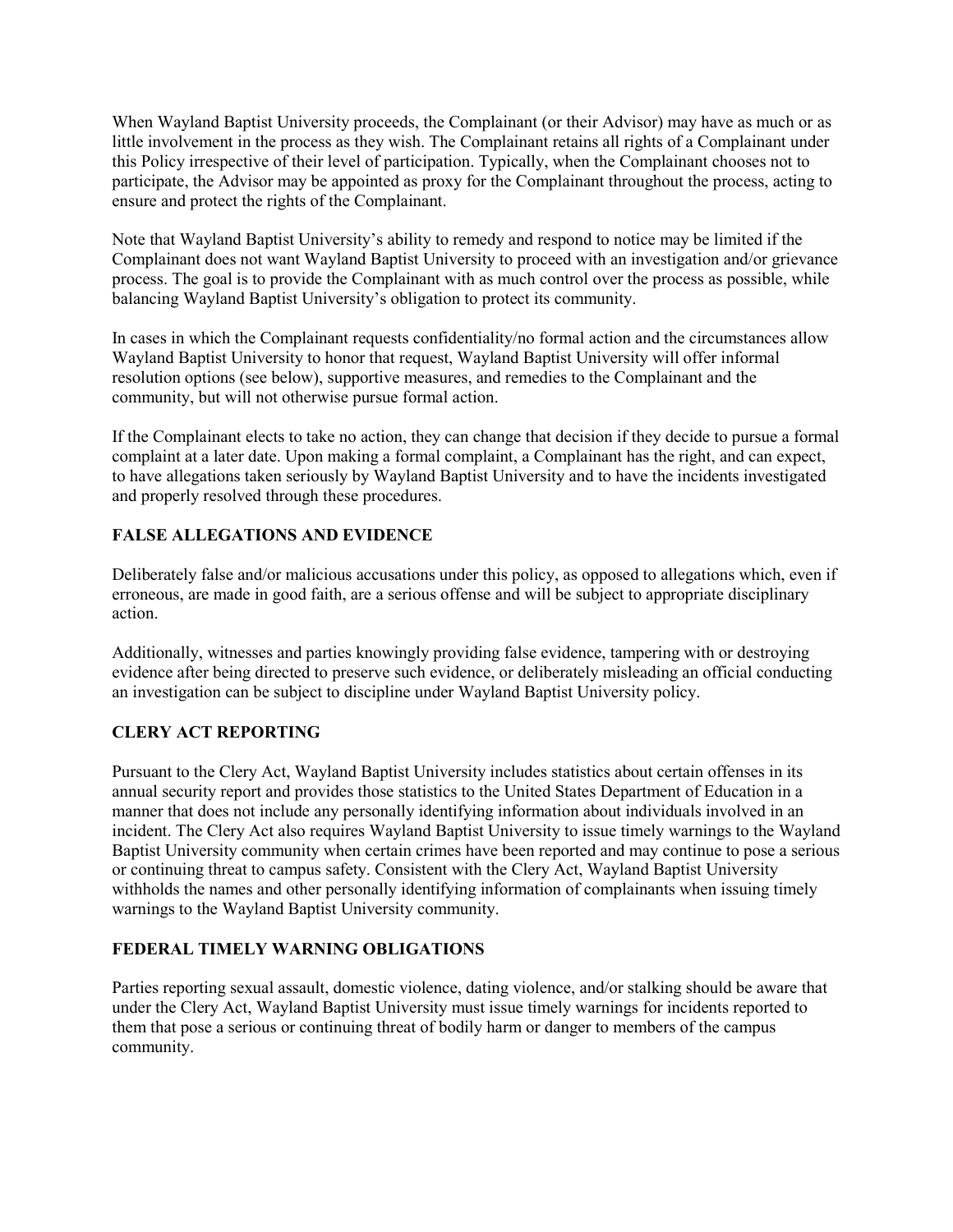When Wayland Baptist University proceeds, the Complainant (or their Advisor) may have as much or as little involvement in the process as they wish. The Complainant retains all rights of a Complainant under this Policy irrespective of their level of participation. Typically, when the Complainant chooses not to participate, the Advisor may be appointed as proxy for the Complainant throughout the process, acting to ensure and protect the rights of the Complainant.

Note that Wayland Baptist University's ability to remedy and respond to notice may be limited if the Complainant does not want Wayland Baptist University to proceed with an investigation and/or grievance process. The goal is to provide the Complainant with as much control over the process as possible, while balancing Wayland Baptist University's obligation to protect its community.

In cases in which the Complainant requests confidentiality/no formal action and the circumstances allow Wayland Baptist University to honor that request, Wayland Baptist University will offer informal resolution options (see below), supportive measures, and remedies to the Complainant and the community, but will not otherwise pursue formal action.

If the Complainant elects to take no action, they can change that decision if they decide to pursue a formal complaint at a later date. Upon making a formal complaint, a Complainant has the right, and can expect, to have allegations taken seriously by Wayland Baptist University and to have the incidents investigated and properly resolved through these procedures.

### **FALSE ALLEGATIONS AND EVIDENCE**

Deliberately false and/or malicious accusations under this policy, as opposed to allegations which, even if erroneous, are made in good faith, are a serious offense and will be subject to appropriate disciplinary action.

Additionally, witnesses and parties knowingly providing false evidence, tampering with or destroying evidence after being directed to preserve such evidence, or deliberately misleading an official conducting an investigation can be subject to discipline under Wayland Baptist University policy.

## **CLERY ACT REPORTING**

Pursuant to the Clery Act, Wayland Baptist University includes statistics about certain offenses in its annual security report and provides those statistics to the United States Department of Education in a manner that does not include any personally identifying information about individuals involved in an incident. The Clery Act also requires Wayland Baptist University to issue timely warnings to the Wayland Baptist University community when certain crimes have been reported and may continue to pose a serious or continuing threat to campus safety. Consistent with the Clery Act, Wayland Baptist University withholds the names and other personally identifying information of complainants when issuing timely warnings to the Wayland Baptist University community.

### **FEDERAL TIMELY WARNING OBLIGATIONS**

Parties reporting sexual assault, domestic violence, dating violence, and/or stalking should be aware that under the Clery Act, Wayland Baptist University must issue timely warnings for incidents reported to them that pose a serious or continuing threat of bodily harm or danger to members of the campus community.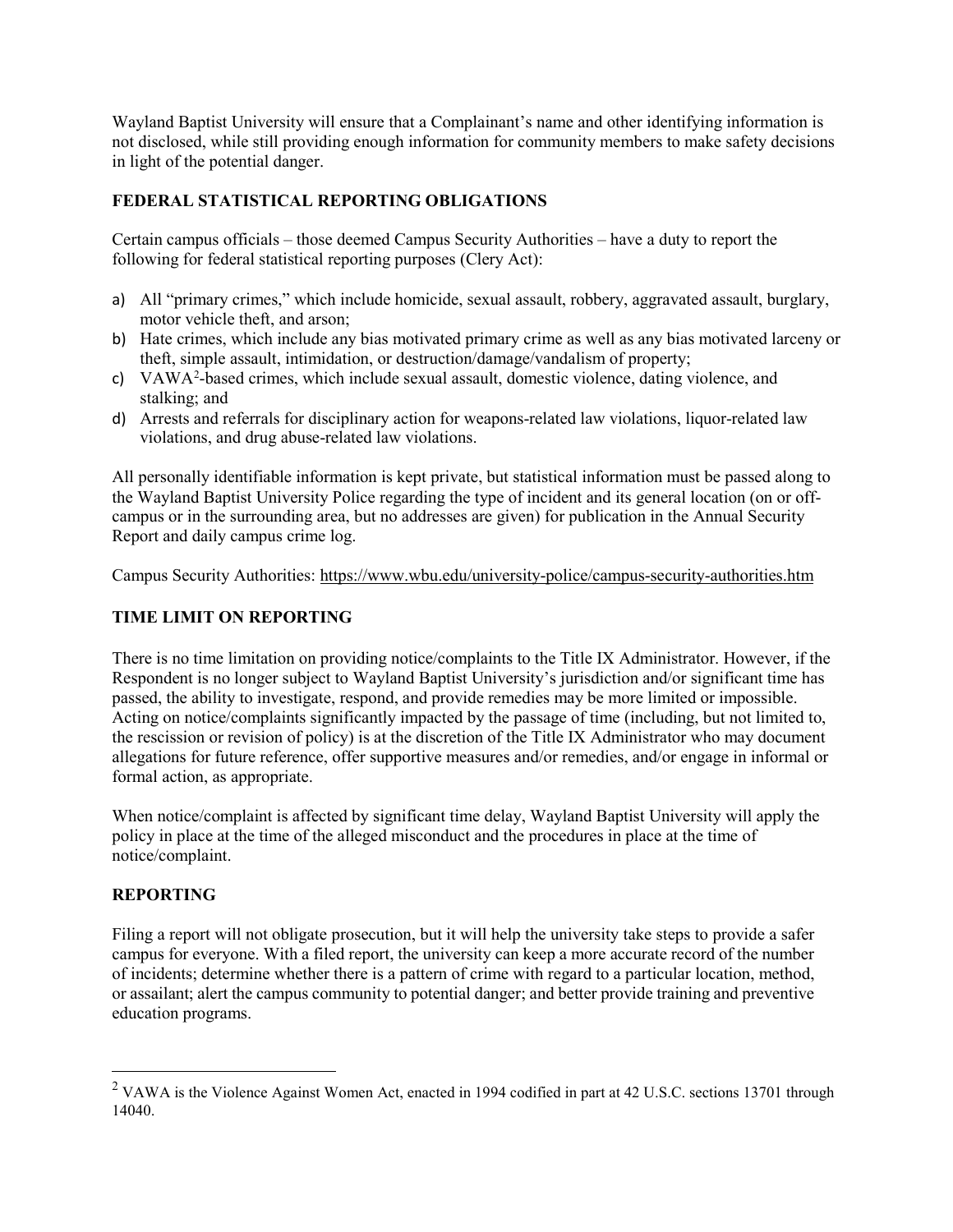Wayland Baptist University will ensure that a Complainant's name and other identifying information is not disclosed, while still providing enough information for community members to make safety decisions in light of the potential danger.

### **FEDERAL STATISTICAL REPORTING OBLIGATIONS**

Certain campus officials – those deemed Campus Security Authorities – have a duty to report the following for federal statistical reporting purposes (Clery Act):

- a) All "primary crimes," which include homicide, sexual assault, robbery, aggravated assault, burglary, motor vehicle theft, and arson;
- b) Hate crimes, which include any bias motivated primary crime as well as any bias motivated larceny or theft, simple assault, intimidation, or destruction/damage/vandalism of property;
- c) VAWA[2](#page-5-0) -based crimes, which include sexual assault, domestic violence, dating violence, and stalking; and
- d) Arrests and referrals for disciplinary action for weapons-related law violations, liquor-related law violations, and drug abuse-related law violations.

All personally identifiable information is kept private, but statistical information must be passed along to the Wayland Baptist University Police regarding the type of incident and its general location (on or offcampus or in the surrounding area, but no addresses are given) for publication in the Annual Security Report and daily campus crime log.

Campus Security Authorities:<https://www.wbu.edu/university-police/campus-security-authorities.htm>

#### **TIME LIMIT ON REPORTING**

There is no time limitation on providing notice/complaints to the Title IX Administrator. However, if the Respondent is no longer subject to Wayland Baptist University's jurisdiction and/or significant time has passed, the ability to investigate, respond, and provide remedies may be more limited or impossible. Acting on notice/complaints significantly impacted by the passage of time (including, but not limited to, the rescission or revision of policy) is at the discretion of the Title IX Administrator who may document allegations for future reference, offer supportive measures and/or remedies, and/or engage in informal or formal action, as appropriate.

When notice/complaint is affected by significant time delay, Wayland Baptist University will apply the policy in place at the time of the alleged misconduct and the procedures in place at the time of notice/complaint.

#### **REPORTING**

Filing a report will not obligate prosecution, but it will help the university take steps to provide a safer campus for everyone. With a filed report, the university can keep a more accurate record of the number of incidents; determine whether there is a pattern of crime with regard to a particular location, method, or assailant; alert the campus community to potential danger; and better provide training and preventive education programs.

<span id="page-5-0"></span><sup>&</sup>lt;sup>2</sup> VAWA is the Violence Against Women Act, enacted in 1994 codified in part at 42 U.S.C. sections 13701 through 14040.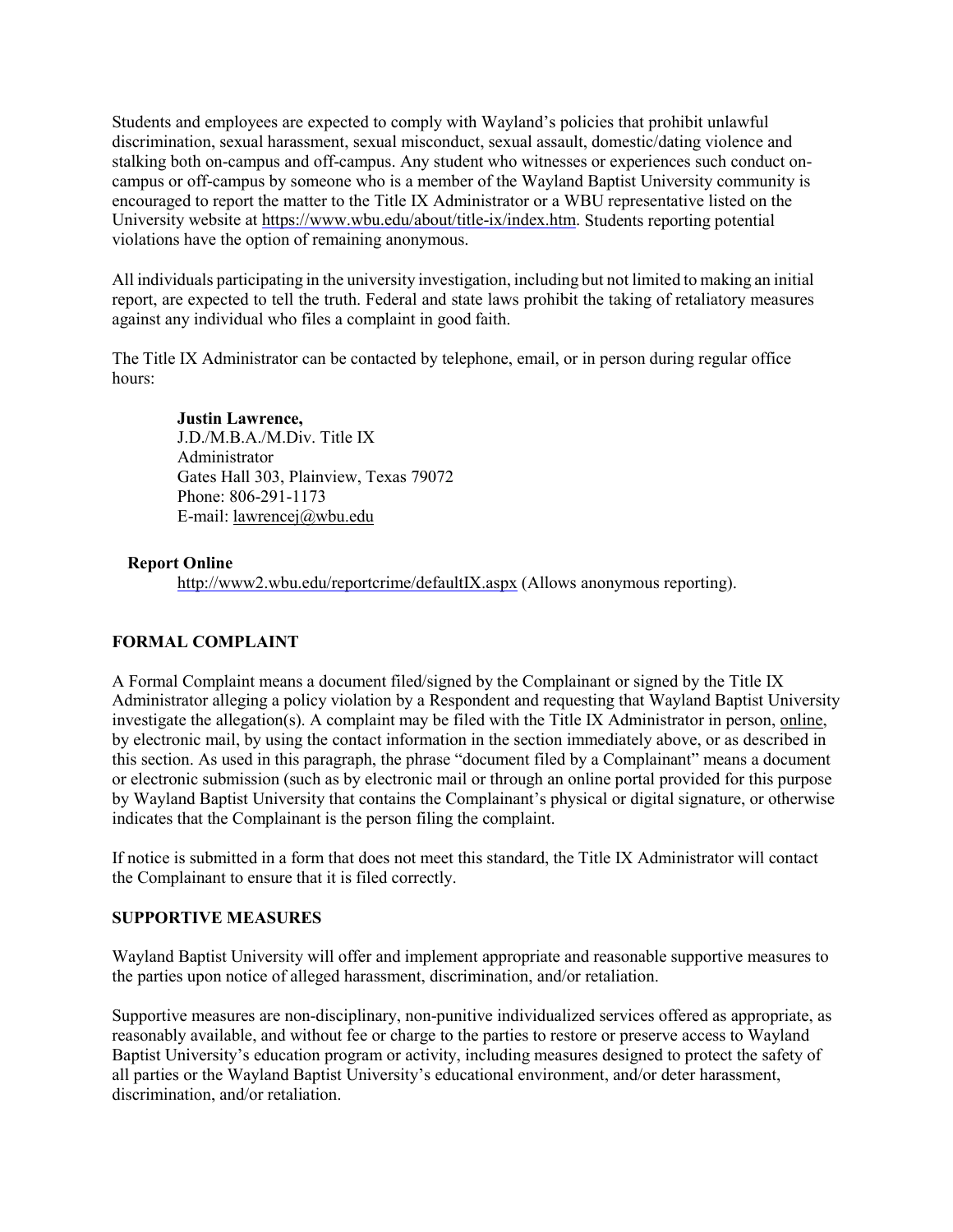Students and employees are expected to comply with Wayland's policies that prohibit unlawful discrimination, sexual harassment, sexual misconduct, sexual assault, domestic/dating violence and stalking both on-campus and off-campus. Any student who witnesses or experiences such conduct oncampus or off-campus by someone who is a member of the Wayland Baptist University community is encouraged to report the matter to the Title IX Administrator or a WBU representative listed on the University website at [https://www.wbu.edu/about/title-ix/index.htm.](https://www.wbu.edu/about/title-ix/index.htm) Students reporting potential violations have the option of remaining anonymous.

All individuals participating in the university investigation, including but not limited to making an initial report, are expected to tell the truth. Federal and state laws prohibit the taking of retaliatory measures against any individual who files a complaint in good faith.

The Title IX Administrator can be contacted by telephone, email, or in person during regular office hours:

#### **Justin Lawrence,**

J.D./M.B.A./M.Div. Title IX Administrator Gates Hall 303, Plainview, Texas 79072 Phone: 806-291-1173 E-mail[: lawrencej@wbu.edu](mailto:lawrencej@wbu.edu)

#### **Report Online**

<http://www2.wbu.edu/reportcrime/defaultIX.aspx> (Allows anonymous reporting).

#### **FORMAL COMPLAINT**

A Formal Complaint means a document filed/signed by the Complainant or signed by the Title IX Administrator alleging a policy violation by a Respondent and requesting that Wayland Baptist University investigate the allegation(s). A complaint may be filed with the Title IX Administrator in person, [online,](http://www2.wbu.edu/reportcrime/defaultIX.aspx) by electronic mail, by using the contact information in the section immediately above, or as described in this section. As used in this paragraph, the phrase "document filed by a Complainant" means a document or electronic submission (such as by electronic mail or through an online portal provided for this purpose by Wayland Baptist University that contains the Complainant's physical or digital signature, or otherwise indicates that the Complainant is the person filing the complaint.

If notice is submitted in a form that does not meet this standard, the Title IX Administrator will contact the Complainant to ensure that it is filed correctly.

#### **SUPPORTIVE MEASURES**

Wayland Baptist University will offer and implement appropriate and reasonable supportive measures to the parties upon notice of alleged harassment, discrimination, and/or retaliation.

Supportive measures are non-disciplinary, non-punitive individualized services offered as appropriate, as reasonably available, and without fee or charge to the parties to restore or preserve access to Wayland Baptist University's education program or activity, including measures designed to protect the safety of all parties or the Wayland Baptist University's educational environment, and/or deter harassment, discrimination, and/or retaliation.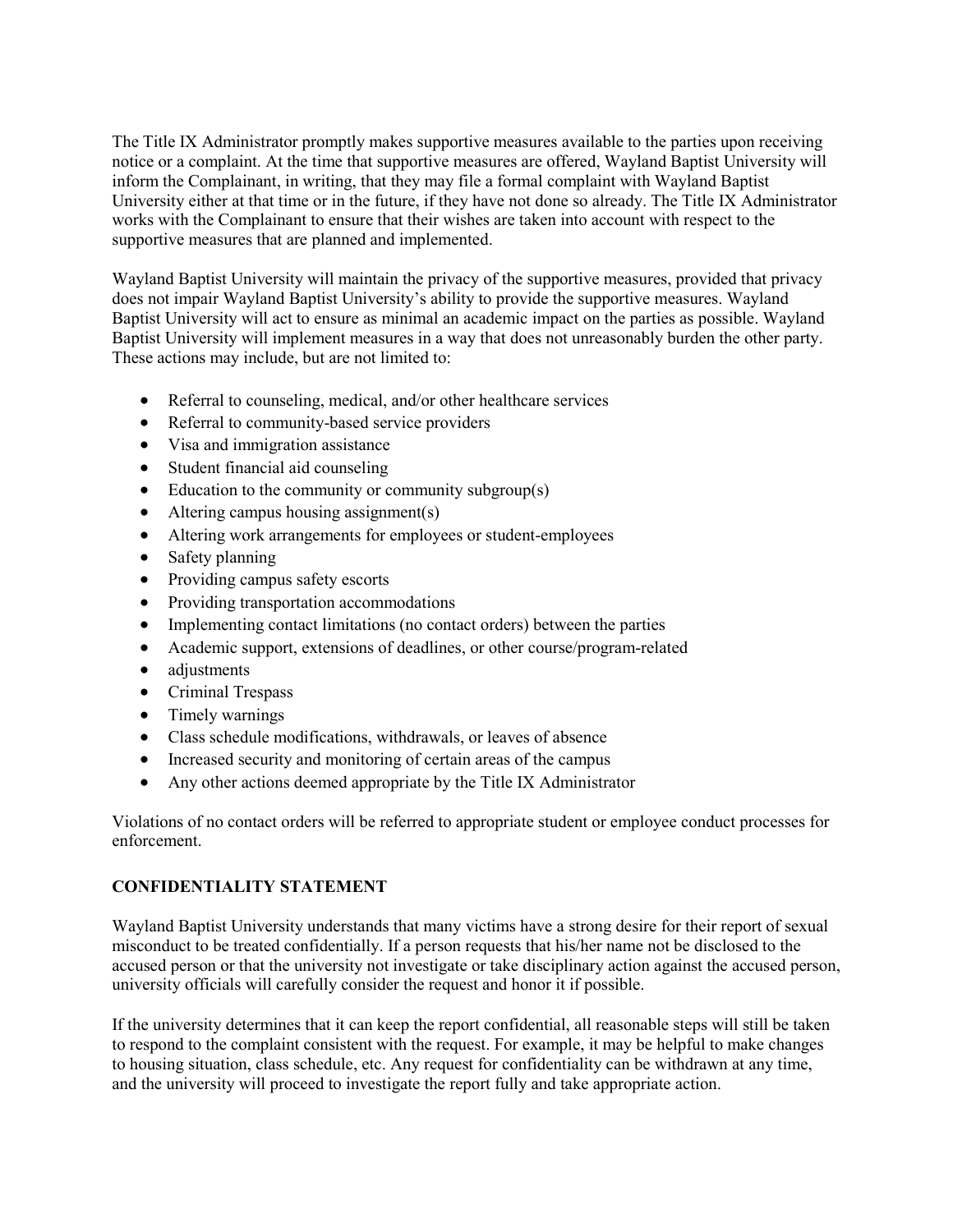The Title IX Administrator promptly makes supportive measures available to the parties upon receiving notice or a complaint. At the time that supportive measures are offered, Wayland Baptist University will inform the Complainant, in writing, that they may file a formal complaint with Wayland Baptist University either at that time or in the future, if they have not done so already. The Title IX Administrator works with the Complainant to ensure that their wishes are taken into account with respect to the supportive measures that are planned and implemented.

Wayland Baptist University will maintain the privacy of the supportive measures, provided that privacy does not impair Wayland Baptist University's ability to provide the supportive measures. Wayland Baptist University will act to ensure as minimal an academic impact on the parties as possible. Wayland Baptist University will implement measures in a way that does not unreasonably burden the other party. These actions may include, but are not limited to:

- Referral to counseling, medical, and/or other healthcare services
- Referral to community-based service providers
- Visa and immigration assistance
- Student financial aid counseling
- Education to the community or community subgroup(s)
- Altering campus housing assignment(s)
- Altering work arrangements for employees or student-employees
- Safety planning
- Providing campus safety escorts
- Providing transportation accommodations
- Implementing contact limitations (no contact orders) between the parties
- Academic support, extensions of deadlines, or other course/program-related
- adjustments
- Criminal Trespass
- Timely warnings
- Class schedule modifications, withdrawals, or leaves of absence
- Increased security and monitoring of certain areas of the campus
- Any other actions deemed appropriate by the Title IX Administrator

Violations of no contact orders will be referred to appropriate student or employee conduct processes for enforcement.

#### **CONFIDENTIALITY STATEMENT**

Wayland Baptist University understands that many victims have a strong desire for their report of sexual misconduct to be treated confidentially. If a person requests that his/her name not be disclosed to the accused person or that the university not investigate or take disciplinary action against the accused person, university officials will carefully consider the request and honor it if possible.

If the university determines that it can keep the report confidential, all reasonable steps will still be taken to respond to the complaint consistent with the request. For example, it may be helpful to make changes to housing situation, class schedule, etc. Any request for confidentiality can be withdrawn at any time, and the university will proceed to investigate the report fully and take appropriate action.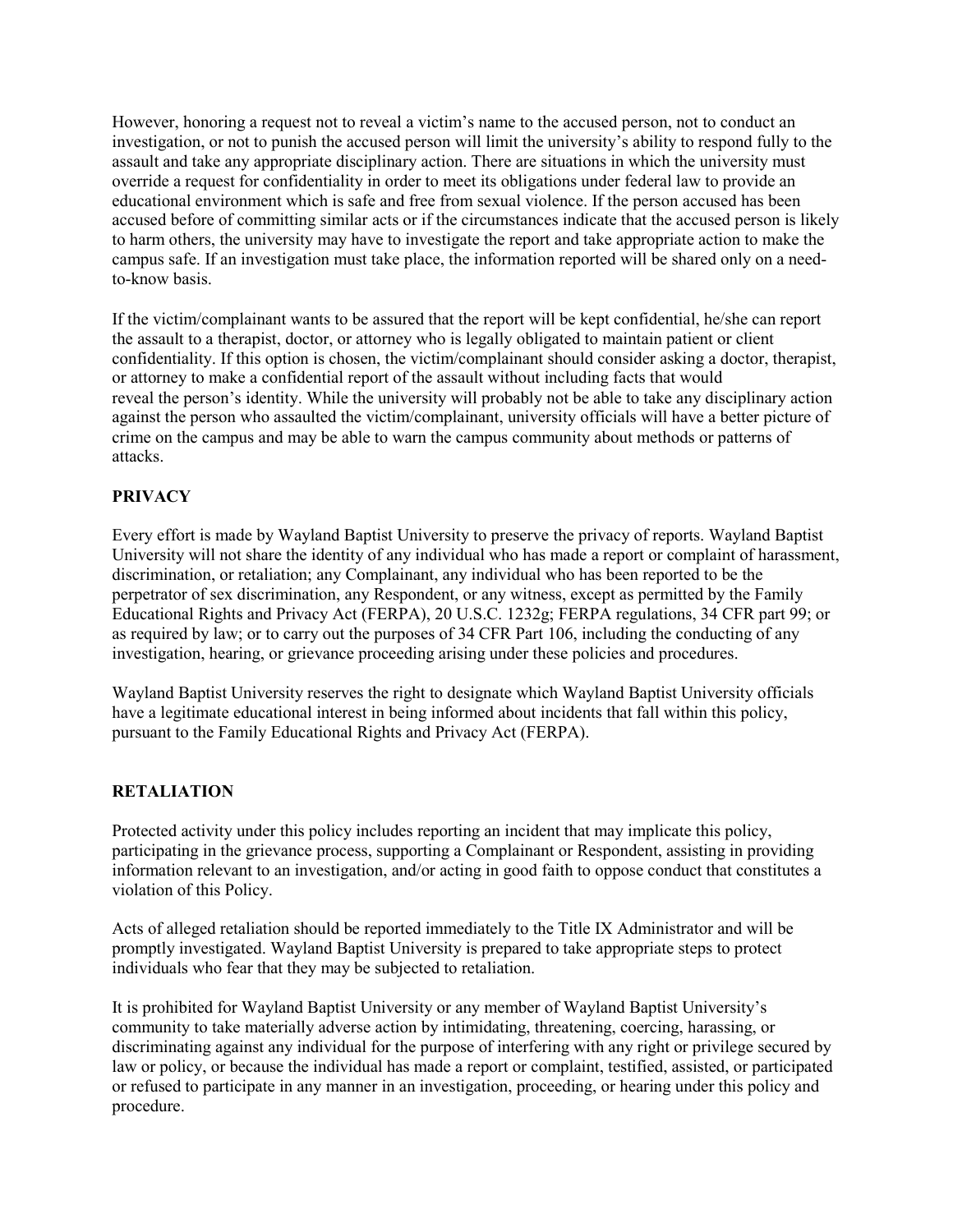However, honoring a request not to reveal a victim's name to the accused person, not to conduct an investigation, or not to punish the accused person will limit the university's ability to respond fully to the assault and take any appropriate disciplinary action. There are situations in which the university must override a request for confidentiality in order to meet its obligations under federal law to provide an educational environment which is safe and free from sexual violence. If the person accused has been accused before of committing similar acts or if the circumstances indicate that the accused person is likely to harm others, the university may have to investigate the report and take appropriate action to make the campus safe. If an investigation must take place, the information reported will be shared only on a needto-know basis.

If the victim/complainant wants to be assured that the report will be kept confidential, he/she can report the assault to a therapist, doctor, or attorney who is legally obligated to maintain patient or client confidentiality. If this option is chosen, the victim/complainant should consider asking a doctor, therapist, or attorney to make a confidential report of the assault without including facts that would reveal the person's identity. While the university will probably not be able to take any disciplinary action against the person who assaulted the victim/complainant, university officials will have a better picture of crime on the campus and may be able to warn the campus community about methods or patterns of attacks.

### **PRIVACY**

Every effort is made by Wayland Baptist University to preserve the privacy of reports. Wayland Baptist University will not share the identity of any individual who has made a report or complaint of harassment, discrimination, or retaliation; any Complainant, any individual who has been reported to be the perpetrator of sex discrimination, any Respondent, or any witness, except as permitted by the Family Educational Rights and Privacy Act (FERPA), 20 U.S.C. 1232g; FERPA regulations, 34 CFR part 99; or as required by law; or to carry out the purposes of 34 CFR Part 106, including the conducting of any investigation, hearing, or grievance proceeding arising under these policies and procedures.

Wayland Baptist University reserves the right to designate which Wayland Baptist University officials have a legitimate educational interest in being informed about incidents that fall within this policy, pursuant to the Family Educational Rights and Privacy Act (FERPA).

#### **RETALIATION**

Protected activity under this policy includes reporting an incident that may implicate this policy, participating in the grievance process, supporting a Complainant or Respondent, assisting in providing information relevant to an investigation, and/or acting in good faith to oppose conduct that constitutes a violation of this Policy.

Acts of alleged retaliation should be reported immediately to the Title IX Administrator and will be promptly investigated. Wayland Baptist University is prepared to take appropriate steps to protect individuals who fear that they may be subjected to retaliation.

It is prohibited for Wayland Baptist University or any member of Wayland Baptist University's community to take materially adverse action by intimidating, threatening, coercing, harassing, or discriminating against any individual for the purpose of interfering with any right or privilege secured by law or policy, or because the individual has made a report or complaint, testified, assisted, or participated or refused to participate in any manner in an investigation, proceeding, or hearing under this policy and procedure.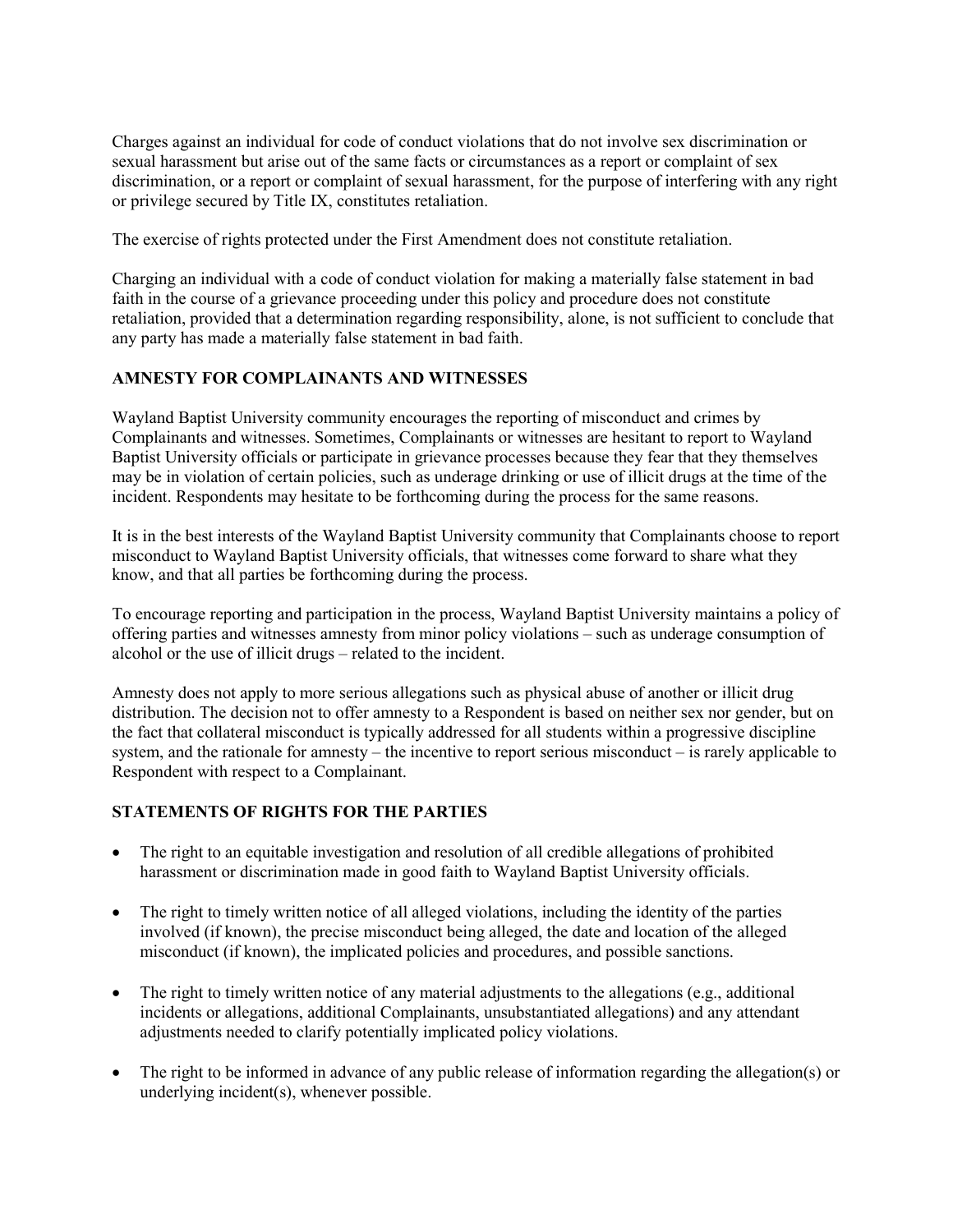Charges against an individual for code of conduct violations that do not involve sex discrimination or sexual harassment but arise out of the same facts or circumstances as a report or complaint of sex discrimination, or a report or complaint of sexual harassment, for the purpose of interfering with any right or privilege secured by Title IX, constitutes retaliation.

The exercise of rights protected under the First Amendment does not constitute retaliation.

Charging an individual with a code of conduct violation for making a materially false statement in bad faith in the course of a grievance proceeding under this policy and procedure does not constitute retaliation, provided that a determination regarding responsibility, alone, is not sufficient to conclude that any party has made a materially false statement in bad faith.

### **AMNESTY FOR COMPLAINANTS AND WITNESSES**

Wayland Baptist University community encourages the reporting of misconduct and crimes by Complainants and witnesses. Sometimes, Complainants or witnesses are hesitant to report to Wayland Baptist University officials or participate in grievance processes because they fear that they themselves may be in violation of certain policies, such as underage drinking or use of illicit drugs at the time of the incident. Respondents may hesitate to be forthcoming during the process for the same reasons.

It is in the best interests of the Wayland Baptist University community that Complainants choose to report misconduct to Wayland Baptist University officials, that witnesses come forward to share what they know, and that all parties be forthcoming during the process.

To encourage reporting and participation in the process, Wayland Baptist University maintains a policy of offering parties and witnesses amnesty from minor policy violations – such as underage consumption of alcohol or the use of illicit drugs – related to the incident.

Amnesty does not apply to more serious allegations such as physical abuse of another or illicit drug distribution. The decision not to offer amnesty to a Respondent is based on neither sex nor gender, but on the fact that collateral misconduct is typically addressed for all students within a progressive discipline system, and the rationale for amnesty – the incentive to report serious misconduct – is rarely applicable to Respondent with respect to a Complainant.

## **STATEMENTS OF RIGHTS FOR THE PARTIES**

- The right to an equitable investigation and resolution of all credible allegations of prohibited harassment or discrimination made in good faith to Wayland Baptist University officials.
- The right to timely written notice of all alleged violations, including the identity of the parties involved (if known), the precise misconduct being alleged, the date and location of the alleged misconduct (if known), the implicated policies and procedures, and possible sanctions.
- The right to timely written notice of any material adjustments to the allegations (e.g., additional incidents or allegations, additional Complainants, unsubstantiated allegations) and any attendant adjustments needed to clarify potentially implicated policy violations.
- The right to be informed in advance of any public release of information regarding the allegation(s) or underlying incident(s), whenever possible.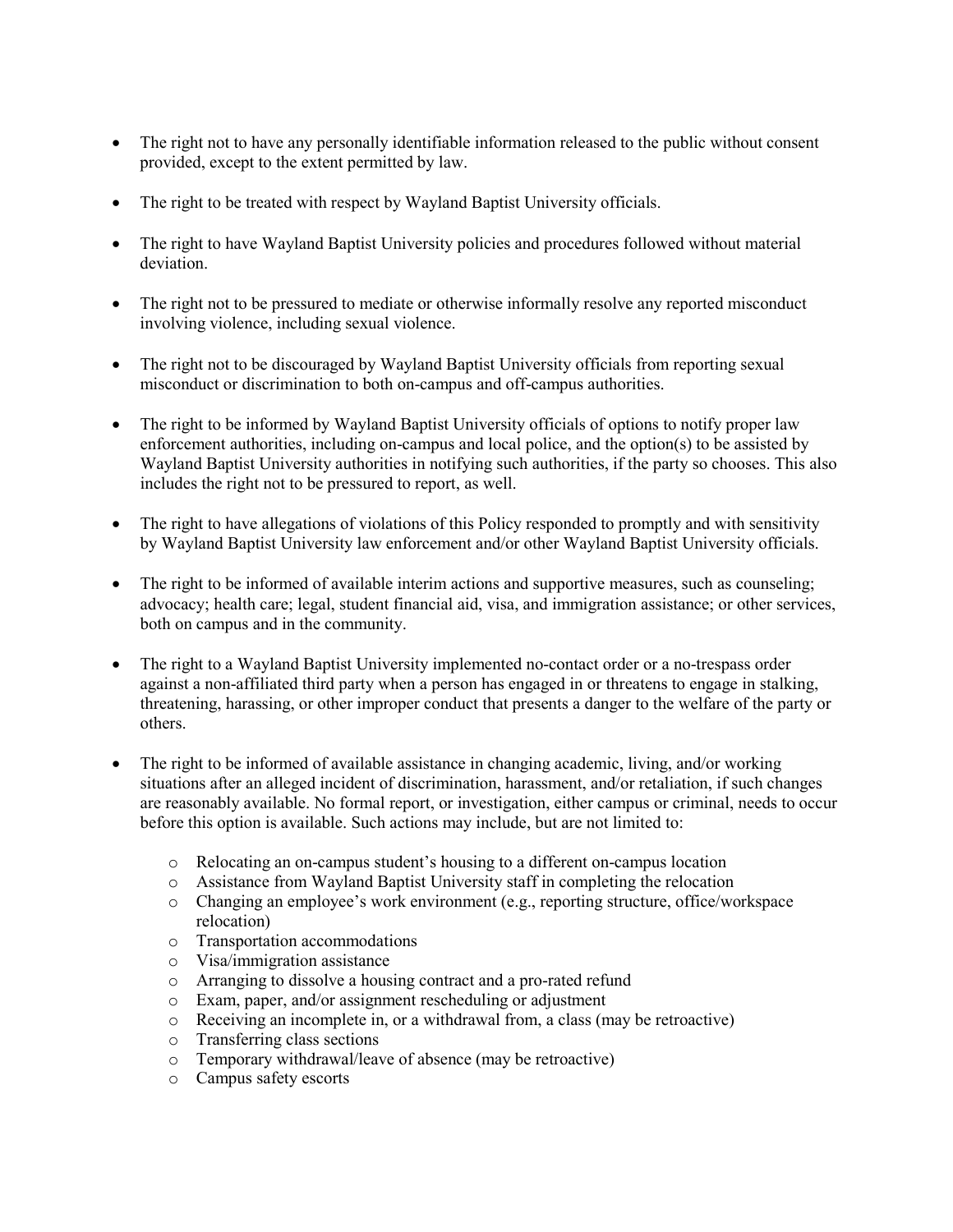- The right not to have any personally identifiable information released to the public without consent provided, except to the extent permitted by law.
- The right to be treated with respect by Wayland Baptist University officials.
- The right to have Wayland Baptist University policies and procedures followed without material deviation.
- The right not to be pressured to mediate or otherwise informally resolve any reported misconduct involving violence, including sexual violence.
- The right not to be discouraged by Wayland Baptist University officials from reporting sexual misconduct or discrimination to both on-campus and off-campus authorities.
- The right to be informed by Wayland Baptist University officials of options to notify proper law enforcement authorities, including on-campus and local police, and the option(s) to be assisted by Wayland Baptist University authorities in notifying such authorities, if the party so chooses. This also includes the right not to be pressured to report, as well.
- The right to have allegations of violations of this Policy responded to promptly and with sensitivity by Wayland Baptist University law enforcement and/or other Wayland Baptist University officials.
- The right to be informed of available interim actions and supportive measures, such as counseling; advocacy; health care; legal, student financial aid, visa, and immigration assistance; or other services, both on campus and in the community.
- The right to a Wayland Baptist University implemented no-contact order or a no-trespass order against a non-affiliated third party when a person has engaged in or threatens to engage in stalking, threatening, harassing, or other improper conduct that presents a danger to the welfare of the party or others.
- The right to be informed of available assistance in changing academic, living, and/or working situations after an alleged incident of discrimination, harassment, and/or retaliation, if such changes are reasonably available. No formal report, or investigation, either campus or criminal, needs to occur before this option is available. Such actions may include, but are not limited to:
	- o Relocating an on-campus student's housing to a different on-campus location
	- o Assistance from Wayland Baptist University staff in completing the relocation
	- o Changing an employee's work environment (e.g., reporting structure, office/workspace relocation)
	- o Transportation accommodations
	- o Visa/immigration assistance
	- o Arranging to dissolve a housing contract and a pro-rated refund
	- o Exam, paper, and/or assignment rescheduling or adjustment
	- o Receiving an incomplete in, or a withdrawal from, a class (may be retroactive)
	- o Transferring class sections
	- o Temporary withdrawal/leave of absence (may be retroactive)
	- o Campus safety escorts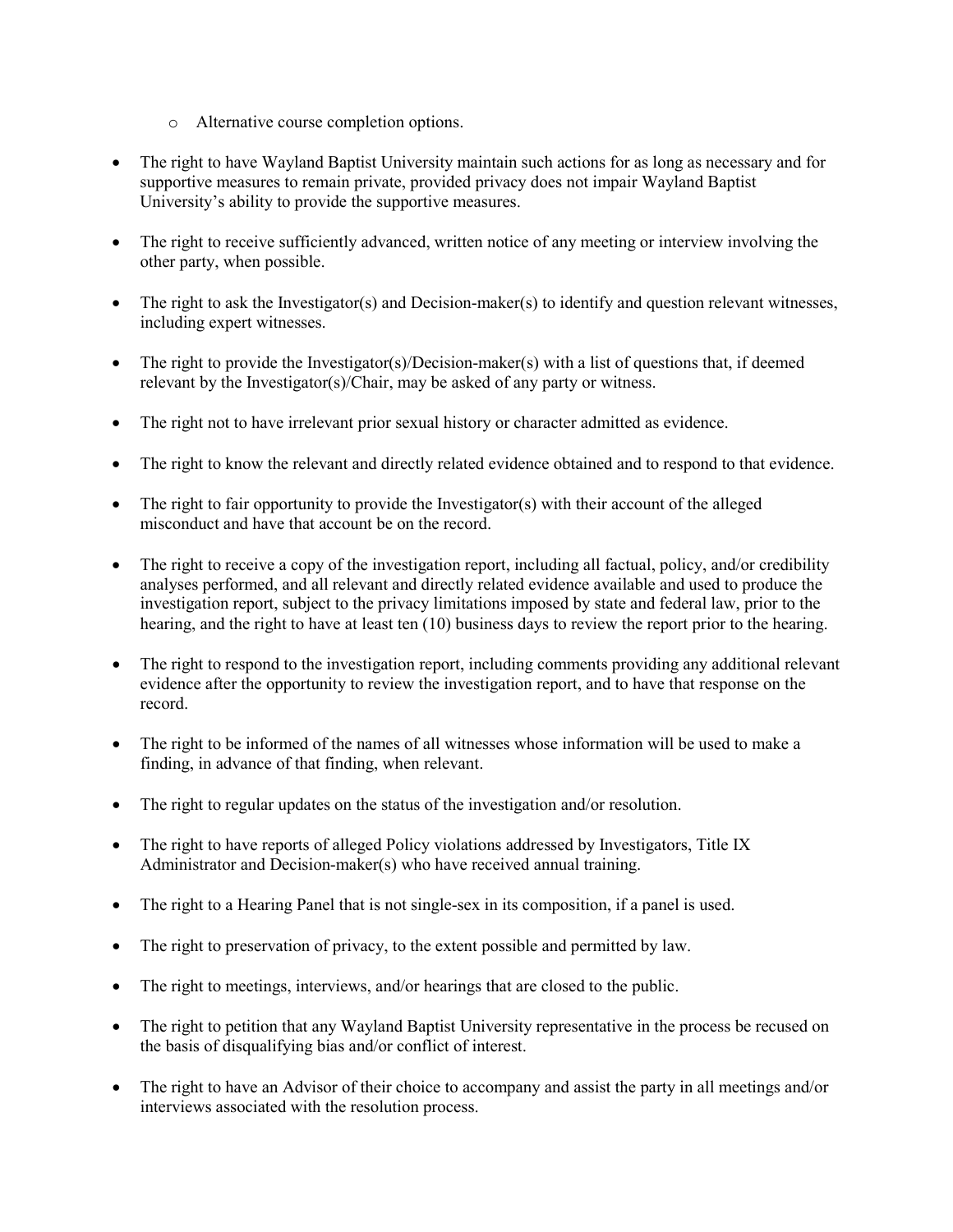- o Alternative course completion options.
- The right to have Wayland Baptist University maintain such actions for as long as necessary and for supportive measures to remain private, provided privacy does not impair Wayland Baptist University's ability to provide the supportive measures.
- The right to receive sufficiently advanced, written notice of any meeting or interview involving the other party, when possible.
- The right to ask the Investigator(s) and Decision-maker(s) to identify and question relevant witnesses, including expert witnesses.
- The right to provide the Investigator(s)/Decision-maker(s) with a list of questions that, if deemed relevant by the Investigator(s)/Chair, may be asked of any party or witness.
- The right not to have irrelevant prior sexual history or character admitted as evidence.
- The right to know the relevant and directly related evidence obtained and to respond to that evidence.
- The right to fair opportunity to provide the Investigator(s) with their account of the alleged misconduct and have that account be on the record.
- The right to receive a copy of the investigation report, including all factual, policy, and/or credibility analyses performed, and all relevant and directly related evidence available and used to produce the investigation report, subject to the privacy limitations imposed by state and federal law, prior to the hearing, and the right to have at least ten (10) business days to review the report prior to the hearing.
- The right to respond to the investigation report, including comments providing any additional relevant evidence after the opportunity to review the investigation report, and to have that response on the record.
- The right to be informed of the names of all witnesses whose information will be used to make a finding, in advance of that finding, when relevant.
- The right to regular updates on the status of the investigation and/or resolution.
- The right to have reports of alleged Policy violations addressed by Investigators, Title IX Administrator and Decision-maker(s) who have received annual training.
- The right to a Hearing Panel that is not single-sex in its composition, if a panel is used.
- The right to preservation of privacy, to the extent possible and permitted by law.
- The right to meetings, interviews, and/or hearings that are closed to the public.
- The right to petition that any Wayland Baptist University representative in the process be recused on the basis of disqualifying bias and/or conflict of interest.
- The right to have an Advisor of their choice to accompany and assist the party in all meetings and/or interviews associated with the resolution process.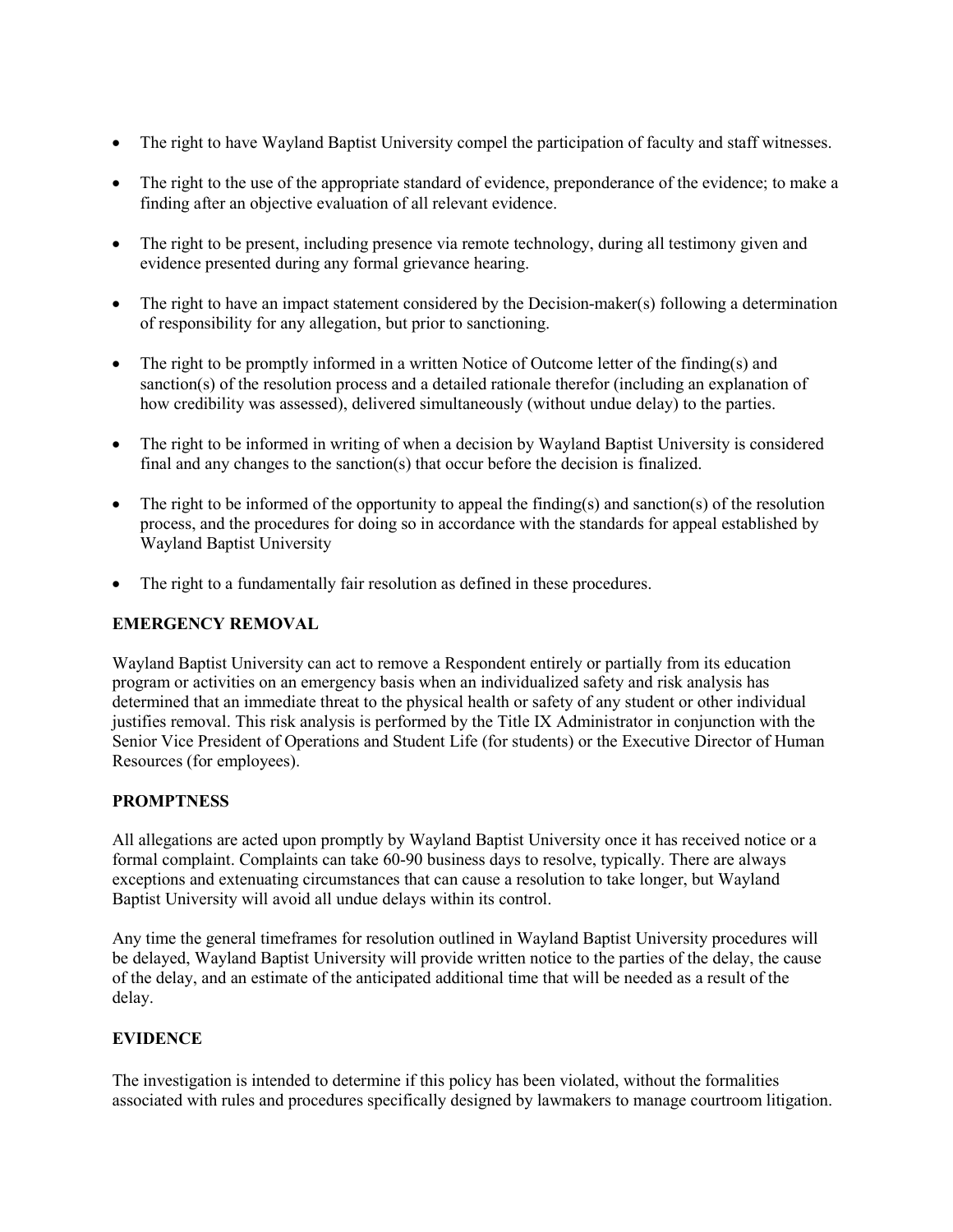- The right to have Wayland Baptist University compel the participation of faculty and staff witnesses.
- The right to the use of the appropriate standard of evidence, preponderance of the evidence; to make a finding after an objective evaluation of all relevant evidence.
- The right to be present, including presence via remote technology, during all testimony given and evidence presented during any formal grievance hearing.
- The right to have an impact statement considered by the Decision-maker(s) following a determination of responsibility for any allegation, but prior to sanctioning.
- The right to be promptly informed in a written Notice of Outcome letter of the finding(s) and sanction(s) of the resolution process and a detailed rationale therefor (including an explanation of how credibility was assessed), delivered simultaneously (without undue delay) to the parties.
- The right to be informed in writing of when a decision by Wayland Baptist University is considered final and any changes to the sanction(s) that occur before the decision is finalized.
- The right to be informed of the opportunity to appeal the finding(s) and sanction(s) of the resolution process, and the procedures for doing so in accordance with the standards for appeal established by Wayland Baptist University
- The right to a fundamentally fair resolution as defined in these procedures.

### **EMERGENCY REMOVAL**

Wayland Baptist University can act to remove a Respondent entirely or partially from its education program or activities on an emergency basis when an individualized safety and risk analysis has determined that an immediate threat to the physical health or safety of any student or other individual justifies removal. This risk analysis is performed by the Title IX Administrator in conjunction with the Senior Vice President of Operations and Student Life (for students) or the Executive Director of Human Resources (for employees).

### **PROMPTNESS**

All allegations are acted upon promptly by Wayland Baptist University once it has received notice or a formal complaint. Complaints can take 60-90 business days to resolve, typically. There are always exceptions and extenuating circumstances that can cause a resolution to take longer, but Wayland Baptist University will avoid all undue delays within its control.

Any time the general timeframes for resolution outlined in Wayland Baptist University procedures will be delayed, Wayland Baptist University will provide written notice to the parties of the delay, the cause of the delay, and an estimate of the anticipated additional time that will be needed as a result of the delay.

### **EVIDENCE**

The investigation is intended to determine if this policy has been violated, without the formalities associated with rules and procedures specifically designed by lawmakers to manage courtroom litigation.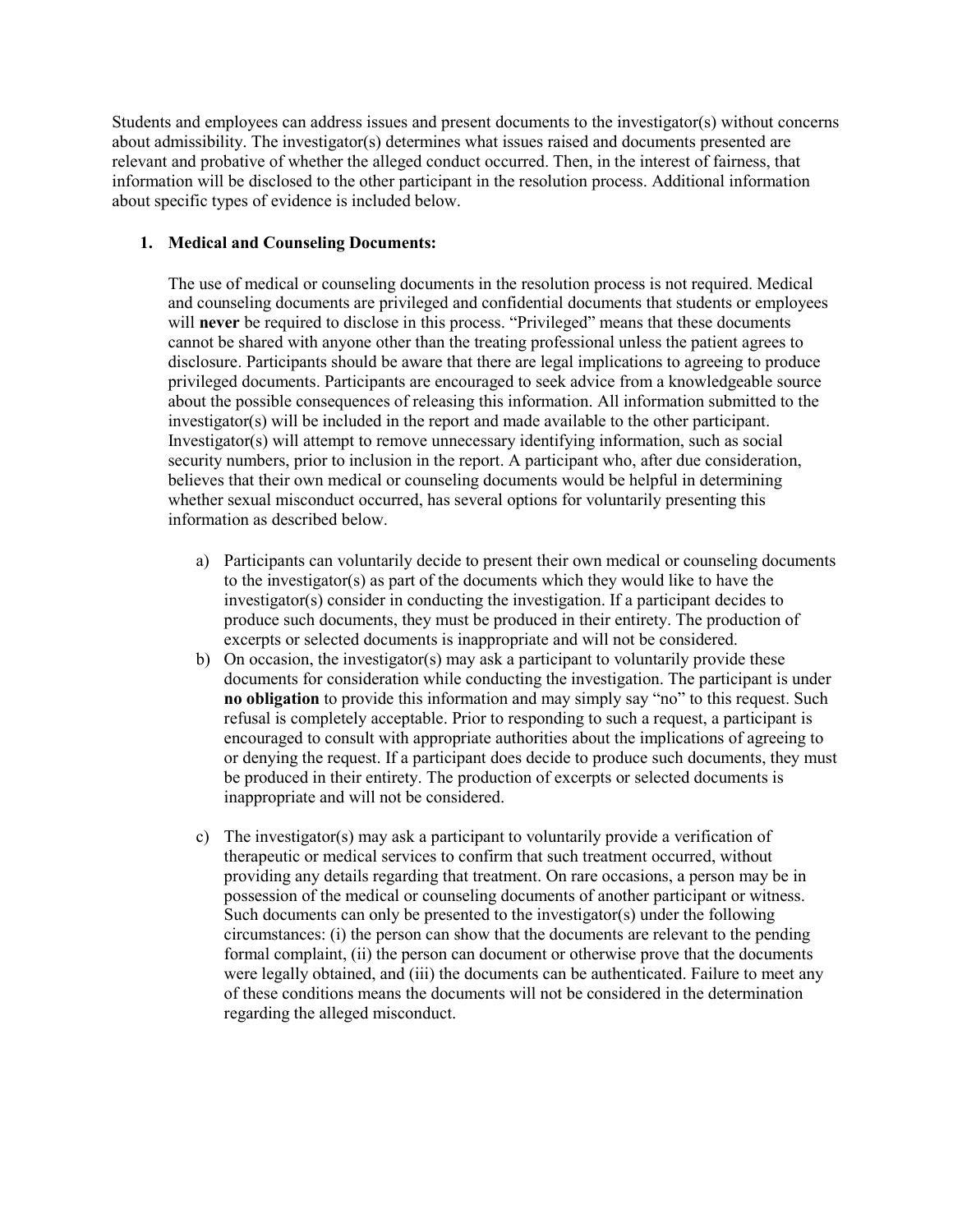Students and employees can address issues and present documents to the investigator(s) without concerns about admissibility. The investigator(s) determines what issues raised and documents presented are relevant and probative of whether the alleged conduct occurred. Then, in the interest of fairness, that information will be disclosed to the other participant in the resolution process. Additional information about specific types of evidence is included below.

### **1. Medical and Counseling Documents:**

The use of medical or counseling documents in the resolution process is not required. Medical and counseling documents are privileged and confidential documents that students or employees will **never** be required to disclose in this process. "Privileged" means that these documents cannot be shared with anyone other than the treating professional unless the patient agrees to disclosure. Participants should be aware that there are legal implications to agreeing to produce privileged documents. Participants are encouraged to seek advice from a knowledgeable source about the possible consequences of releasing this information. All information submitted to the investigator(s) will be included in the report and made available to the other participant. Investigator(s) will attempt to remove unnecessary identifying information, such as social security numbers, prior to inclusion in the report. A participant who, after due consideration, believes that their own medical or counseling documents would be helpful in determining whether sexual misconduct occurred, has several options for voluntarily presenting this information as described below.

- a) Participants can voluntarily decide to present their own medical or counseling documents to the investigator(s) as part of the documents which they would like to have the investigator(s) consider in conducting the investigation. If a participant decides to produce such documents, they must be produced in their entirety. The production of excerpts or selected documents is inappropriate and will not be considered.
- b) On occasion, the investigator(s) may ask a participant to voluntarily provide these documents for consideration while conducting the investigation. The participant is under **no obligation** to provide this information and may simply say "no" to this request. Such refusal is completely acceptable. Prior to responding to such a request, a participant is encouraged to consult with appropriate authorities about the implications of agreeing to or denying the request. If a participant does decide to produce such documents, they must be produced in their entirety. The production of excerpts or selected documents is inappropriate and will not be considered.
- c) The investigator(s) may ask a participant to voluntarily provide a verification of therapeutic or medical services to confirm that such treatment occurred, without providing any details regarding that treatment. On rare occasions, a person may be in possession of the medical or counseling documents of another participant or witness. Such documents can only be presented to the investigator(s) under the following circumstances: (i) the person can show that the documents are relevant to the pending formal complaint, (ii) the person can document or otherwise prove that the documents were legally obtained, and (iii) the documents can be authenticated. Failure to meet any of these conditions means the documents will not be considered in the determination regarding the alleged misconduct.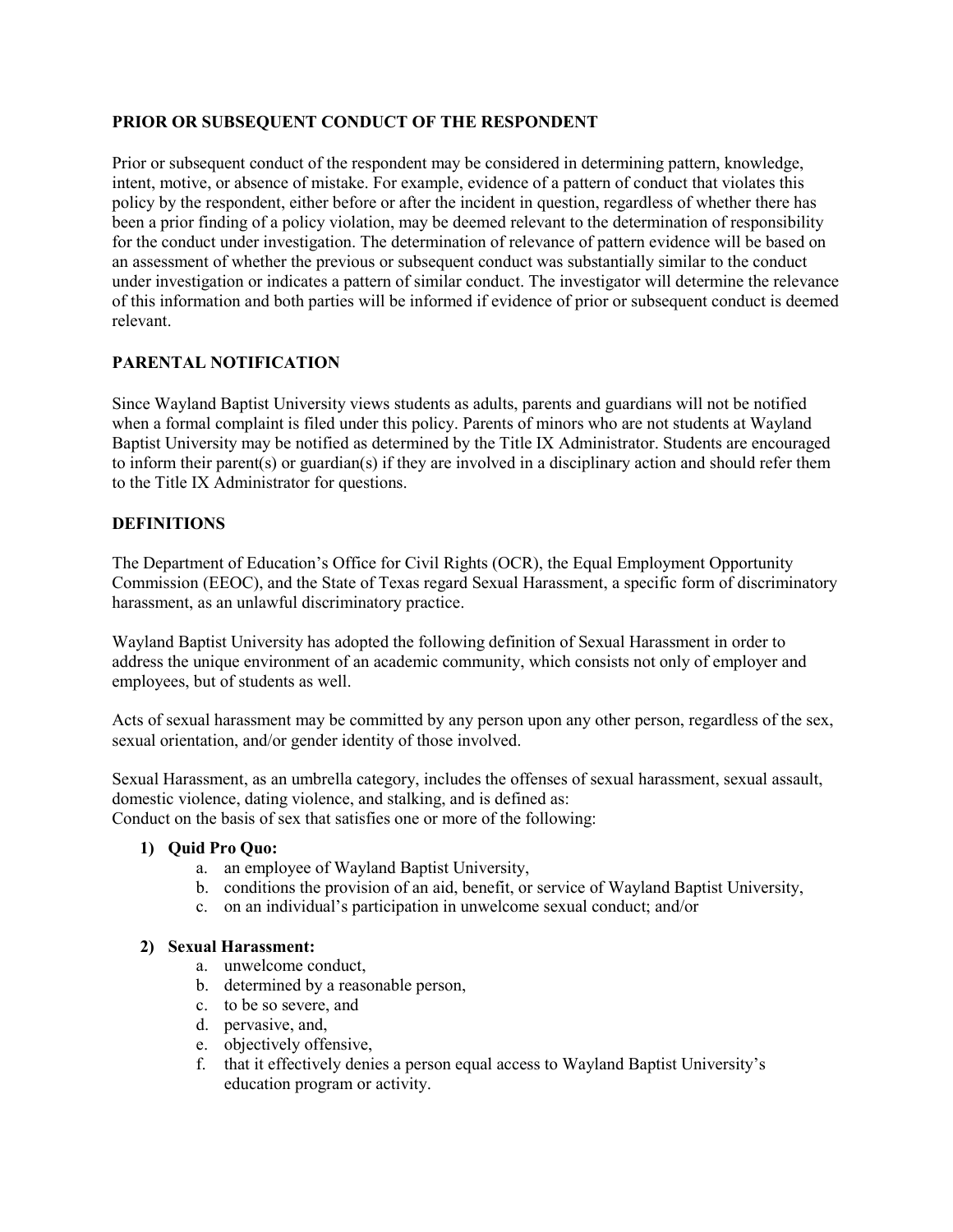#### **PRIOR OR SUBSEQUENT CONDUCT OF THE RESPONDENT**

Prior or subsequent conduct of the respondent may be considered in determining pattern, knowledge, intent, motive, or absence of mistake. For example, evidence of a pattern of conduct that violates this policy by the respondent, either before or after the incident in question, regardless of whether there has been a prior finding of a policy violation, may be deemed relevant to the determination of responsibility for the conduct under investigation. The determination of relevance of pattern evidence will be based on an assessment of whether the previous or subsequent conduct was substantially similar to the conduct under investigation or indicates a pattern of similar conduct. The investigator will determine the relevance of this information and both parties will be informed if evidence of prior or subsequent conduct is deemed relevant.

### **PARENTAL NOTIFICATION**

Since Wayland Baptist University views students as adults, parents and guardians will not be notified when a formal complaint is filed under this policy. Parents of minors who are not students at Wayland Baptist University may be notified as determined by the Title IX Administrator. Students are encouraged to inform their parent(s) or guardian(s) if they are involved in a disciplinary action and should refer them to the Title IX Administrator for questions.

#### **DEFINITIONS**

The Department of Education's Office for Civil Rights (OCR), the Equal Employment Opportunity Commission (EEOC), and the State of Texas regard Sexual Harassment, a specific form of discriminatory harassment, as an unlawful discriminatory practice.

Wayland Baptist University has adopted the following definition of Sexual Harassment in order to address the unique environment of an academic community, which consists not only of employer and employees, but of students as well.

Acts of sexual harassment may be committed by any person upon any other person, regardless of the sex, sexual orientation, and/or gender identity of those involved.

Sexual Harassment, as an umbrella category, includes the offenses of sexual harassment, sexual assault, domestic violence, dating violence, and stalking, and is defined as: Conduct on the basis of sex that satisfies one or more of the following:

#### **1) Quid Pro Quo:**

- a. an employee of Wayland Baptist University,
- b. conditions the provision of an aid, benefit, or service of Wayland Baptist University,
- c. on an individual's participation in unwelcome sexual conduct; and/or

#### **2) Sexual Harassment:**

- a. unwelcome conduct,
- b. determined by a reasonable person,
- c. to be so severe, and
- d. pervasive, and,
- e. objectively offensive,
- f. that it effectively denies a person equal access to Wayland Baptist University's education program or activity.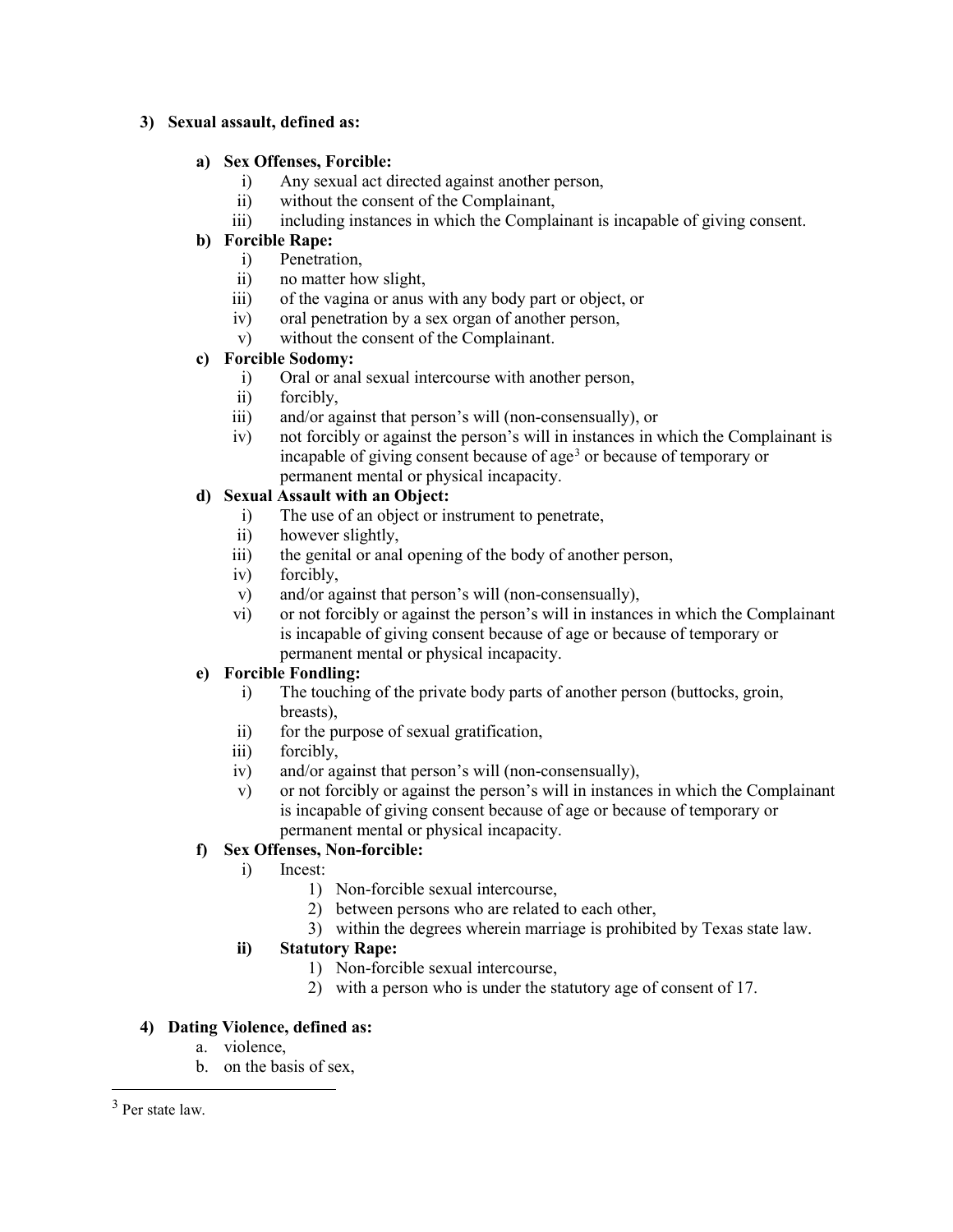#### **3) Sexual assault, defined as:**

### **a) Sex Offenses, Forcible:**

- i) Any sexual act directed against another person,
- ii) without the consent of the Complainant,
- iii) including instances in which the Complainant is incapable of giving consent.

### **b) Forcible Rape:**

- i) Penetration,
- ii) no matter how slight,
- iii) of the vagina or anus with any body part or object, or
- iv) oral penetration by a sex organ of another person,
- v) without the consent of the Complainant.

## **c) Forcible Sodomy:**

- i) Oral or anal sexual intercourse with another person,
- ii) forcibly,
- iii) and/or against that person's will (non-consensually), or
- iv) not forcibly or against the person's will in instances in which the Complainant is incapable of giving consent because of age<sup>[3](#page-15-0)</sup> or because of temporary or permanent mental or physical incapacity.

## **d) Sexual Assault with an Object:**

- i) The use of an object or instrument to penetrate,
- ii) however slightly,
- iii) the genital or anal opening of the body of another person,
- iv) forcibly,
- v) and/or against that person's will (non-consensually),
- vi) or not forcibly or against the person's will in instances in which the Complainant is incapable of giving consent because of age or because of temporary or permanent mental or physical incapacity.

### **e) Forcible Fondling:**

- i) The touching of the private body parts of another person (buttocks, groin, breasts),
- ii) for the purpose of sexual gratification,
- iii) forcibly,
- iv) and/or against that person's will (non-consensually),
- v) or not forcibly or against the person's will in instances in which the Complainant is incapable of giving consent because of age or because of temporary or permanent mental or physical incapacity.

## **f) Sex Offenses, Non-forcible:**

### i) Incest:

- 1) Non-forcible sexual intercourse,
- 2) between persons who are related to each other,
- 3) within the degrees wherein marriage is prohibited by Texas state law.

### **ii) Statutory Rape:**

- 1) Non-forcible sexual intercourse,
- 2) with a person who is under the statutory age of consent of 17.

### **4) Dating Violence, defined as:**

- a. violence,
- b. on the basis of sex,

<span id="page-15-0"></span> <sup>3</sup> Per state law.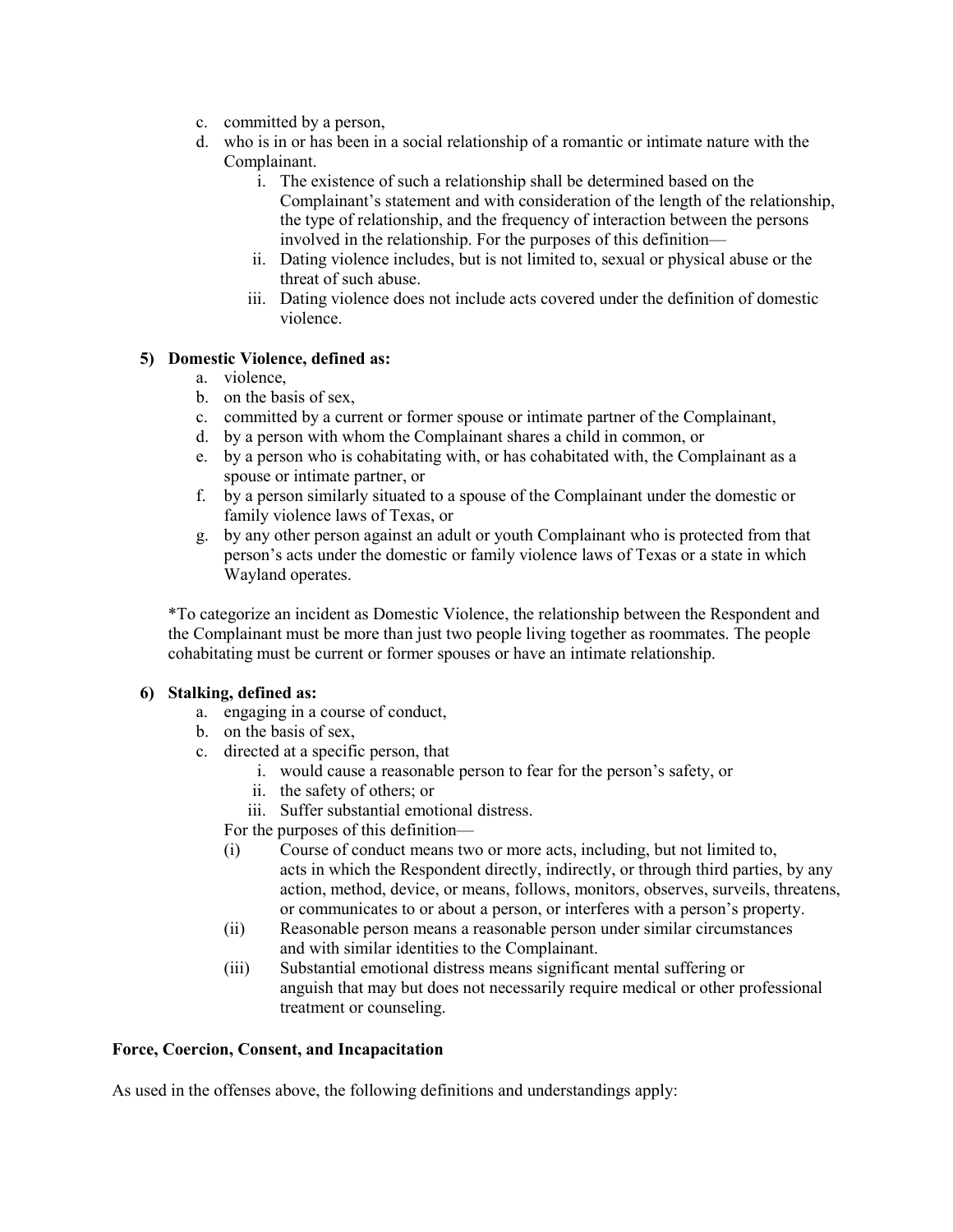- c. committed by a person,
- d. who is in or has been in a social relationship of a romantic or intimate nature with the Complainant.
	- i. The existence of such a relationship shall be determined based on the Complainant's statement and with consideration of the length of the relationship, the type of relationship, and the frequency of interaction between the persons involved in the relationship. For the purposes of this definition—
	- ii. Dating violence includes, but is not limited to, sexual or physical abuse or the threat of such abuse.
	- iii. Dating violence does not include acts covered under the definition of domestic violence.

### **5) Domestic Violence, defined as:**

- a. violence,
- b. on the basis of sex,
- c. committed by a current or former spouse or intimate partner of the Complainant,
- d. by a person with whom the Complainant shares a child in common, or
- e. by a person who is cohabitating with, or has cohabitated with, the Complainant as a spouse or intimate partner, or
- f. by a person similarly situated to a spouse of the Complainant under the domestic or family violence laws of Texas, or
- g. by any other person against an adult or youth Complainant who is protected from that person's acts under the domestic or family violence laws of Texas or a state in which Wayland operates.

\*To categorize an incident as Domestic Violence, the relationship between the Respondent and the Complainant must be more than just two people living together as roommates. The people cohabitating must be current or former spouses or have an intimate relationship.

#### **6) Stalking, defined as:**

- a. engaging in a course of conduct,
- b. on the basis of sex,
- c. directed at a specific person, that
	- i. would cause a reasonable person to fear for the person's safety, or
	- ii. the safety of others; or
	- iii. Suffer substantial emotional distress.
	- For the purposes of this definition—
	- (i) Course of conduct means two or more acts, including, but not limited to, acts in which the Respondent directly, indirectly, or through third parties, by any action, method, device, or means, follows, monitors, observes, surveils, threatens, or communicates to or about a person, or interferes with a person's property.
	- (ii) Reasonable person means a reasonable person under similar circumstances and with similar identities to the Complainant.
	- (iii) Substantial emotional distress means significant mental suffering or anguish that may but does not necessarily require medical or other professional treatment or counseling.

#### **Force, Coercion, Consent, and Incapacitation**

As used in the offenses above, the following definitions and understandings apply: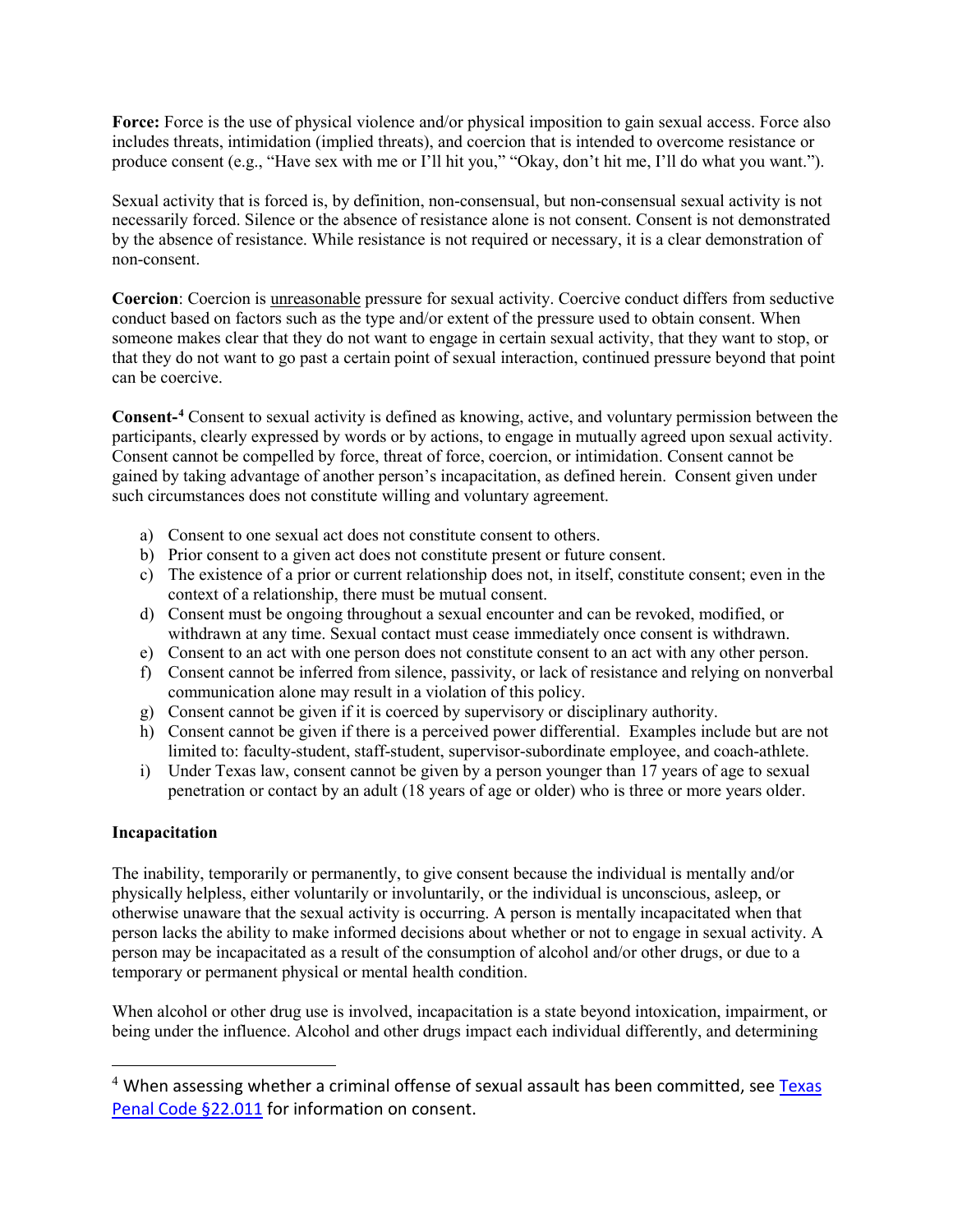**Force:** Force is the use of physical violence and/or physical imposition to gain sexual access. Force also includes threats, intimidation (implied threats), and coercion that is intended to overcome resistance or produce consent (e.g., "Have sex with me or I'll hit you," "Okay, don't hit me, I'll do what you want.").

Sexual activity that is forced is, by definition, non-consensual, but non-consensual sexual activity is not necessarily forced. Silence or the absence of resistance alone is not consent. Consent is not demonstrated by the absence of resistance. While resistance is not required or necessary, it is a clear demonstration of non-consent.

**Coercion**: Coercion is unreasonable pressure for sexual activity. Coercive conduct differs from seductive conduct based on factors such as the type and/or extent of the pressure used to obtain consent. When someone makes clear that they do not want to engage in certain sexual activity, that they want to stop, or that they do not want to go past a certain point of sexual interaction, continued pressure beyond that point can be coercive.

**Consent-[4](#page-17-0)** Consent to sexual activity is defined as knowing, active, and voluntary permission between the participants, clearly expressed by words or by actions, to engage in mutually agreed upon sexual activity. Consent cannot be compelled by force, threat of force, coercion, or intimidation. Consent cannot be gained by taking advantage of another person's incapacitation, as defined herein. Consent given under such circumstances does not constitute willing and voluntary agreement.

- a) Consent to one sexual act does not constitute consent to others.
- b) Prior consent to a given act does not constitute present or future consent.
- c) The existence of a prior or current relationship does not, in itself, constitute consent; even in the context of a relationship, there must be mutual consent.
- d) Consent must be ongoing throughout a sexual encounter and can be revoked, modified, or withdrawn at any time. Sexual contact must cease immediately once consent is withdrawn.
- e) Consent to an act with one person does not constitute consent to an act with any other person.
- f) Consent cannot be inferred from silence, passivity, or lack of resistance and relying on nonverbal communication alone may result in a violation of this policy.
- g) Consent cannot be given if it is coerced by supervisory or disciplinary authority.
- h) Consent cannot be given if there is a perceived power differential. Examples include but are not limited to: faculty-student, staff-student, supervisor-subordinate employee, and coach-athlete.
- i) Under Texas law, consent cannot be given by a person younger than 17 years of age to sexual penetration or contact by an adult (18 years of age or older) who is three or more years older.

#### **Incapacitation**

The inability, temporarily or permanently, to give consent because the individual is mentally and/or physically helpless, either voluntarily or involuntarily, or the individual is unconscious, asleep, or otherwise unaware that the sexual activity is occurring. A person is mentally incapacitated when that person lacks the ability to make informed decisions about whether or not to engage in sexual activity. A person may be incapacitated as a result of the consumption of alcohol and/or other drugs, or due to a temporary or permanent physical or mental health condition.

When alcohol or other drug use is involved, incapacitation is a state beyond intoxication, impairment, or being under the influence. Alcohol and other drugs impact each individual differently, and determining

<span id="page-17-0"></span> $4$  When assessing whether a criminal offense of sexual assault has been committed, see Texas [Penal Code §22.011](https://statutes.capitol.texas.gov/Docs/PE/htm/PE.22.htm) for information on consent.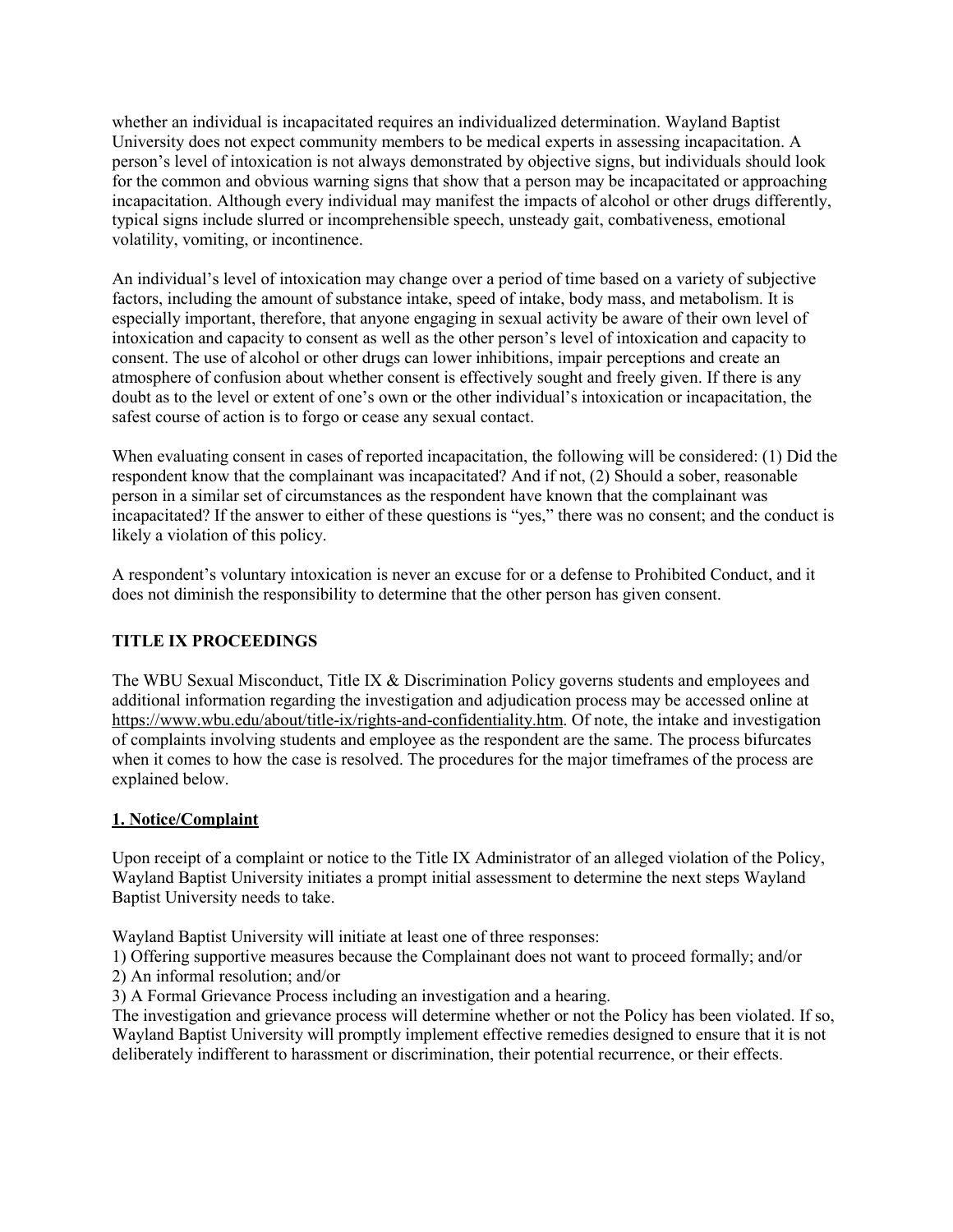whether an individual is incapacitated requires an individualized determination. Wayland Baptist University does not expect community members to be medical experts in assessing incapacitation. A person's level of intoxication is not always demonstrated by objective signs, but individuals should look for the common and obvious warning signs that show that a person may be incapacitated or approaching incapacitation. Although every individual may manifest the impacts of alcohol or other drugs differently, typical signs include slurred or incomprehensible speech, unsteady gait, combativeness, emotional volatility, vomiting, or incontinence.

An individual's level of intoxication may change over a period of time based on a variety of subjective factors, including the amount of substance intake, speed of intake, body mass, and metabolism. It is especially important, therefore, that anyone engaging in sexual activity be aware of their own level of intoxication and capacity to consent as well as the other person's level of intoxication and capacity to consent. The use of alcohol or other drugs can lower inhibitions, impair perceptions and create an atmosphere of confusion about whether consent is effectively sought and freely given. If there is any doubt as to the level or extent of one's own or the other individual's intoxication or incapacitation, the safest course of action is to forgo or cease any sexual contact.

When evaluating consent in cases of reported incapacitation, the following will be considered: (1) Did the respondent know that the complainant was incapacitated? And if not, (2) Should a sober, reasonable person in a similar set of circumstances as the respondent have known that the complainant was incapacitated? If the answer to either of these questions is "yes," there was no consent; and the conduct is likely a violation of this policy.

A respondent's voluntary intoxication is never an excuse for or a defense to Prohibited Conduct, and it does not diminish the responsibility to determine that the other person has given consent.

### **TITLE IX PROCEEDINGS**

The WBU Sexual Misconduct, Title IX & Discrimination Policy governs students and employees and additional information regarding the investigation and adjudication process may be accessed online at [https://www.wbu.edu/about/title-ix/rights-and-confidentiality.htm. O](https://www.wbu.edu/about/title-ix/rights-and-confidentiality.htm)f note, the intake and investigation of complaints involving students and employee as the respondent are the same. The process bifurcates when it comes to how the case is resolved. The procedures for the major timeframes of the process are explained below.

#### **1. Notice/Complaint**

Upon receipt of a complaint or notice to the Title IX Administrator of an alleged violation of the Policy, Wayland Baptist University initiates a prompt initial assessment to determine the next steps Wayland Baptist University needs to take.

Wayland Baptist University will initiate at least one of three responses:

1) Offering supportive measures because the Complainant does not want to proceed formally; and/or 2) An informal resolution; and/or

3) A Formal Grievance Process including an investigation and a hearing.

The investigation and grievance process will determine whether or not the Policy has been violated. If so, Wayland Baptist University will promptly implement effective remedies designed to ensure that it is not deliberately indifferent to harassment or discrimination, their potential recurrence, or their effects.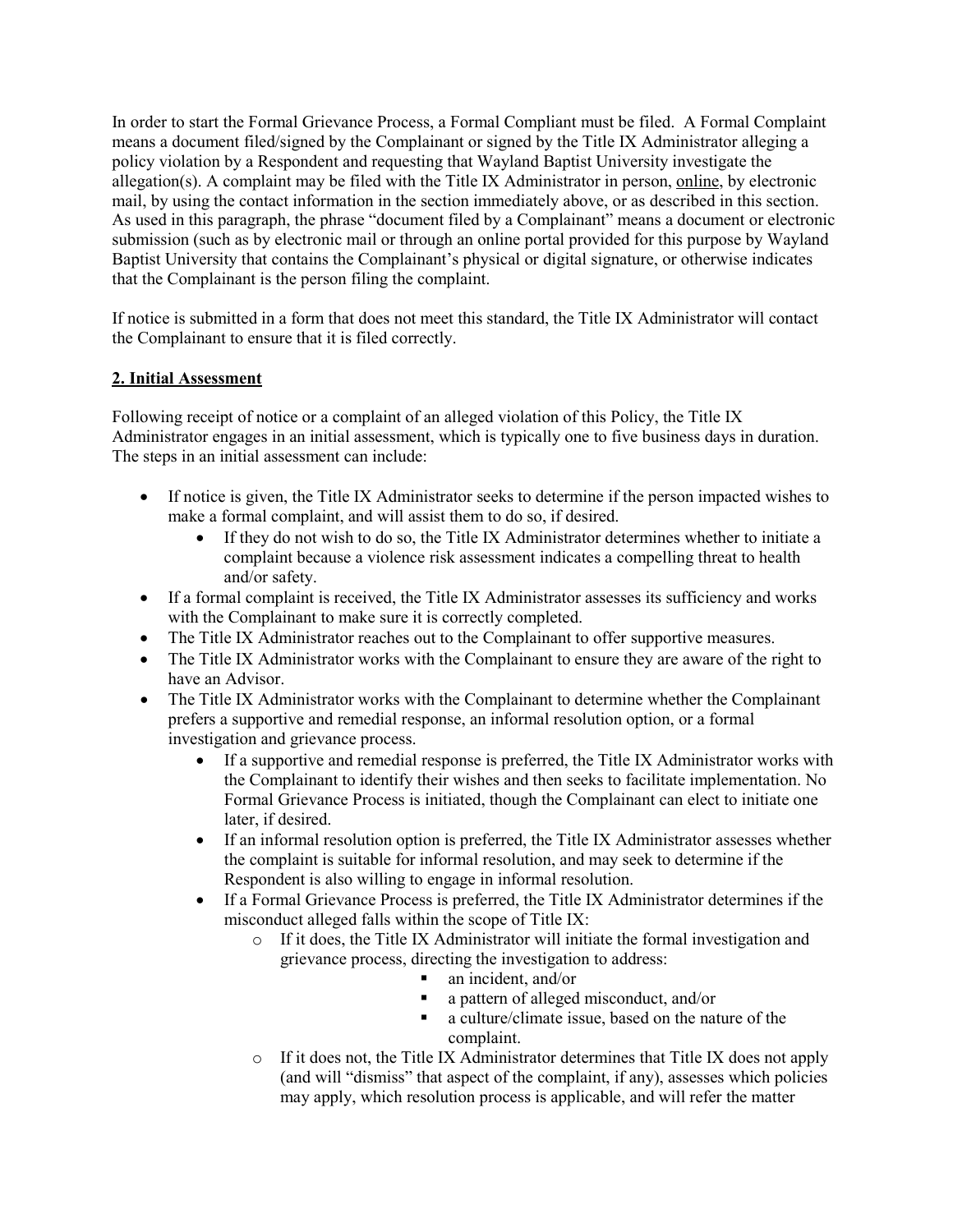In order to start the Formal Grievance Process, a Formal Compliant must be filed. A Formal Complaint means a document filed/signed by the Complainant or signed by the Title IX Administrator alleging a policy violation by a Respondent and requesting that Wayland Baptist University investigate the allegation(s). A complaint may be filed with the Title IX Administrator in person[, online,](http://www2.wbu.edu/reportcrime/defaultIX.aspx) by electronic mail, by using the contact information in the section immediately above, or as described in this section. As used in this paragraph, the phrase "document filed by a Complainant" means a document or electronic submission (such as by electronic mail or through an online portal provided for this purpose by Wayland Baptist University that contains the Complainant's physical or digital signature, or otherwise indicates that the Complainant is the person filing the complaint.

If notice is submitted in a form that does not meet this standard, the Title IX Administrator will contact the Complainant to ensure that it is filed correctly.

#### **2. Initial Assessment**

Following receipt of notice or a complaint of an alleged violation of this Policy, the Title IX Administrator engages in an initial assessment, which is typically one to five business days in duration. The steps in an initial assessment can include:

- If notice is given, the Title IX Administrator seeks to determine if the person impacted wishes to make a formal complaint, and will assist them to do so, if desired.
	- If they do not wish to do so, the Title IX Administrator determines whether to initiate a complaint because a violence risk assessment indicates a compelling threat to health and/or safety.
- If a formal complaint is received, the Title IX Administrator assesses its sufficiency and works with the Complainant to make sure it is correctly completed.
- The Title IX Administrator reaches out to the Complainant to offer supportive measures.
- The Title IX Administrator works with the Complainant to ensure they are aware of the right to have an Advisor.
- The Title IX Administrator works with the Complainant to determine whether the Complainant prefers a supportive and remedial response, an informal resolution option, or a formal investigation and grievance process.
	- If a supportive and remedial response is preferred, the Title IX Administrator works with the Complainant to identify their wishes and then seeks to facilitate implementation. No Formal Grievance Process is initiated, though the Complainant can elect to initiate one later, if desired.
	- If an informal resolution option is preferred, the Title IX Administrator assesses whether the complaint is suitable for informal resolution, and may seek to determine if the Respondent is also willing to engage in informal resolution.
	- If a Formal Grievance Process is preferred, the Title IX Administrator determines if the misconduct alleged falls within the scope of Title IX:
		- o If it does, the Title IX Administrator will initiate the formal investigation and grievance process, directing the investigation to address:
			- an incident, and/or
			- a pattern of alleged misconduct, and/or
			- a culture/climate issue, based on the nature of the complaint.
		- o If it does not, the Title IX Administrator determines that Title IX does not apply (and will "dismiss" that aspect of the complaint, if any), assesses which policies may apply, which resolution process is applicable, and will refer the matter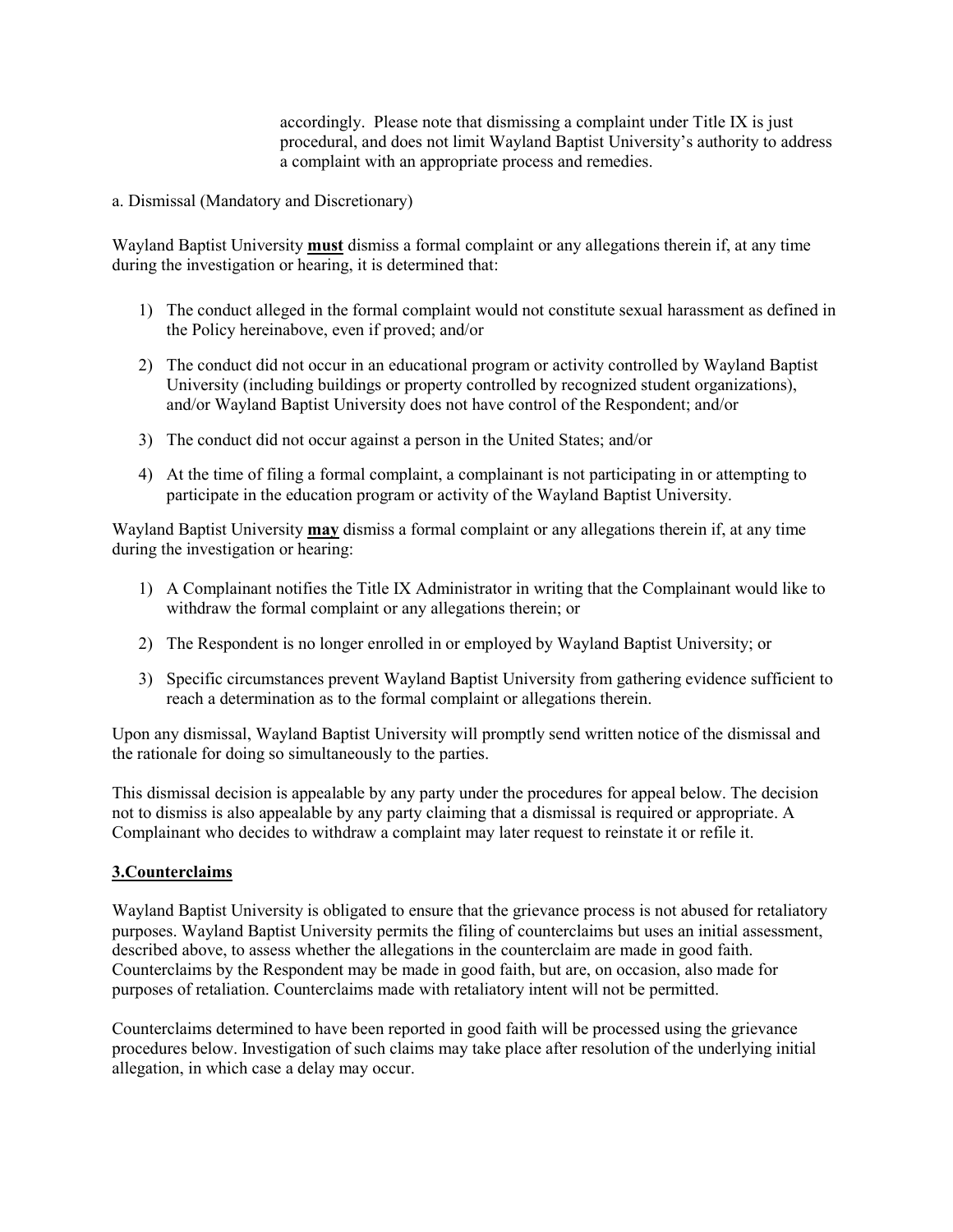accordingly. Please note that dismissing a complaint under Title IX is just procedural, and does not limit Wayland Baptist University's authority to address a complaint with an appropriate process and remedies.

a. Dismissal (Mandatory and Discretionary)

Wayland Baptist University **must** dismiss a formal complaint or any allegations therein if, at any time during the investigation or hearing, it is determined that:

- 1) The conduct alleged in the formal complaint would not constitute sexual harassment as defined in the Policy hereinabove, even if proved; and/or
- 2) The conduct did not occur in an educational program or activity controlled by Wayland Baptist University (including buildings or property controlled by recognized student organizations), and/or Wayland Baptist University does not have control of the Respondent; and/or
- 3) The conduct did not occur against a person in the United States; and/or
- 4) At the time of filing a formal complaint, a complainant is not participating in or attempting to participate in the education program or activity of the Wayland Baptist University.

Wayland Baptist University **may** dismiss a formal complaint or any allegations therein if, at any time during the investigation or hearing:

- 1) A Complainant notifies the Title IX Administrator in writing that the Complainant would like to withdraw the formal complaint or any allegations therein; or
- 2) The Respondent is no longer enrolled in or employed by Wayland Baptist University; or
- 3) Specific circumstances prevent Wayland Baptist University from gathering evidence sufficient to reach a determination as to the formal complaint or allegations therein.

Upon any dismissal, Wayland Baptist University will promptly send written notice of the dismissal and the rationale for doing so simultaneously to the parties.

This dismissal decision is appealable by any party under the procedures for appeal below. The decision not to dismiss is also appealable by any party claiming that a dismissal is required or appropriate. A Complainant who decides to withdraw a complaint may later request to reinstate it or refile it.

#### **3.Counterclaims**

Wayland Baptist University is obligated to ensure that the grievance process is not abused for retaliatory purposes. Wayland Baptist University permits the filing of counterclaims but uses an initial assessment, described above, to assess whether the allegations in the counterclaim are made in good faith. Counterclaims by the Respondent may be made in good faith, but are, on occasion, also made for purposes of retaliation. Counterclaims made with retaliatory intent will not be permitted.

Counterclaims determined to have been reported in good faith will be processed using the grievance procedures below. Investigation of such claims may take place after resolution of the underlying initial allegation, in which case a delay may occur.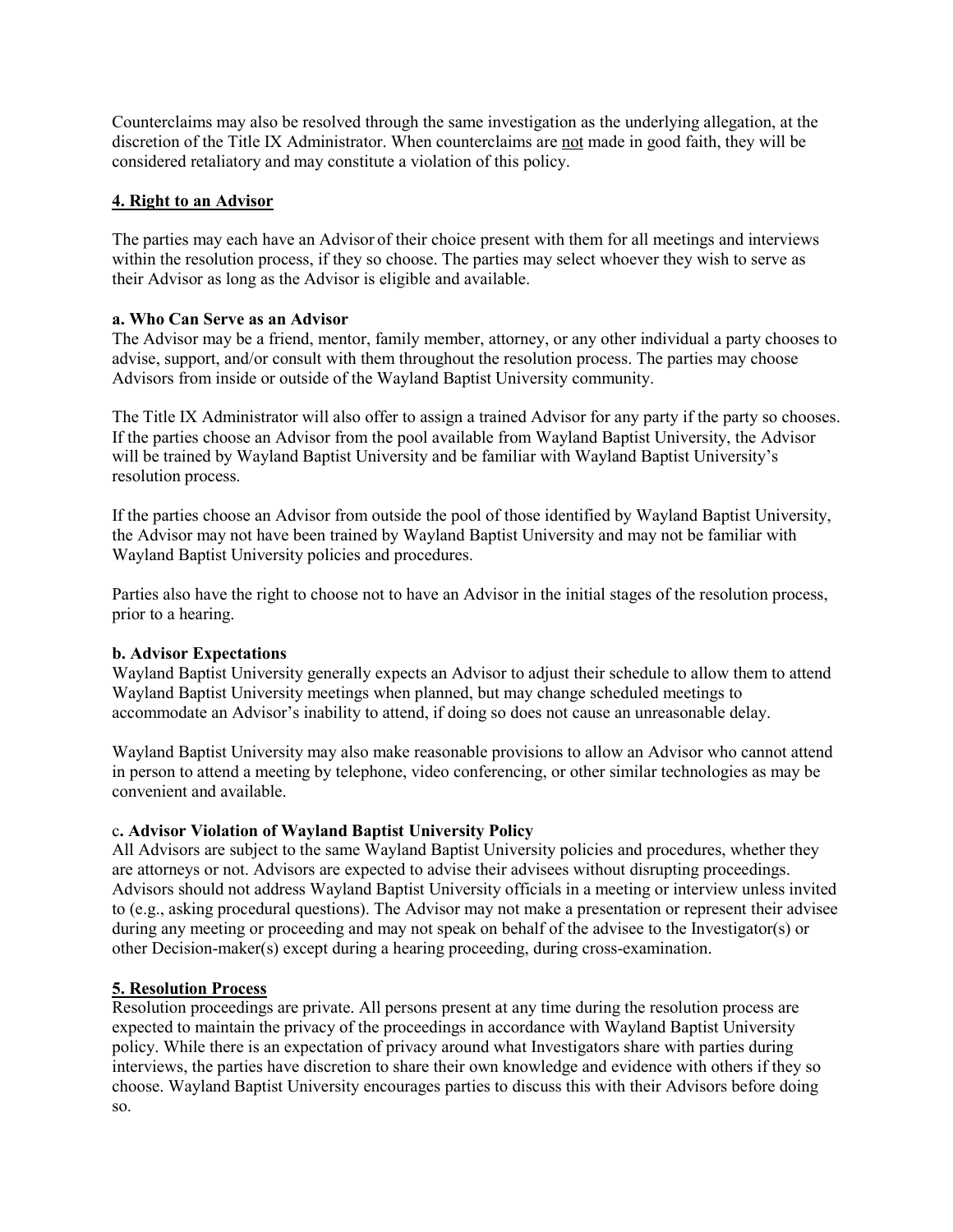Counterclaims may also be resolved through the same investigation as the underlying allegation, at the discretion of the Title IX Administrator. When counterclaims are not made in good faith, they will be considered retaliatory and may constitute a violation of this policy.

#### **4. Right to an Advisor**

The parties may each have an Advisor of their choice present with them for all meetings and interviews within the resolution process, if they so choose. The parties may select whoever they wish to serve as their Advisor as long as the Advisor is eligible and available.

### **a. Who Can Serve as an Advisor**

The Advisor may be a friend, mentor, family member, attorney, or any other individual a party chooses to advise, support, and/or consult with them throughout the resolution process. The parties may choose Advisors from inside or outside of the Wayland Baptist University community.

The Title IX Administrator will also offer to assign a trained Advisor for any party if the party so chooses. If the parties choose an Advisor from the pool available from Wayland Baptist University, the Advisor will be trained by Wayland Baptist University and be familiar with Wayland Baptist University's resolution process.

If the parties choose an Advisor from outside the pool of those identified by Wayland Baptist University, the Advisor may not have been trained by Wayland Baptist University and may not be familiar with Wayland Baptist University policies and procedures.

Parties also have the right to choose not to have an Advisor in the initial stages of the resolution process, prior to a hearing.

#### **b. Advisor Expectations**

Wayland Baptist University generally expects an Advisor to adjust their schedule to allow them to attend Wayland Baptist University meetings when planned, but may change scheduled meetings to accommodate an Advisor's inability to attend, if doing so does not cause an unreasonable delay.

Wayland Baptist University may also make reasonable provisions to allow an Advisor who cannot attend in person to attend a meeting by telephone, video conferencing, or other similar technologies as may be convenient and available.

### c**. Advisor Violation of Wayland Baptist University Policy**

All Advisors are subject to the same Wayland Baptist University policies and procedures, whether they are attorneys or not. Advisors are expected to advise their advisees without disrupting proceedings. Advisors should not address Wayland Baptist University officials in a meeting or interview unless invited to (e.g., asking procedural questions). The Advisor may not make a presentation or represent their advisee during any meeting or proceeding and may not speak on behalf of the advisee to the Investigator(s) or other Decision-maker(s) except during a hearing proceeding, during cross-examination.

### **5. Resolution Process**

Resolution proceedings are private. All persons present at any time during the resolution process are expected to maintain the privacy of the proceedings in accordance with Wayland Baptist University policy. While there is an expectation of privacy around what Investigators share with parties during interviews, the parties have discretion to share their own knowledge and evidence with others if they so choose. Wayland Baptist University encourages parties to discuss this with their Advisors before doing so.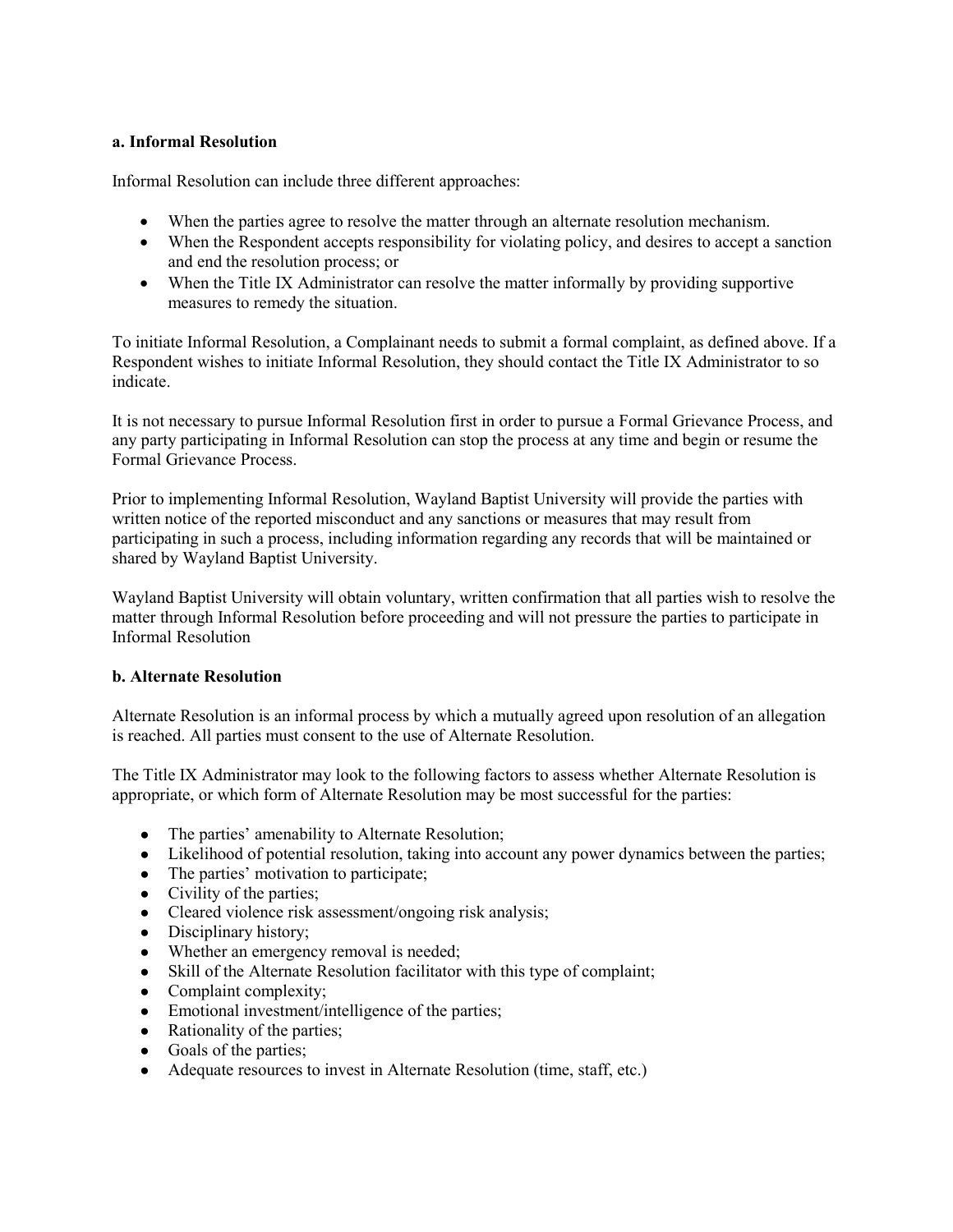#### **a. Informal Resolution**

Informal Resolution can include three different approaches:

- When the parties agree to resolve the matter through an alternate resolution mechanism.
- When the Respondent accepts responsibility for violating policy, and desires to accept a sanction and end the resolution process; or
- When the Title IX Administrator can resolve the matter informally by providing supportive measures to remedy the situation.

To initiate Informal Resolution, a Complainant needs to submit a formal complaint, as defined above. If a Respondent wishes to initiate Informal Resolution, they should contact the Title IX Administrator to so indicate.

It is not necessary to pursue Informal Resolution first in order to pursue a Formal Grievance Process, and any party participating in Informal Resolution can stop the process at any time and begin or resume the Formal Grievance Process.

Prior to implementing Informal Resolution, Wayland Baptist University will provide the parties with written notice of the reported misconduct and any sanctions or measures that may result from participating in such a process, including information regarding any records that will be maintained or shared by Wayland Baptist University.

Wayland Baptist University will obtain voluntary, written confirmation that all parties wish to resolve the matter through Informal Resolution before proceeding and will not pressure the parties to participate in Informal Resolution

#### **b. Alternate Resolution**

Alternate Resolution is an informal process by which a mutually agreed upon resolution of an allegation is reached. All parties must consent to the use of Alternate Resolution.

The Title IX Administrator may look to the following factors to assess whether Alternate Resolution is appropriate, or which form of Alternate Resolution may be most successful for the parties:

- The parties' amenability to Alternate Resolution;
- Likelihood of potential resolution, taking into account any power dynamics between the parties;
- The parties' motivation to participate;
- Civility of the parties;
- Cleared violence risk assessment/ongoing risk analysis;
- Disciplinary history;
- Whether an emergency removal is needed;
- Skill of the Alternate Resolution facilitator with this type of complaint;
- Complaint complexity;
- Emotional investment/intelligence of the parties;
- Rationality of the parties;
- Goals of the parties;
- Adequate resources to invest in Alternate Resolution (time, staff, etc.)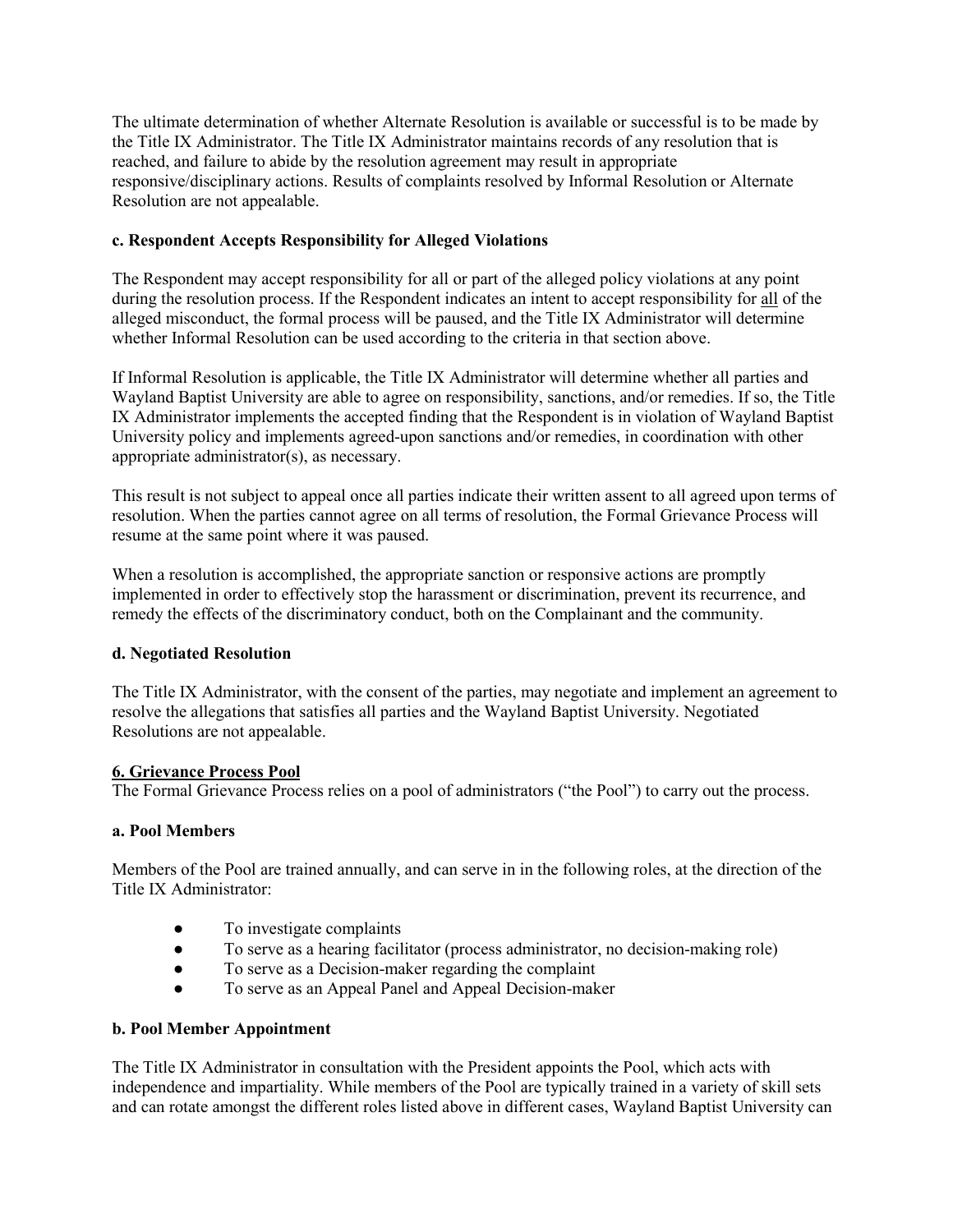The ultimate determination of whether Alternate Resolution is available or successful is to be made by the Title IX Administrator. The Title IX Administrator maintains records of any resolution that is reached, and failure to abide by the resolution agreement may result in appropriate responsive/disciplinary actions. Results of complaints resolved by Informal Resolution or Alternate Resolution are not appealable.

### **c. Respondent Accepts Responsibility for Alleged Violations**

The Respondent may accept responsibility for all or part of the alleged policy violations at any point during the resolution process. If the Respondent indicates an intent to accept responsibility for all of the alleged misconduct, the formal process will be paused, and the Title IX Administrator will determine whether Informal Resolution can be used according to the criteria in that section above.

If Informal Resolution is applicable, the Title IX Administrator will determine whether all parties and Wayland Baptist University are able to agree on responsibility, sanctions, and/or remedies. If so, the Title IX Administrator implements the accepted finding that the Respondent is in violation of Wayland Baptist University policy and implements agreed-upon sanctions and/or remedies, in coordination with other appropriate administrator(s), as necessary.

This result is not subject to appeal once all parties indicate their written assent to all agreed upon terms of resolution. When the parties cannot agree on all terms of resolution, the Formal Grievance Process will resume at the same point where it was paused.

When a resolution is accomplished, the appropriate sanction or responsive actions are promptly implemented in order to effectively stop the harassment or discrimination, prevent its recurrence, and remedy the effects of the discriminatory conduct, both on the Complainant and the community.

#### **d. Negotiated Resolution**

The Title IX Administrator, with the consent of the parties, may negotiate and implement an agreement to resolve the allegations that satisfies all parties and the Wayland Baptist University. Negotiated Resolutions are not appealable.

#### **6. Grievance Process Pool**

The Formal Grievance Process relies on a pool of administrators ("the Pool") to carry out the process.

#### **a. Pool Members**

Members of the Pool are trained annually, and can serve in in the following roles, at the direction of the Title IX Administrator:

- To investigate complaints
- To serve as a hearing facilitator (process administrator, no decision-making role)
- To serve as a Decision-maker regarding the complaint
- To serve as an Appeal Panel and Appeal Decision-maker

#### **b. Pool Member Appointment**

The Title IX Administrator in consultation with the President appoints the Pool, which acts with independence and impartiality. While members of the Pool are typically trained in a variety of skill sets and can rotate amongst the different roles listed above in different cases, Wayland Baptist University can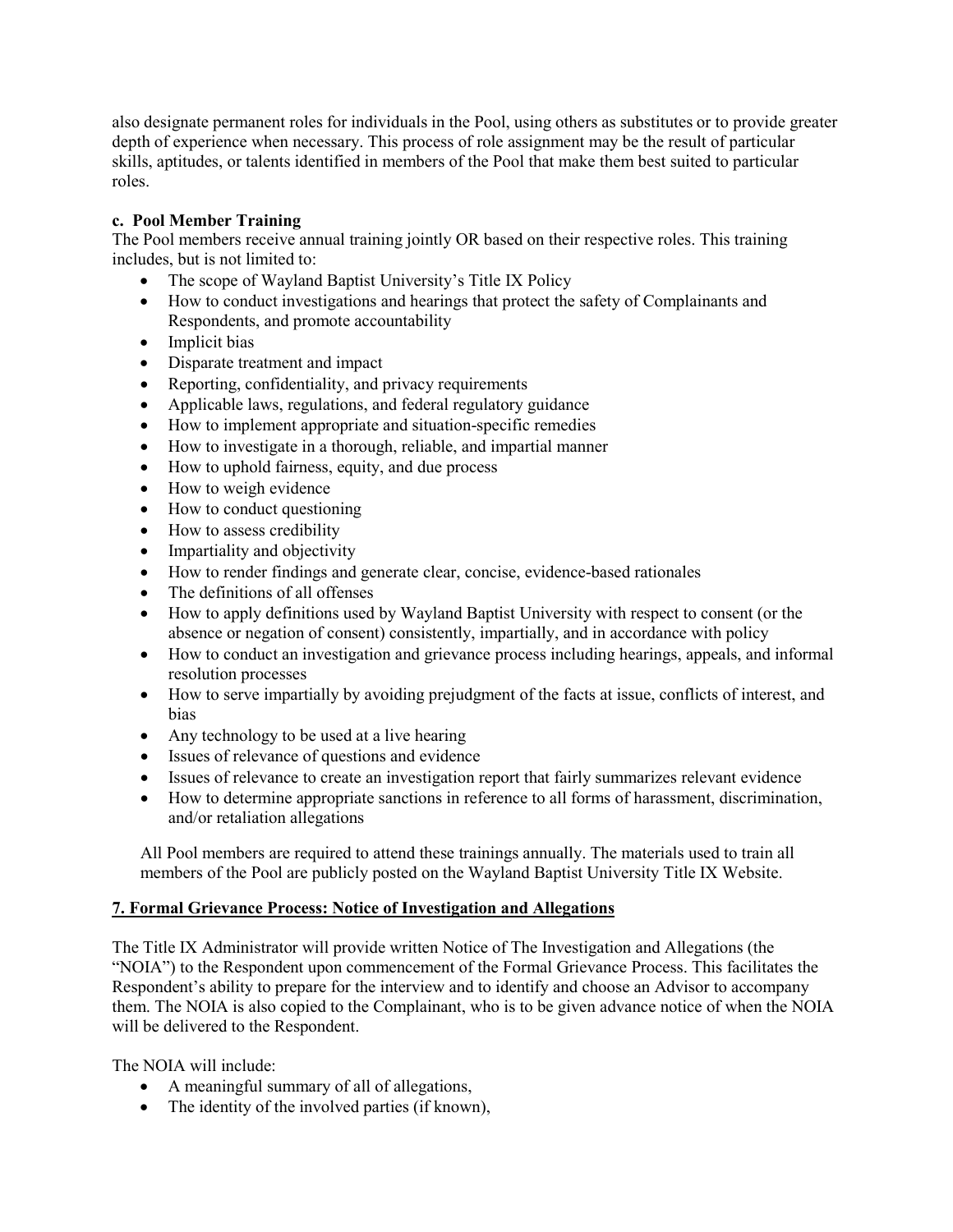also designate permanent roles for individuals in the Pool, using others as substitutes or to provide greater depth of experience when necessary. This process of role assignment may be the result of particular skills, aptitudes, or talents identified in members of the Pool that make them best suited to particular roles.

### **c. Pool Member Training**

The Pool members receive annual training jointly OR based on their respective roles. This training includes, but is not limited to:

- The scope of Wayland Baptist University's Title IX Policy
- How to conduct investigations and hearings that protect the safety of Complainants and Respondents, and promote accountability
- Implicit bias
- Disparate treatment and impact
- Reporting, confidentiality, and privacy requirements
- Applicable laws, regulations, and federal regulatory guidance
- How to implement appropriate and situation-specific remedies
- How to investigate in a thorough, reliable, and impartial manner
- How to uphold fairness, equity, and due process
- How to weigh evidence
- How to conduct questioning
- How to assess credibility
- Impartiality and objectivity
- How to render findings and generate clear, concise, evidence-based rationales
- The definitions of all offenses
- How to apply definitions used by Wayland Baptist University with respect to consent (or the absence or negation of consent) consistently, impartially, and in accordance with policy
- How to conduct an investigation and grievance process including hearings, appeals, and informal resolution processes
- How to serve impartially by avoiding prejudgment of the facts at issue, conflicts of interest, and bias
- Any technology to be used at a live hearing
- Issues of relevance of questions and evidence
- Issues of relevance to create an investigation report that fairly summarizes relevant evidence
- How to determine appropriate sanctions in reference to all forms of harassment, discrimination, and/or retaliation allegations

All Pool members are required to attend these trainings annually. The materials used to train all members of the Pool are publicly posted on the Wayland Baptist University Title IX Website.

#### **7. Formal Grievance Process: Notice of Investigation and Allegations**

The Title IX Administrator will provide written Notice of The Investigation and Allegations (the "NOIA") to the Respondent upon commencement of the Formal Grievance Process. This facilitates the Respondent's ability to prepare for the interview and to identify and choose an Advisor to accompany them. The NOIA is also copied to the Complainant, who is to be given advance notice of when the NOIA will be delivered to the Respondent.

The NOIA will include:

- A meaningful summary of all of allegations,
- The identity of the involved parties (if known),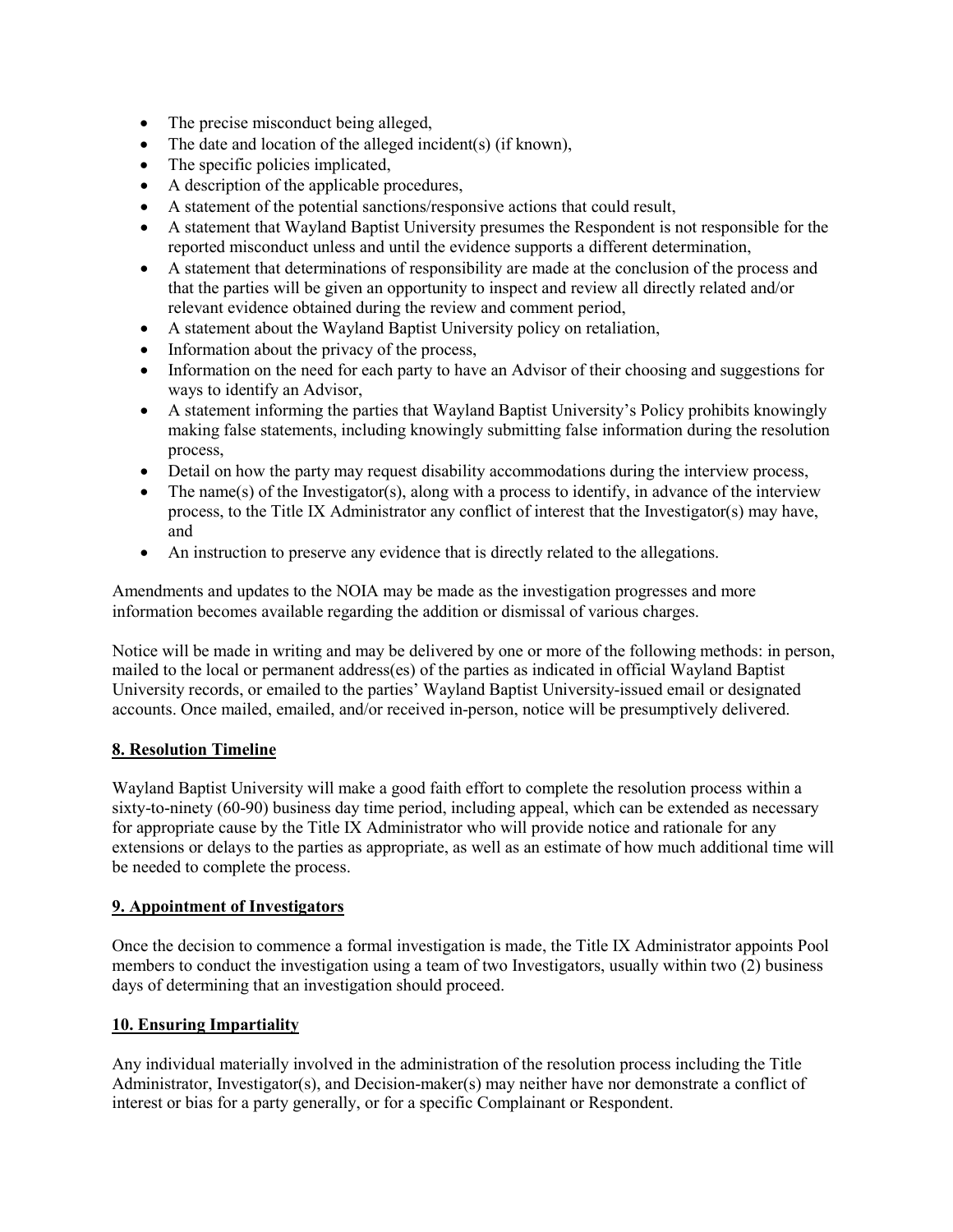- The precise misconduct being alleged,
- The date and location of the alleged incident(s) (if known),
- The specific policies implicated,
- A description of the applicable procedures,
- A statement of the potential sanctions/responsive actions that could result,
- A statement that Wayland Baptist University presumes the Respondent is not responsible for the reported misconduct unless and until the evidence supports a different determination,
- A statement that determinations of responsibility are made at the conclusion of the process and that the parties will be given an opportunity to inspect and review all directly related and/or relevant evidence obtained during the review and comment period,
- A statement about the Wayland Baptist University policy on retaliation,
- Information about the privacy of the process,
- Information on the need for each party to have an Advisor of their choosing and suggestions for ways to identify an Advisor,
- A statement informing the parties that Wayland Baptist University's Policy prohibits knowingly making false statements, including knowingly submitting false information during the resolution process,
- Detail on how the party may request disability accommodations during the interview process,
- The name(s) of the Investigator(s), along with a process to identify, in advance of the interview process, to the Title IX Administrator any conflict of interest that the Investigator(s) may have, and
- An instruction to preserve any evidence that is directly related to the allegations.

Amendments and updates to the NOIA may be made as the investigation progresses and more information becomes available regarding the addition or dismissal of various charges.

Notice will be made in writing and may be delivered by one or more of the following methods: in person, mailed to the local or permanent address(es) of the parties as indicated in official Wayland Baptist University records, or emailed to the parties' Wayland Baptist University-issued email or designated accounts. Once mailed, emailed, and/or received in-person, notice will be presumptively delivered.

### **8. Resolution Timeline**

Wayland Baptist University will make a good faith effort to complete the resolution process within a sixty-to-ninety (60-90) business day time period, including appeal, which can be extended as necessary for appropriate cause by the Title IX Administrator who will provide notice and rationale for any extensions or delays to the parties as appropriate, as well as an estimate of how much additional time will be needed to complete the process.

### **9. Appointment of Investigators**

Once the decision to commence a formal investigation is made, the Title IX Administrator appoints Pool members to conduct the investigation using a team of two Investigators, usually within two (2) business days of determining that an investigation should proceed.

### **10. Ensuring Impartiality**

Any individual materially involved in the administration of the resolution process including the Title Administrator, Investigator(s), and Decision-maker(s) may neither have nor demonstrate a conflict of interest or bias for a party generally, or for a specific Complainant or Respondent.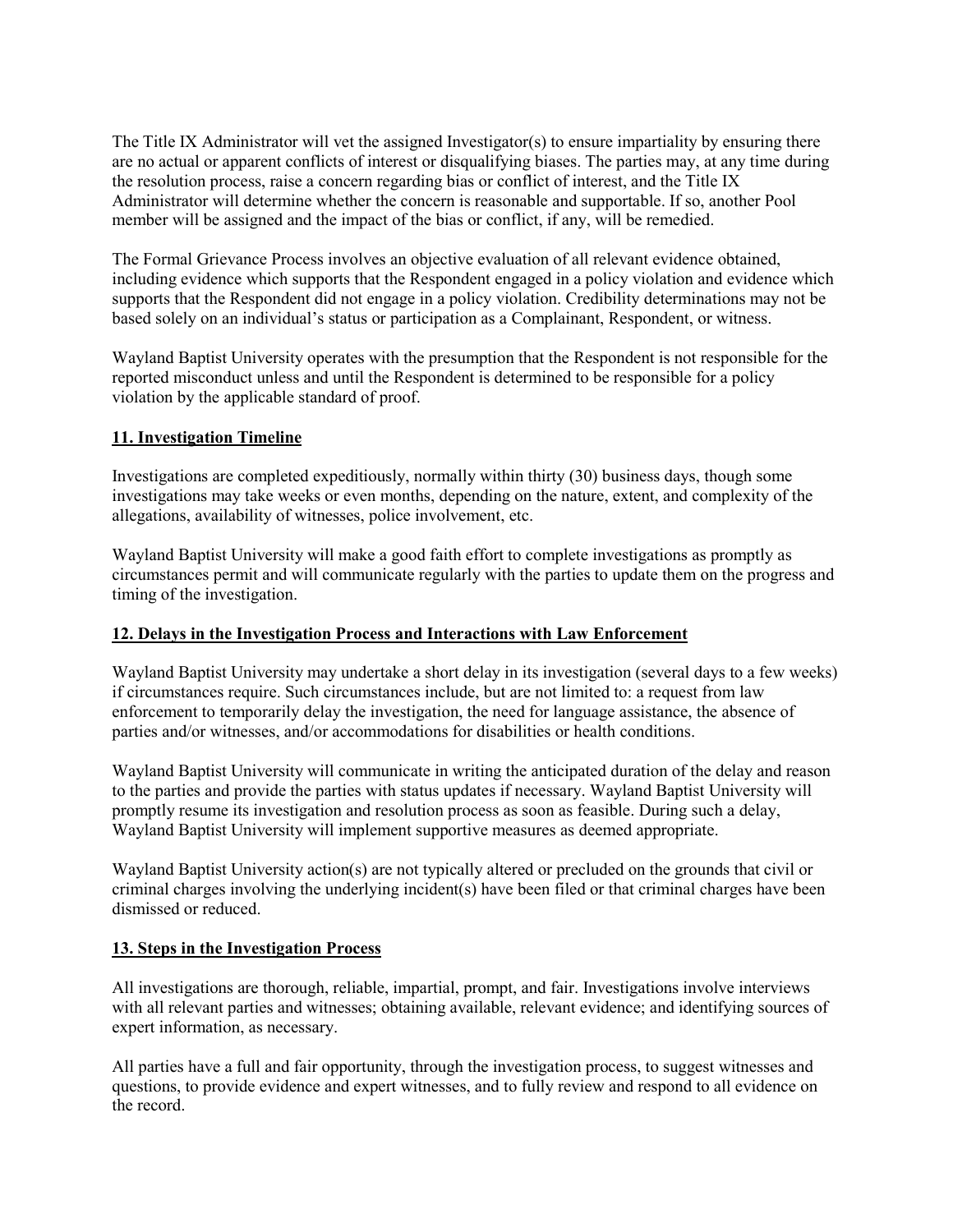The Title IX Administrator will vet the assigned Investigator(s) to ensure impartiality by ensuring there are no actual or apparent conflicts of interest or disqualifying biases. The parties may, at any time during the resolution process, raise a concern regarding bias or conflict of interest, and the Title IX Administrator will determine whether the concern is reasonable and supportable. If so, another Pool member will be assigned and the impact of the bias or conflict, if any, will be remedied.

The Formal Grievance Process involves an objective evaluation of all relevant evidence obtained, including evidence which supports that the Respondent engaged in a policy violation and evidence which supports that the Respondent did not engage in a policy violation. Credibility determinations may not be based solely on an individual's status or participation as a Complainant, Respondent, or witness.

Wayland Baptist University operates with the presumption that the Respondent is not responsible for the reported misconduct unless and until the Respondent is determined to be responsible for a policy violation by the applicable standard of proof.

### **11. Investigation Timeline**

Investigations are completed expeditiously, normally within thirty (30) business days, though some investigations may take weeks or even months, depending on the nature, extent, and complexity of the allegations, availability of witnesses, police involvement, etc.

Wayland Baptist University will make a good faith effort to complete investigations as promptly as circumstances permit and will communicate regularly with the parties to update them on the progress and timing of the investigation.

#### **12. Delays in the Investigation Process and Interactions with Law Enforcement**

Wayland Baptist University may undertake a short delay in its investigation (several days to a few weeks) if circumstances require. Such circumstances include, but are not limited to: a request from law enforcement to temporarily delay the investigation, the need for language assistance, the absence of parties and/or witnesses, and/or accommodations for disabilities or health conditions.

Wayland Baptist University will communicate in writing the anticipated duration of the delay and reason to the parties and provide the parties with status updates if necessary. Wayland Baptist University will promptly resume its investigation and resolution process as soon as feasible. During such a delay, Wayland Baptist University will implement supportive measures as deemed appropriate.

Wayland Baptist University action(s) are not typically altered or precluded on the grounds that civil or criminal charges involving the underlying incident(s) have been filed or that criminal charges have been dismissed or reduced.

#### **13. Steps in the Investigation Process**

All investigations are thorough, reliable, impartial, prompt, and fair. Investigations involve interviews with all relevant parties and witnesses; obtaining available, relevant evidence; and identifying sources of expert information, as necessary.

All parties have a full and fair opportunity, through the investigation process, to suggest witnesses and questions, to provide evidence and expert witnesses, and to fully review and respond to all evidence on the record.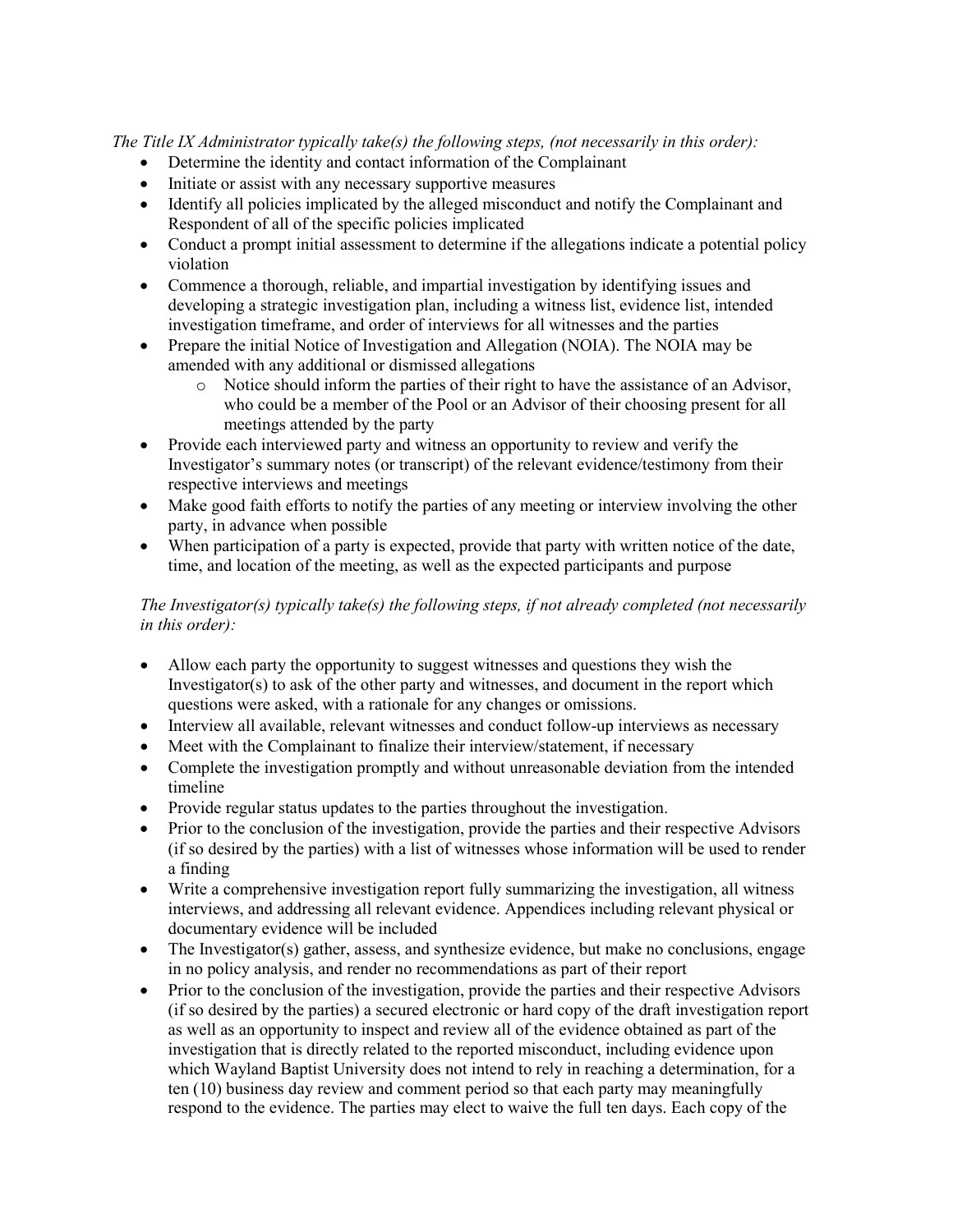*The Title IX Administrator typically take(s) the following steps, (not necessarily in this order):*

- Determine the identity and contact information of the Complainant
- Initiate or assist with any necessary supportive measures
- Identify all policies implicated by the alleged misconduct and notify the Complainant and Respondent of all of the specific policies implicated
- Conduct a prompt initial assessment to determine if the allegations indicate a potential policy violation
- Commence a thorough, reliable, and impartial investigation by identifying issues and developing a strategic investigation plan, including a witness list, evidence list, intended investigation timeframe, and order of interviews for all witnesses and the parties
- Prepare the initial Notice of Investigation and Allegation (NOIA). The NOIA may be amended with any additional or dismissed allegations
	- o Notice should inform the parties of their right to have the assistance of an Advisor, who could be a member of the Pool or an Advisor of their choosing present for all meetings attended by the party
- Provide each interviewed party and witness an opportunity to review and verify the Investigator's summary notes (or transcript) of the relevant evidence/testimony from their respective interviews and meetings
- Make good faith efforts to notify the parties of any meeting or interview involving the other party, in advance when possible
- When participation of a party is expected, provide that party with written notice of the date, time, and location of the meeting, as well as the expected participants and purpose

### *The Investigator(s) typically take(s) the following steps, if not already completed (not necessarily in this order):*

- Allow each party the opportunity to suggest witnesses and questions they wish the Investigator(s) to ask of the other party and witnesses, and document in the report which questions were asked, with a rationale for any changes or omissions.
- Interview all available, relevant witnesses and conduct follow-up interviews as necessary
- Meet with the Complainant to finalize their interview/statement, if necessary
- Complete the investigation promptly and without unreasonable deviation from the intended timeline
- Provide regular status updates to the parties throughout the investigation.
- Prior to the conclusion of the investigation, provide the parties and their respective Advisors (if so desired by the parties) with a list of witnesses whose information will be used to render a finding
- Write a comprehensive investigation report fully summarizing the investigation, all witness interviews, and addressing all relevant evidence. Appendices including relevant physical or documentary evidence will be included
- The Investigator(s) gather, assess, and synthesize evidence, but make no conclusions, engage in no policy analysis, and render no recommendations as part of their report
- Prior to the conclusion of the investigation, provide the parties and their respective Advisors (if so desired by the parties) a secured electronic or hard copy of the draft investigation report as well as an opportunity to inspect and review all of the evidence obtained as part of the investigation that is directly related to the reported misconduct, including evidence upon which Wayland Baptist University does not intend to rely in reaching a determination, for a ten (10) business day review and comment period so that each party may meaningfully respond to the evidence. The parties may elect to waive the full ten days. Each copy of the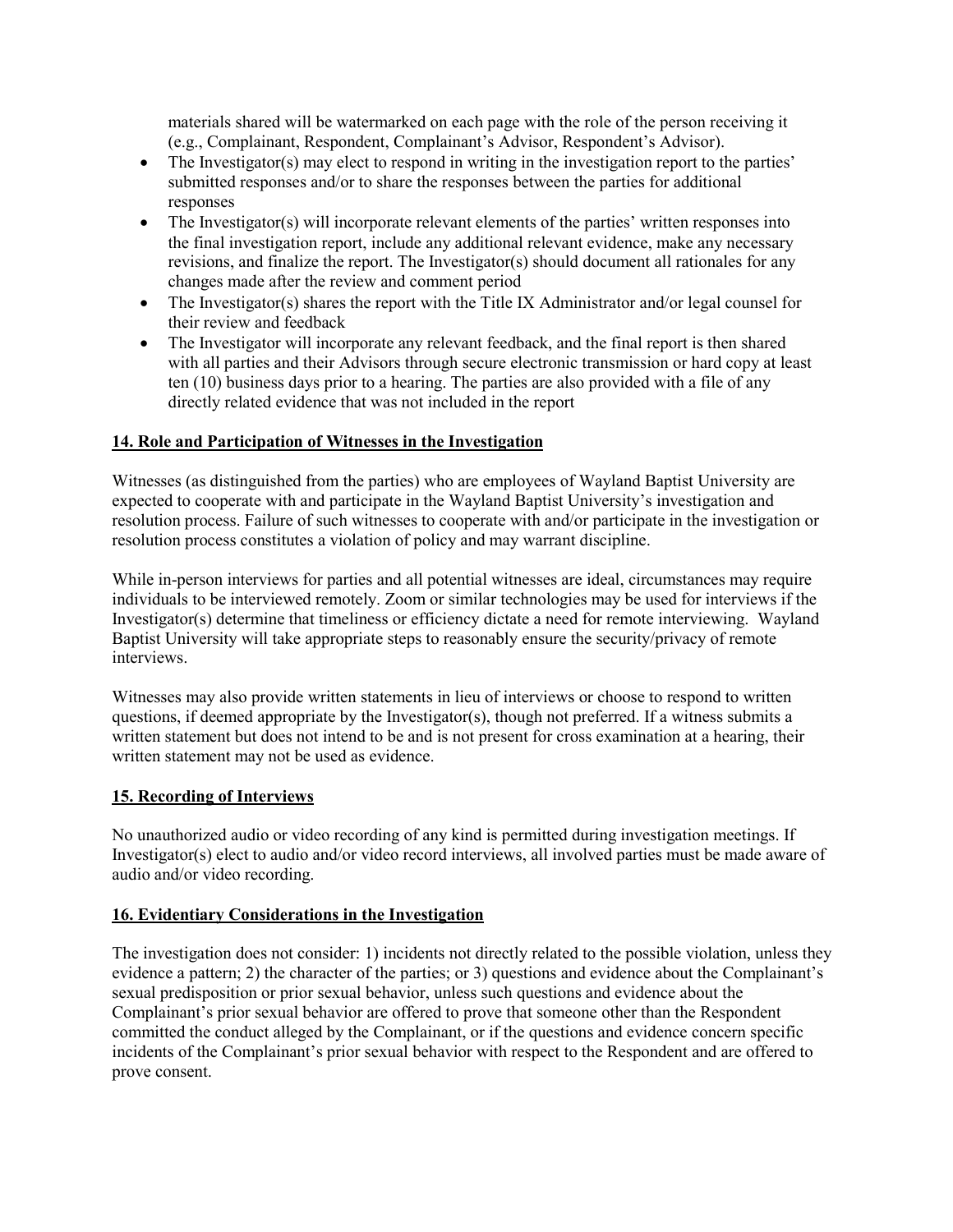materials shared will be watermarked on each page with the role of the person receiving it (e.g., Complainant, Respondent, Complainant's Advisor, Respondent's Advisor).

- The Investigator(s) may elect to respond in writing in the investigation report to the parties' submitted responses and/or to share the responses between the parties for additional responses
- The Investigator(s) will incorporate relevant elements of the parties' written responses into the final investigation report, include any additional relevant evidence, make any necessary revisions, and finalize the report. The Investigator(s) should document all rationales for any changes made after the review and comment period
- The Investigator(s) shares the report with the Title IX Administrator and/or legal counsel for their review and feedback
- The Investigator will incorporate any relevant feedback, and the final report is then shared with all parties and their Advisors through secure electronic transmission or hard copy at least ten (10) business days prior to a hearing. The parties are also provided with a file of any directly related evidence that was not included in the report

### **14. Role and Participation of Witnesses in the Investigation**

Witnesses (as distinguished from the parties) who are employees of Wayland Baptist University are expected to cooperate with and participate in the Wayland Baptist University's investigation and resolution process. Failure of such witnesses to cooperate with and/or participate in the investigation or resolution process constitutes a violation of policy and may warrant discipline.

While in-person interviews for parties and all potential witnesses are ideal, circumstances may require individuals to be interviewed remotely. Zoom or similar technologies may be used for interviews if the Investigator(s) determine that timeliness or efficiency dictate a need for remote interviewing. Wayland Baptist University will take appropriate steps to reasonably ensure the security/privacy of remote interviews.

Witnesses may also provide written statements in lieu of interviews or choose to respond to written questions, if deemed appropriate by the Investigator(s), though not preferred. If a witness submits a written statement but does not intend to be and is not present for cross examination at a hearing, their written statement may not be used as evidence.

### **15. Recording of Interviews**

No unauthorized audio or video recording of any kind is permitted during investigation meetings. If Investigator(s) elect to audio and/or video record interviews, all involved parties must be made aware of audio and/or video recording.

#### **16. Evidentiary Considerations in the Investigation**

The investigation does not consider: 1) incidents not directly related to the possible violation, unless they evidence a pattern; 2) the character of the parties; or 3) questions and evidence about the Complainant's sexual predisposition or prior sexual behavior, unless such questions and evidence about the Complainant's prior sexual behavior are offered to prove that someone other than the Respondent committed the conduct alleged by the Complainant, or if the questions and evidence concern specific incidents of the Complainant's prior sexual behavior with respect to the Respondent and are offered to prove consent.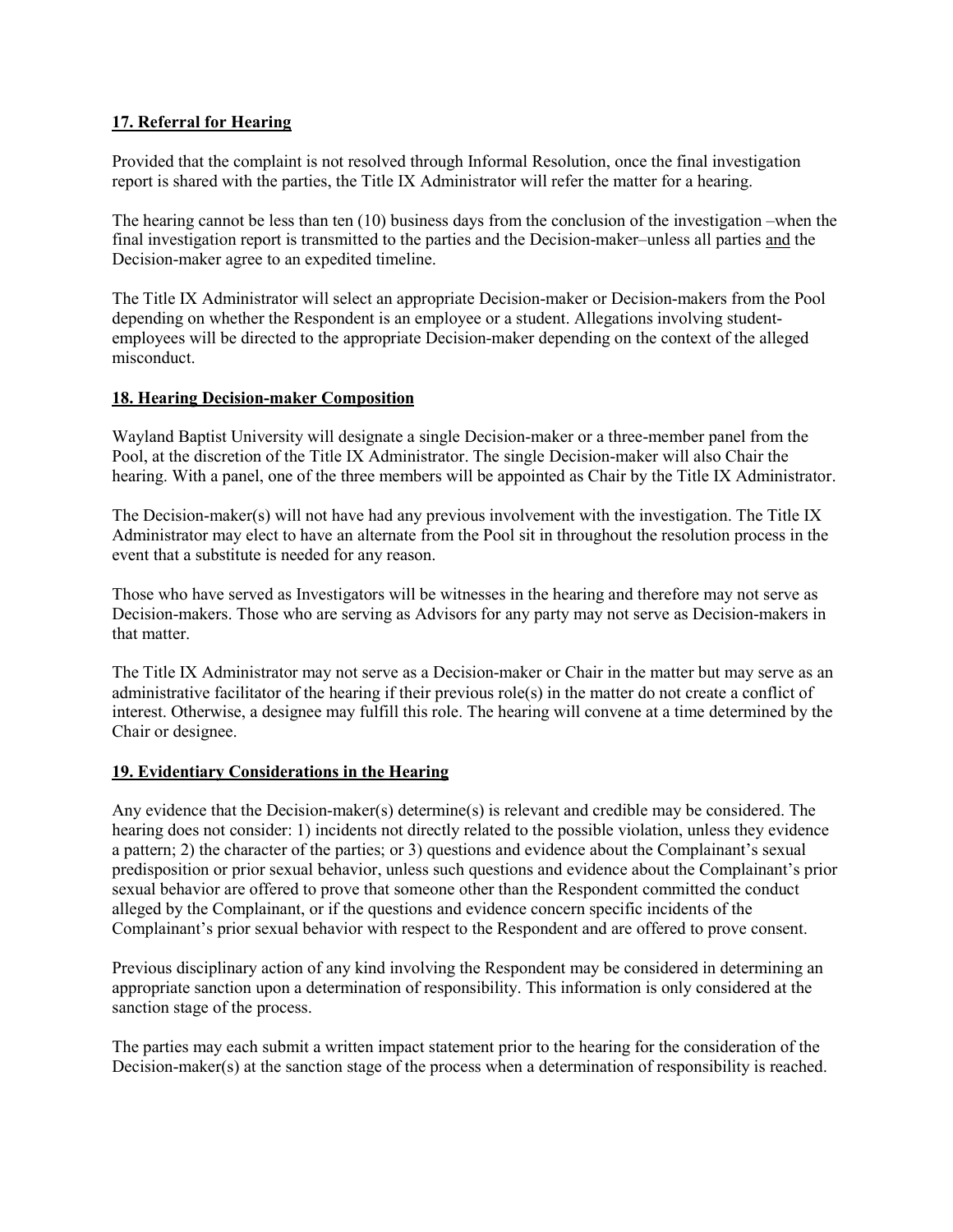### **17. Referral for Hearing**

Provided that the complaint is not resolved through Informal Resolution, once the final investigation report is shared with the parties, the Title IX Administrator will refer the matter for a hearing.

The hearing cannot be less than ten (10) business days from the conclusion of the investigation –when the final investigation report is transmitted to the parties and the Decision-maker–unless all parties and the Decision-maker agree to an expedited timeline.

The Title IX Administrator will select an appropriate Decision-maker or Decision-makers from the Pool depending on whether the Respondent is an employee or a student. Allegations involving studentemployees will be directed to the appropriate Decision-maker depending on the context of the alleged misconduct.

#### **18. Hearing Decision-maker Composition**

Wayland Baptist University will designate a single Decision-maker or a three-member panel from the Pool, at the discretion of the Title IX Administrator. The single Decision-maker will also Chair the hearing. With a panel, one of the three members will be appointed as Chair by the Title IX Administrator.

The Decision-maker(s) will not have had any previous involvement with the investigation. The Title IX Administrator may elect to have an alternate from the Pool sit in throughout the resolution process in the event that a substitute is needed for any reason.

Those who have served as Investigators will be witnesses in the hearing and therefore may not serve as Decision-makers. Those who are serving as Advisors for any party may not serve as Decision-makers in that matter.

The Title IX Administrator may not serve as a Decision-maker or Chair in the matter but may serve as an administrative facilitator of the hearing if their previous role(s) in the matter do not create a conflict of interest. Otherwise, a designee may fulfill this role. The hearing will convene at a time determined by the Chair or designee.

#### **19. Evidentiary Considerations in the Hearing**

Any evidence that the Decision-maker(s) determine(s) is relevant and credible may be considered. The hearing does not consider: 1) incidents not directly related to the possible violation, unless they evidence a pattern; 2) the character of the parties; or 3) questions and evidence about the Complainant's sexual predisposition or prior sexual behavior, unless such questions and evidence about the Complainant's prior sexual behavior are offered to prove that someone other than the Respondent committed the conduct alleged by the Complainant, or if the questions and evidence concern specific incidents of the Complainant's prior sexual behavior with respect to the Respondent and are offered to prove consent.

Previous disciplinary action of any kind involving the Respondent may be considered in determining an appropriate sanction upon a determination of responsibility. This information is only considered at the sanction stage of the process.

The parties may each submit a written impact statement prior to the hearing for the consideration of the Decision-maker(s) at the sanction stage of the process when a determination of responsibility is reached.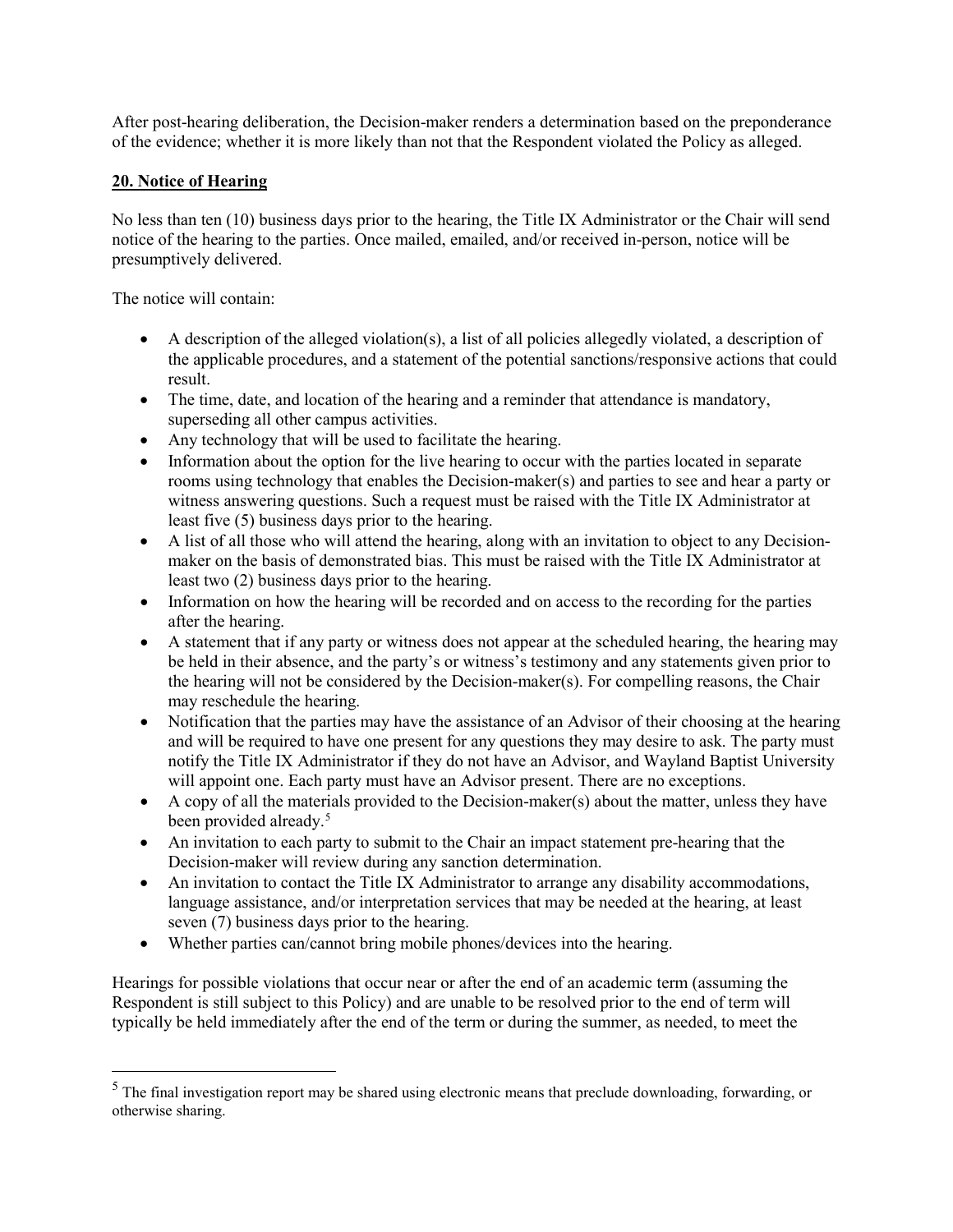After post-hearing deliberation, the Decision-maker renders a determination based on the preponderance of the evidence; whether it is more likely than not that the Respondent violated the Policy as alleged.

### **20. Notice of Hearing**

No less than ten (10) business days prior to the hearing, the Title IX Administrator or the Chair will send notice of the hearing to the parties. Once mailed, emailed, and/or received in-person, notice will be presumptively delivered.

The notice will contain:

- A description of the alleged violation(s), a list of all policies allegedly violated, a description of the applicable procedures, and a statement of the potential sanctions/responsive actions that could result.
- The time, date, and location of the hearing and a reminder that attendance is mandatory, superseding all other campus activities.
- Any technology that will be used to facilitate the hearing.
- Information about the option for the live hearing to occur with the parties located in separate rooms using technology that enables the Decision-maker(s) and parties to see and hear a party or witness answering questions. Such a request must be raised with the Title IX Administrator at least five (5) business days prior to the hearing.
- A list of all those who will attend the hearing, along with an invitation to object to any Decisionmaker on the basis of demonstrated bias. This must be raised with the Title IX Administrator at least two (2) business days prior to the hearing.
- Information on how the hearing will be recorded and on access to the recording for the parties after the hearing.
- A statement that if any party or witness does not appear at the scheduled hearing, the hearing may be held in their absence, and the party's or witness's testimony and any statements given prior to the hearing will not be considered by the Decision-maker(s). For compelling reasons, the Chair may reschedule the hearing.
- Notification that the parties may have the assistance of an Advisor of their choosing at the hearing and will be required to have one present for any questions they may desire to ask. The party must notify the Title IX Administrator if they do not have an Advisor, and Wayland Baptist University will appoint one. Each party must have an Advisor present. There are no exceptions.
- A copy of all the materials provided to the Decision-maker(s) about the matter, unless they have been provided already.<sup>[5](#page-30-0)</sup>
- An invitation to each party to submit to the Chair an impact statement pre-hearing that the Decision-maker will review during any sanction determination.
- An invitation to contact the Title IX Administrator to arrange any disability accommodations, language assistance, and/or interpretation services that may be needed at the hearing, at least seven (7) business days prior to the hearing.
- Whether parties can/cannot bring mobile phones/devices into the hearing.

Hearings for possible violations that occur near or after the end of an academic term (assuming the Respondent is still subject to this Policy) and are unable to be resolved prior to the end of term will typically be held immediately after the end of the term or during the summer, as needed, to meet the

<span id="page-30-0"></span><sup>&</sup>lt;sup>5</sup> The final investigation report may be shared using electronic means that preclude downloading, forwarding, or otherwise sharing.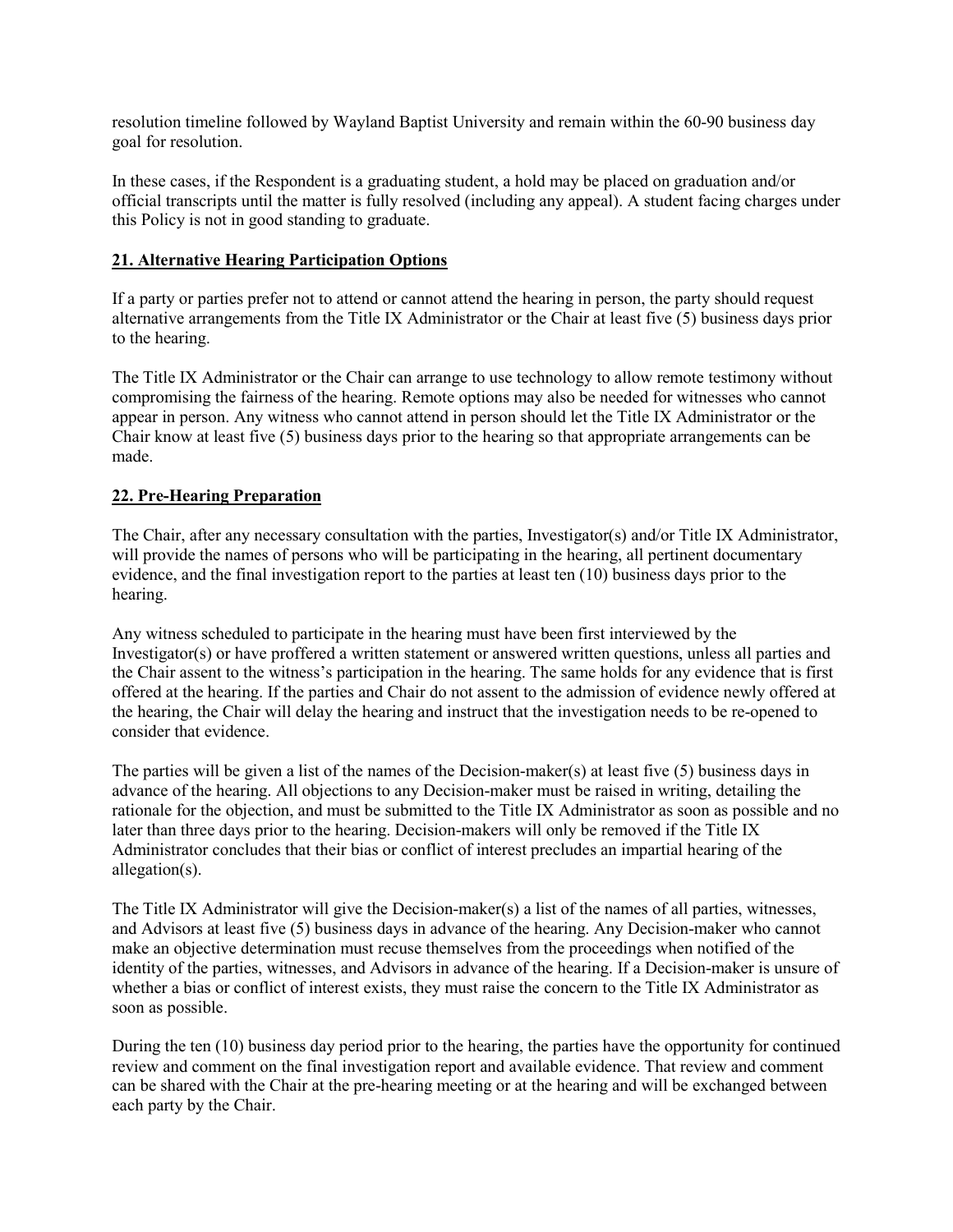resolution timeline followed by Wayland Baptist University and remain within the 60-90 business day goal for resolution.

In these cases, if the Respondent is a graduating student, a hold may be placed on graduation and/or official transcripts until the matter is fully resolved (including any appeal). A student facing charges under this Policy is not in good standing to graduate.

### **21. Alternative Hearing Participation Options**

If a party or parties prefer not to attend or cannot attend the hearing in person, the party should request alternative arrangements from the Title IX Administrator or the Chair at least five (5) business days prior to the hearing.

The Title IX Administrator or the Chair can arrange to use technology to allow remote testimony without compromising the fairness of the hearing. Remote options may also be needed for witnesses who cannot appear in person. Any witness who cannot attend in person should let the Title IX Administrator or the Chair know at least five (5) business days prior to the hearing so that appropriate arrangements can be made.

### **22. Pre-Hearing Preparation**

The Chair, after any necessary consultation with the parties, Investigator(s) and/or Title IX Administrator, will provide the names of persons who will be participating in the hearing, all pertinent documentary evidence, and the final investigation report to the parties at least ten (10) business days prior to the hearing.

Any witness scheduled to participate in the hearing must have been first interviewed by the Investigator(s) or have proffered a written statement or answered written questions, unless all parties and the Chair assent to the witness's participation in the hearing. The same holds for any evidence that is first offered at the hearing. If the parties and Chair do not assent to the admission of evidence newly offered at the hearing, the Chair will delay the hearing and instruct that the investigation needs to be re-opened to consider that evidence.

The parties will be given a list of the names of the Decision-maker(s) at least five (5) business days in advance of the hearing. All objections to any Decision-maker must be raised in writing, detailing the rationale for the objection, and must be submitted to the Title IX Administrator as soon as possible and no later than three days prior to the hearing. Decision-makers will only be removed if the Title IX Administrator concludes that their bias or conflict of interest precludes an impartial hearing of the allegation(s).

The Title IX Administrator will give the Decision-maker(s) a list of the names of all parties, witnesses, and Advisors at least five (5) business days in advance of the hearing. Any Decision-maker who cannot make an objective determination must recuse themselves from the proceedings when notified of the identity of the parties, witnesses, and Advisors in advance of the hearing. If a Decision-maker is unsure of whether a bias or conflict of interest exists, they must raise the concern to the Title IX Administrator as soon as possible.

During the ten (10) business day period prior to the hearing, the parties have the opportunity for continued review and comment on the final investigation report and available evidence. That review and comment can be shared with the Chair at the pre-hearing meeting or at the hearing and will be exchanged between each party by the Chair.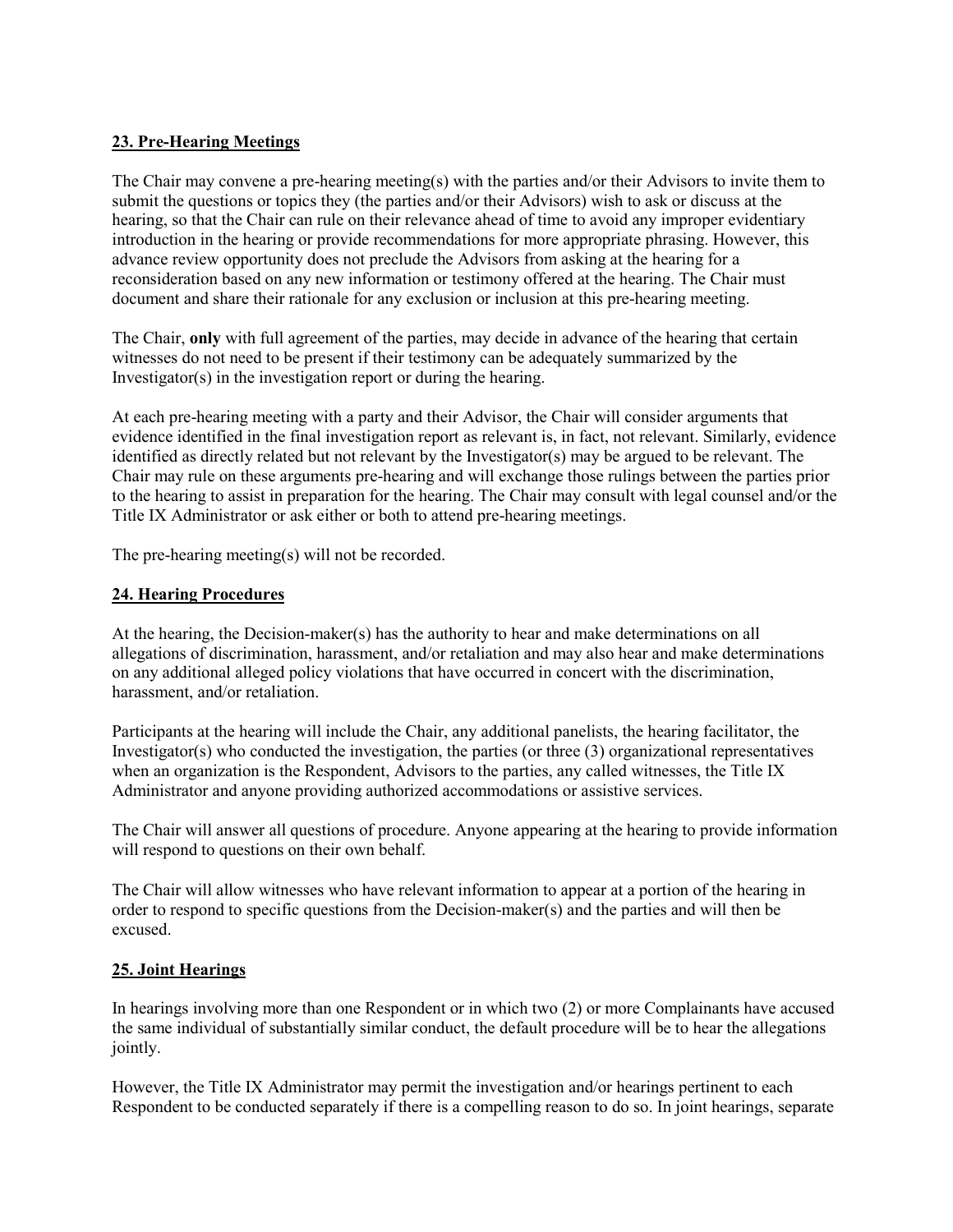### **23. Pre-Hearing Meetings**

The Chair may convene a pre-hearing meeting(s) with the parties and/or their Advisors to invite them to submit the questions or topics they (the parties and/or their Advisors) wish to ask or discuss at the hearing, so that the Chair can rule on their relevance ahead of time to avoid any improper evidentiary introduction in the hearing or provide recommendations for more appropriate phrasing. However, this advance review opportunity does not preclude the Advisors from asking at the hearing for a reconsideration based on any new information or testimony offered at the hearing. The Chair must document and share their rationale for any exclusion or inclusion at this pre-hearing meeting.

The Chair, **only** with full agreement of the parties, may decide in advance of the hearing that certain witnesses do not need to be present if their testimony can be adequately summarized by the Investigator(s) in the investigation report or during the hearing.

At each pre-hearing meeting with a party and their Advisor, the Chair will consider arguments that evidence identified in the final investigation report as relevant is, in fact, not relevant. Similarly, evidence identified as directly related but not relevant by the Investigator(s) may be argued to be relevant. The Chair may rule on these arguments pre-hearing and will exchange those rulings between the parties prior to the hearing to assist in preparation for the hearing. The Chair may consult with legal counsel and/or the Title IX Administrator or ask either or both to attend pre-hearing meetings.

The pre-hearing meeting(s) will not be recorded.

#### **24. Hearing Procedures**

At the hearing, the Decision-maker(s) has the authority to hear and make determinations on all allegations of discrimination, harassment, and/or retaliation and may also hear and make determinations on any additional alleged policy violations that have occurred in concert with the discrimination, harassment, and/or retaliation.

Participants at the hearing will include the Chair, any additional panelists, the hearing facilitator, the Investigator(s) who conducted the investigation, the parties (or three  $(3)$  organizational representatives when an organization is the Respondent, Advisors to the parties, any called witnesses, the Title IX Administrator and anyone providing authorized accommodations or assistive services.

The Chair will answer all questions of procedure. Anyone appearing at the hearing to provide information will respond to questions on their own behalf.

The Chair will allow witnesses who have relevant information to appear at a portion of the hearing in order to respond to specific questions from the Decision-maker(s) and the parties and will then be excused.

#### **25. Joint Hearings**

In hearings involving more than one Respondent or in which two (2) or more Complainants have accused the same individual of substantially similar conduct, the default procedure will be to hear the allegations jointly.

However, the Title IX Administrator may permit the investigation and/or hearings pertinent to each Respondent to be conducted separately if there is a compelling reason to do so. In joint hearings, separate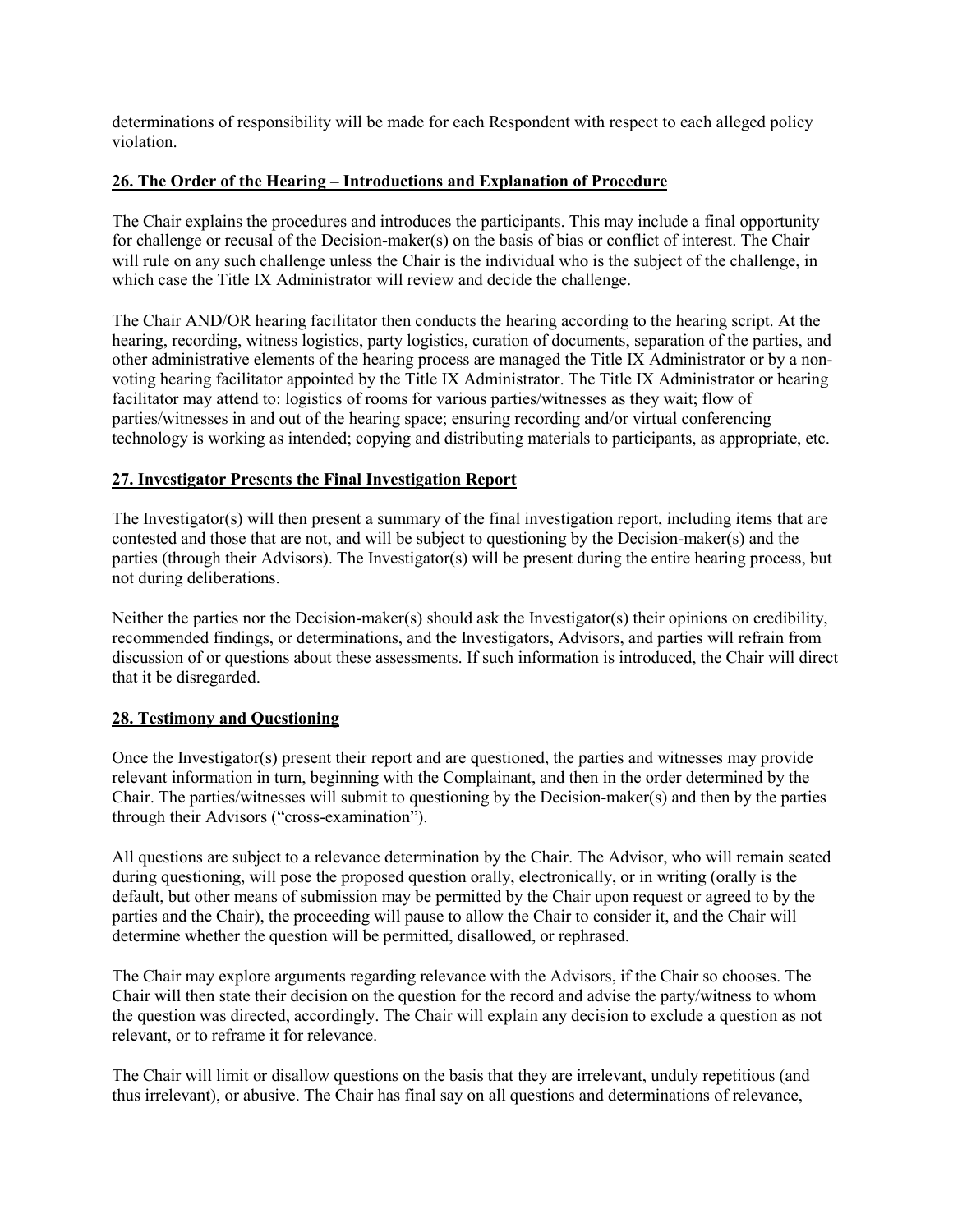determinations of responsibility will be made for each Respondent with respect to each alleged policy violation.

### **26. The Order of the Hearing – Introductions and Explanation of Procedure**

The Chair explains the procedures and introduces the participants. This may include a final opportunity for challenge or recusal of the Decision-maker(s) on the basis of bias or conflict of interest. The Chair will rule on any such challenge unless the Chair is the individual who is the subject of the challenge, in which case the Title IX Administrator will review and decide the challenge.

The Chair AND/OR hearing facilitator then conducts the hearing according to the hearing script. At the hearing, recording, witness logistics, party logistics, curation of documents, separation of the parties, and other administrative elements of the hearing process are managed the Title IX Administrator or by a nonvoting hearing facilitator appointed by the Title IX Administrator. The Title IX Administrator or hearing facilitator may attend to: logistics of rooms for various parties/witnesses as they wait; flow of parties/witnesses in and out of the hearing space; ensuring recording and/or virtual conferencing technology is working as intended; copying and distributing materials to participants, as appropriate, etc.

### **27. Investigator Presents the Final Investigation Report**

The Investigator(s) will then present a summary of the final investigation report, including items that are contested and those that are not, and will be subject to questioning by the Decision-maker(s) and the parties (through their Advisors). The Investigator(s) will be present during the entire hearing process, but not during deliberations.

Neither the parties nor the Decision-maker(s) should ask the Investigator(s) their opinions on credibility, recommended findings, or determinations, and the Investigators, Advisors, and parties will refrain from discussion of or questions about these assessments. If such information is introduced, the Chair will direct that it be disregarded.

#### **28. Testimony and Questioning**

Once the Investigator(s) present their report and are questioned, the parties and witnesses may provide relevant information in turn, beginning with the Complainant, and then in the order determined by the Chair. The parties/witnesses will submit to questioning by the Decision-maker(s) and then by the parties through their Advisors ("cross-examination").

All questions are subject to a relevance determination by the Chair. The Advisor, who will remain seated during questioning, will pose the proposed question orally, electronically, or in writing (orally is the default, but other means of submission may be permitted by the Chair upon request or agreed to by the parties and the Chair), the proceeding will pause to allow the Chair to consider it, and the Chair will determine whether the question will be permitted, disallowed, or rephrased.

The Chair may explore arguments regarding relevance with the Advisors, if the Chair so chooses. The Chair will then state their decision on the question for the record and advise the party/witness to whom the question was directed, accordingly. The Chair will explain any decision to exclude a question as not relevant, or to reframe it for relevance.

The Chair will limit or disallow questions on the basis that they are irrelevant, unduly repetitious (and thus irrelevant), or abusive. The Chair has final say on all questions and determinations of relevance,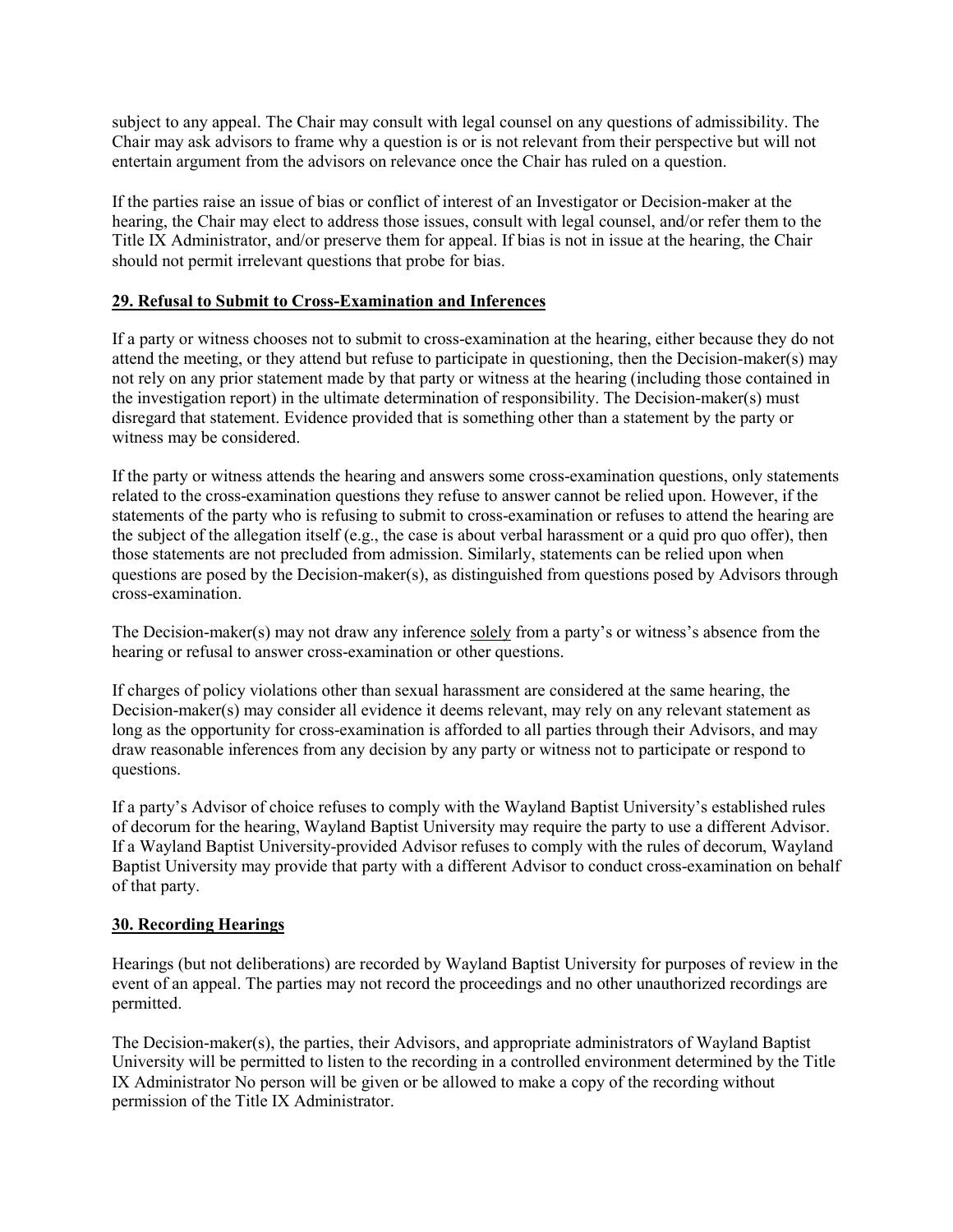subject to any appeal. The Chair may consult with legal counsel on any questions of admissibility. The Chair may ask advisors to frame why a question is or is not relevant from their perspective but will not entertain argument from the advisors on relevance once the Chair has ruled on a question.

If the parties raise an issue of bias or conflict of interest of an Investigator or Decision-maker at the hearing, the Chair may elect to address those issues, consult with legal counsel, and/or refer them to the Title IX Administrator, and/or preserve them for appeal. If bias is not in issue at the hearing, the Chair should not permit irrelevant questions that probe for bias.

### **29. Refusal to Submit to Cross-Examination and Inferences**

If a party or witness chooses not to submit to cross-examination at the hearing, either because they do not attend the meeting, or they attend but refuse to participate in questioning, then the Decision-maker(s) may not rely on any prior statement made by that party or witness at the hearing (including those contained in the investigation report) in the ultimate determination of responsibility. The Decision-maker(s) must disregard that statement. Evidence provided that is something other than a statement by the party or witness may be considered.

If the party or witness attends the hearing and answers some cross-examination questions, only statements related to the cross-examination questions they refuse to answer cannot be relied upon. However, if the statements of the party who is refusing to submit to cross-examination or refuses to attend the hearing are the subject of the allegation itself (e.g., the case is about verbal harassment or a quid pro quo offer), then those statements are not precluded from admission. Similarly, statements can be relied upon when questions are posed by the Decision-maker(s), as distinguished from questions posed by Advisors through cross-examination.

The Decision-maker(s) may not draw any inference solely from a party's or witness's absence from the hearing or refusal to answer cross-examination or other questions.

If charges of policy violations other than sexual harassment are considered at the same hearing, the Decision-maker(s) may consider all evidence it deems relevant, may rely on any relevant statement as long as the opportunity for cross-examination is afforded to all parties through their Advisors, and may draw reasonable inferences from any decision by any party or witness not to participate or respond to questions.

If a party's Advisor of choice refuses to comply with the Wayland Baptist University's established rules of decorum for the hearing, Wayland Baptist University may require the party to use a different Advisor. If a Wayland Baptist University-provided Advisor refuses to comply with the rules of decorum, Wayland Baptist University may provide that party with a different Advisor to conduct cross-examination on behalf of that party.

### **30. Recording Hearings**

Hearings (but not deliberations) are recorded by Wayland Baptist University for purposes of review in the event of an appeal. The parties may not record the proceedings and no other unauthorized recordings are permitted.

The Decision-maker(s), the parties, their Advisors, and appropriate administrators of Wayland Baptist University will be permitted to listen to the recording in a controlled environment determined by the Title IX Administrator No person will be given or be allowed to make a copy of the recording without permission of the Title IX Administrator.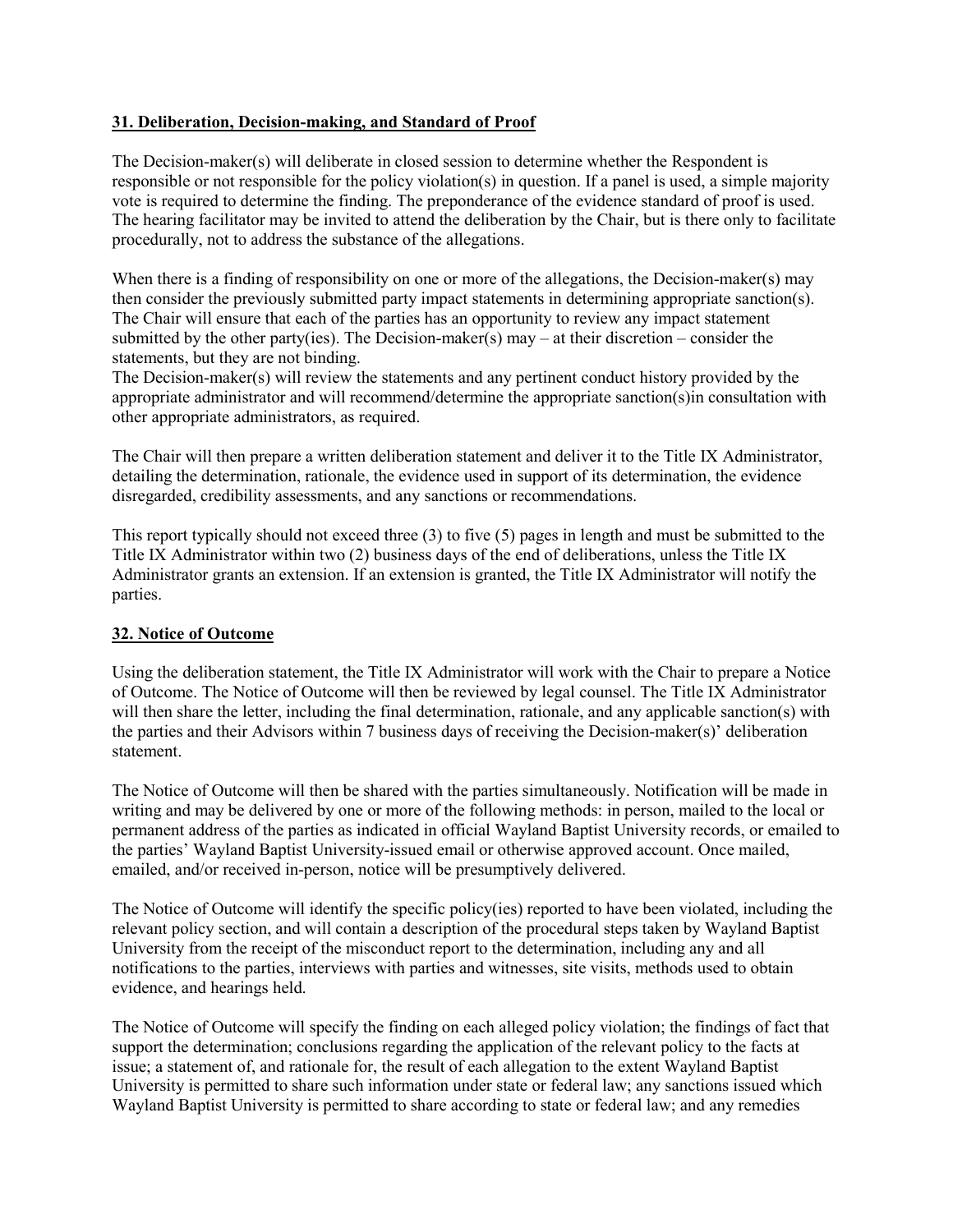#### **31. Deliberation, Decision-making, and Standard of Proof**

The Decision-maker(s) will deliberate in closed session to determine whether the Respondent is responsible or not responsible for the policy violation(s) in question. If a panel is used, a simple majority vote is required to determine the finding. The preponderance of the evidence standard of proof is used. The hearing facilitator may be invited to attend the deliberation by the Chair, but is there only to facilitate procedurally, not to address the substance of the allegations.

When there is a finding of responsibility on one or more of the allegations, the Decision-maker(s) may then consider the previously submitted party impact statements in determining appropriate sanction(s). The Chair will ensure that each of the parties has an opportunity to review any impact statement submitted by the other party(ies). The Decision-maker(s) may – at their discretion – consider the statements, but they are not binding.

The Decision-maker(s) will review the statements and any pertinent conduct history provided by the appropriate administrator and will recommend/determine the appropriate sanction(s)in consultation with other appropriate administrators, as required.

The Chair will then prepare a written deliberation statement and deliver it to the Title IX Administrator, detailing the determination, rationale, the evidence used in support of its determination, the evidence disregarded, credibility assessments, and any sanctions or recommendations.

This report typically should not exceed three (3) to five (5) pages in length and must be submitted to the Title IX Administrator within two (2) business days of the end of deliberations, unless the Title IX Administrator grants an extension. If an extension is granted, the Title IX Administrator will notify the parties.

### **32. Notice of Outcome**

Using the deliberation statement, the Title IX Administrator will work with the Chair to prepare a Notice of Outcome. The Notice of Outcome will then be reviewed by legal counsel. The Title IX Administrator will then share the letter, including the final determination, rationale, and any applicable sanction(s) with the parties and their Advisors within 7 business days of receiving the Decision-maker(s)' deliberation statement.

The Notice of Outcome will then be shared with the parties simultaneously. Notification will be made in writing and may be delivered by one or more of the following methods: in person, mailed to the local or permanent address of the parties as indicated in official Wayland Baptist University records, or emailed to the parties' Wayland Baptist University-issued email or otherwise approved account. Once mailed, emailed, and/or received in-person, notice will be presumptively delivered.

The Notice of Outcome will identify the specific policy(ies) reported to have been violated, including the relevant policy section, and will contain a description of the procedural steps taken by Wayland Baptist University from the receipt of the misconduct report to the determination, including any and all notifications to the parties, interviews with parties and witnesses, site visits, methods used to obtain evidence, and hearings held.

The Notice of Outcome will specify the finding on each alleged policy violation; the findings of fact that support the determination; conclusions regarding the application of the relevant policy to the facts at issue; a statement of, and rationale for, the result of each allegation to the extent Wayland Baptist University is permitted to share such information under state or federal law; any sanctions issued which Wayland Baptist University is permitted to share according to state or federal law; and any remedies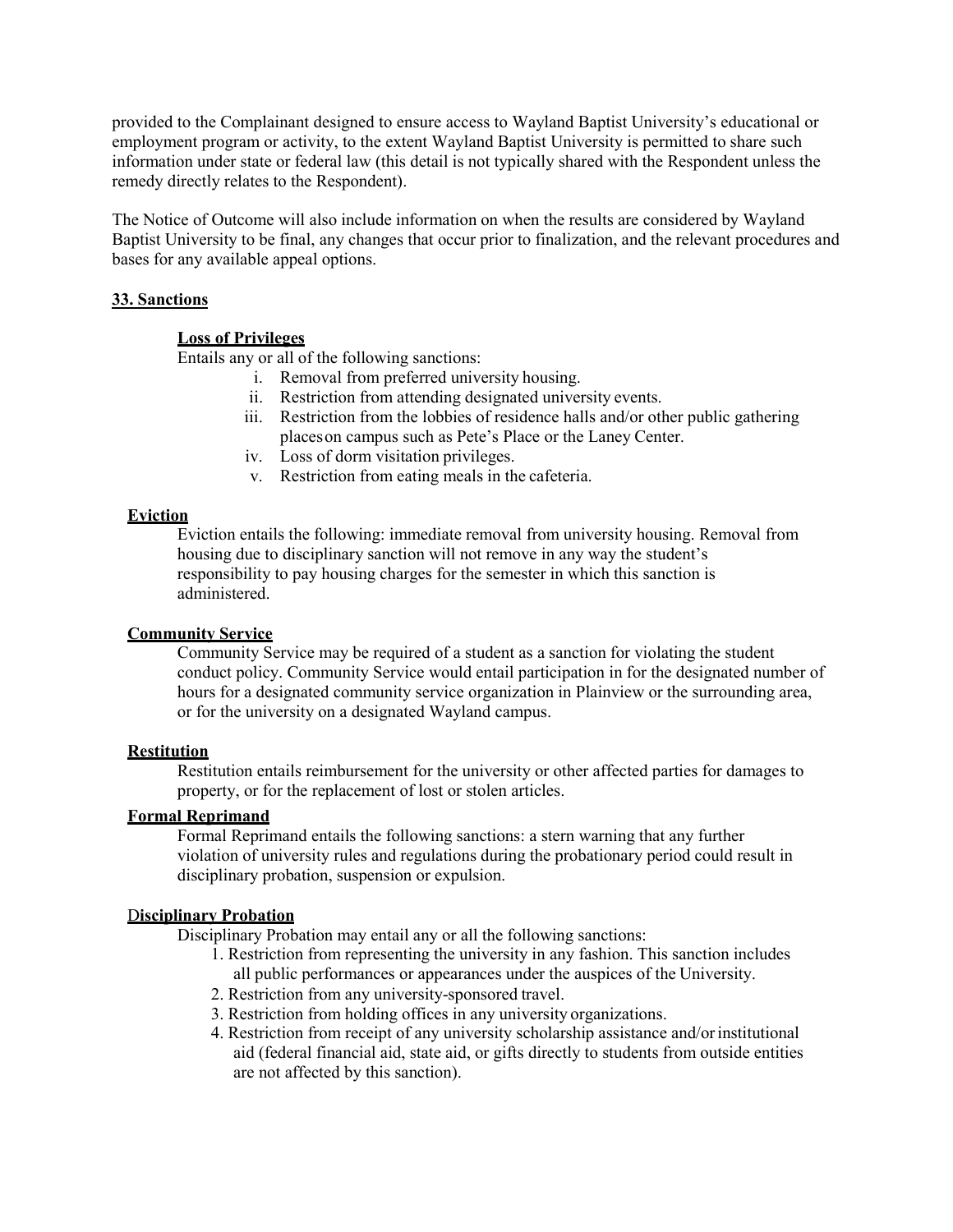provided to the Complainant designed to ensure access to Wayland Baptist University's educational or employment program or activity, to the extent Wayland Baptist University is permitted to share such information under state or federal law (this detail is not typically shared with the Respondent unless the remedy directly relates to the Respondent).

The Notice of Outcome will also include information on when the results are considered by Wayland Baptist University to be final, any changes that occur prior to finalization, and the relevant procedures and bases for any available appeal options.

### **33. Sanctions**

### **Loss of Privileges**

Entails any or all of the following sanctions:

- i. Removal from preferred university housing.
- ii. Restriction from attending designated university events.
- iii. Restriction from the lobbies of residence halls and/or other public gathering placeson campus such as Pete's Place or the Laney Center.
- iv. Loss of dorm visitation privileges.
- v. Restriction from eating meals in the cafeteria.

#### **Eviction**

Eviction entails the following: immediate removal from university housing. Removal from housing due to disciplinary sanction will not remove in any way the student's responsibility to pay housing charges for the semester in which this sanction is administered.

#### **Community Service**

Community Service may be required of a student as a sanction for violating the student conduct policy. Community Service would entail participation in for the designated number of hours for a designated community service organization in Plainview or the surrounding area, or for the university on a designated Wayland campus.

#### **Restitution**

Restitution entails reimbursement for the university or other affected parties for damages to property, or for the replacement of lost or stolen articles.

### **Formal Reprimand**

Formal Reprimand entails the following sanctions: a stern warning that any further violation of university rules and regulations during the probationary period could result in disciplinary probation, suspension or expulsion.

#### D**isciplinary Probation**

Disciplinary Probation may entail any or all the following sanctions:

- 1. Restriction from representing the university in any fashion. This sanction includes all public performances or appearances under the auspices of the University.
- 2. Restriction from any university-sponsored travel.
- 3. Restriction from holding offices in any university organizations.
- 4. Restriction from receipt of any university scholarship assistance and/orinstitutional aid (federal financial aid, state aid, or gifts directly to students from outside entities are not affected by this sanction).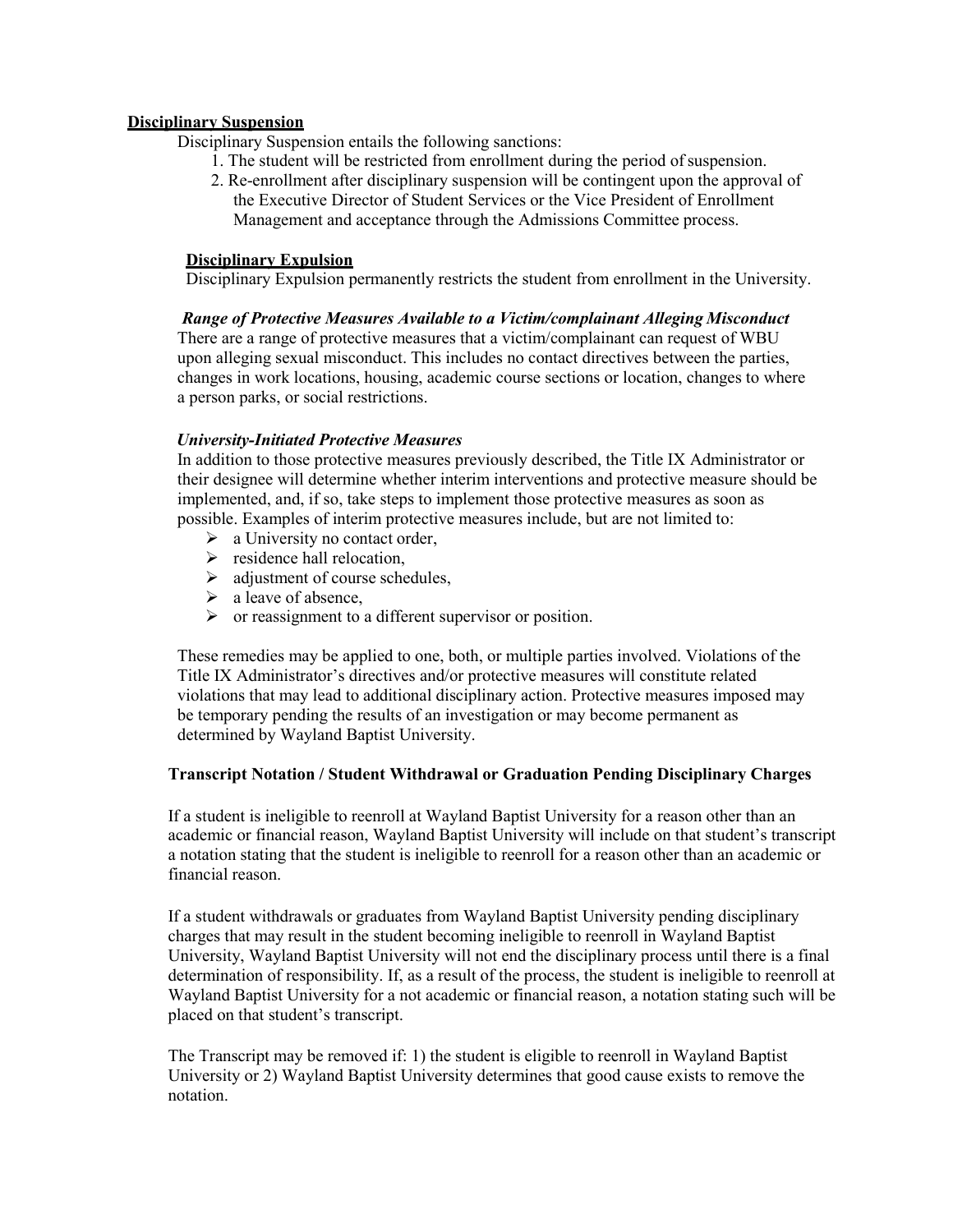#### **Disciplinary Suspension**

Disciplinary Suspension entails the following sanctions:

- 1. The student will be restricted from enrollment during the period of suspension.
- 2. Re-enrollment after disciplinary suspension will be contingent upon the approval of the Executive Director of Student Services or the Vice President of Enrollment Management and acceptance through the Admissions Committee process.

#### **Disciplinary Expulsion**

Disciplinary Expulsion permanently restricts the student from enrollment in the University.

### *Range of Protective Measures Available to a Victim/complainant Alleging Misconduct*

There are a range of protective measures that a victim/complainant can request of WBU upon alleging sexual misconduct. This includes no contact directives between the parties, changes in work locations, housing, academic course sections or location, changes to where a person parks, or social restrictions.

### *University-Initiated Protective Measures*

In addition to those protective measures previously described, the Title IX Administrator or their designee will determine whether interim interventions and protective measure should be implemented, and, if so, take steps to implement those protective measures as soon as possible. Examples of interim protective measures include, but are not limited to:

- $\triangleright$  a University no contact order,
- $\triangleright$  residence hall relocation,
- $\triangleright$  adjustment of course schedules,
- $\triangleright$  a leave of absence,
- $\triangleright$  or reassignment to a different supervisor or position.

These remedies may be applied to one, both, or multiple parties involved. Violations of the Title IX Administrator's directives and/or protective measures will constitute related violations that may lead to additional disciplinary action. Protective measures imposed may be temporary pending the results of an investigation or may become permanent as determined by Wayland Baptist University.

### **Transcript Notation / Student Withdrawal or Graduation Pending Disciplinary Charges**

If a student is ineligible to reenroll at Wayland Baptist University for a reason other than an academic or financial reason, Wayland Baptist University will include on that student's transcript a notation stating that the student is ineligible to reenroll for a reason other than an academic or financial reason.

If a student withdrawals or graduates from Wayland Baptist University pending disciplinary charges that may result in the student becoming ineligible to reenroll in Wayland Baptist University, Wayland Baptist University will not end the disciplinary process until there is a final determination of responsibility. If, as a result of the process, the student is ineligible to reenroll at Wayland Baptist University for a not academic or financial reason, a notation stating such will be placed on that student's transcript.

The Transcript may be removed if: 1) the student is eligible to reenroll in Wayland Baptist University or 2) Wayland Baptist University determines that good cause exists to remove the notation.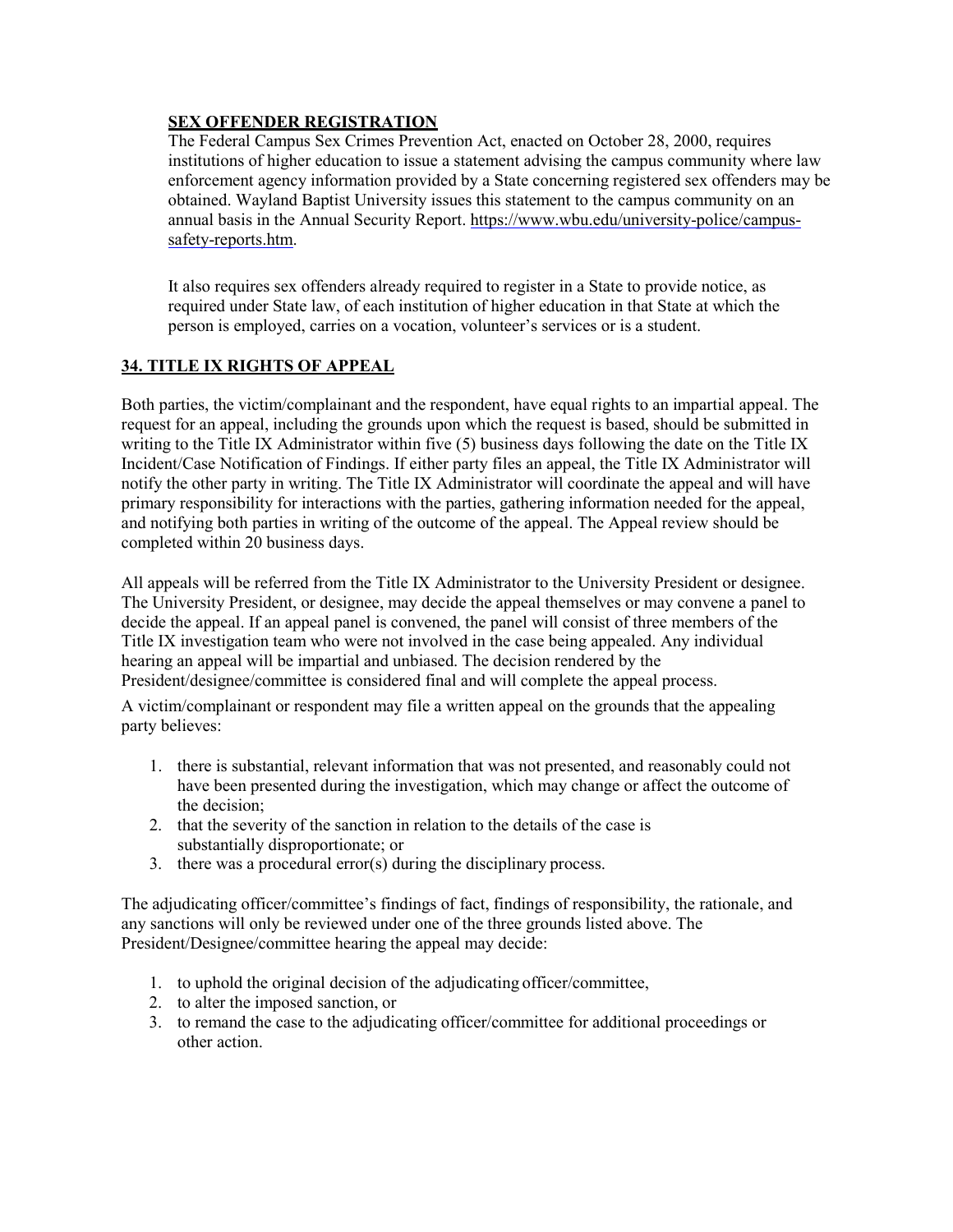### **SEX OFFENDER REGISTRATION**

The Federal Campus Sex Crimes Prevention Act, enacted on October 28, 2000, requires institutions of higher education to issue a statement advising the campus community where law enforcement agency information provided by a State concerning registered sex offenders may be obtained. Wayland Baptist University issues this statement to the campus community on an annual basis in the Annual Security Report. [https://www.wbu.edu/university-police/campus](https://www.wbu.edu/university-police/campus-safety-reports.htm)[safety-reports.htm.](https://www.wbu.edu/university-police/campus-safety-reports.htm)

It also requires sex offenders already required to register in a State to provide notice, as required under State law, of each institution of higher education in that State at which the person is employed, carries on a vocation, volunteer's services or is a student.

### **34. TITLE IX RIGHTS OF APPEAL**

Both parties, the victim/complainant and the respondent, have equal rights to an impartial appeal. The request for an appeal, including the grounds upon which the request is based, should be submitted in writing to the Title IX Administrator within five (5) business days following the date on the Title IX Incident/Case Notification of Findings. If either party files an appeal, the Title IX Administrator will notify the other party in writing. The Title IX Administrator will coordinate the appeal and will have primary responsibility for interactions with the parties, gathering information needed for the appeal, and notifying both parties in writing of the outcome of the appeal. The Appeal review should be completed within 20 business days.

All appeals will be referred from the Title IX Administrator to the University President or designee. The University President, or designee, may decide the appeal themselves or may convene a panel to decide the appeal. If an appeal panel is convened, the panel will consist of three members of the Title IX investigation team who were not involved in the case being appealed. Any individual hearing an appeal will be impartial and unbiased. The decision rendered by the President/designee/committee is considered final and will complete the appeal process.

A victim/complainant or respondent may file a written appeal on the grounds that the appealing party believes:

- 1. there is substantial, relevant information that was not presented, and reasonably could not have been presented during the investigation, which may change or affect the outcome of the decision;
- 2. that the severity of the sanction in relation to the details of the case is substantially disproportionate; or
- 3. there was a procedural error(s) during the disciplinary process.

The adjudicating officer/committee's findings of fact, findings of responsibility, the rationale, and any sanctions will only be reviewed under one of the three grounds listed above. The President/Designee/committee hearing the appeal may decide:

- 1. to uphold the original decision of the adjudicating officer/committee,
- 2. to alter the imposed sanction, or
- 3. to remand the case to the adjudicating officer/committee for additional proceedings or other action.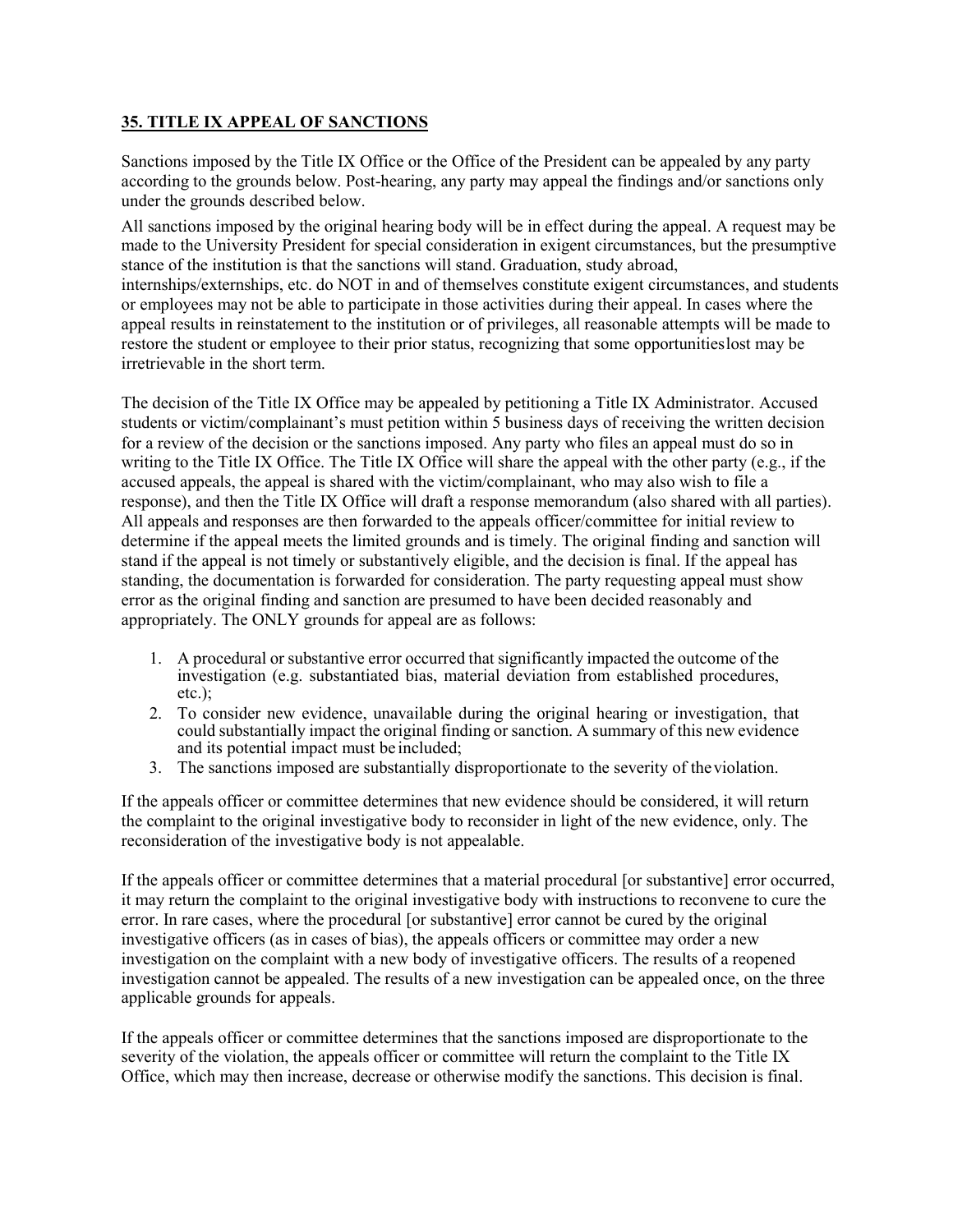### **35. TITLE IX APPEAL OF SANCTIONS**

Sanctions imposed by the Title IX Office or the Office of the President can be appealed by any party according to the grounds below. Post-hearing, any party may appeal the findings and/or sanctions only under the grounds described below.

All sanctions imposed by the original hearing body will be in effect during the appeal. A request may be made to the University President for special consideration in exigent circumstances, but the presumptive stance of the institution is that the sanctions will stand. Graduation, study abroad, internships/externships, etc. do NOT in and of themselves constitute exigent circumstances, and students or employees may not be able to participate in those activities during their appeal. In cases where the appeal results in reinstatement to the institution or of privileges, all reasonable attempts will be made to restore the student or employee to their prior status, recognizing that some opportunitieslost may be irretrievable in the short term.

The decision of the Title IX Office may be appealed by petitioning a Title IX Administrator. Accused students or victim/complainant's must petition within 5 business days of receiving the written decision for a review of the decision or the sanctions imposed. Any party who files an appeal must do so in writing to the Title IX Office. The Title IX Office will share the appeal with the other party (e.g., if the accused appeals, the appeal is shared with the victim/complainant, who may also wish to file a response), and then the Title IX Office will draft a response memorandum (also shared with all parties). All appeals and responses are then forwarded to the appeals officer/committee for initial review to determine if the appeal meets the limited grounds and is timely. The original finding and sanction will stand if the appeal is not timely or substantively eligible, and the decision is final. If the appeal has standing, the documentation is forwarded for consideration. The party requesting appeal must show error as the original finding and sanction are presumed to have been decided reasonably and appropriately. The ONLY grounds for appeal are as follows:

- 1. A procedural or substantive error occurred that significantly impacted the outcome of the investigation (e.g. substantiated bias, material deviation from established procedures, etc.);
- 2. To consider new evidence, unavailable during the original hearing or investigation, that could substantially impact the original finding or sanction. A summary of this new evidence and its potential impact must be included;
- 3. The sanctions imposed are substantially disproportionate to the severity of theviolation.

If the appeals officer or committee determines that new evidence should be considered, it will return the complaint to the original investigative body to reconsider in light of the new evidence, only. The reconsideration of the investigative body is not appealable.

If the appeals officer or committee determines that a material procedural [or substantive] error occurred, it may return the complaint to the original investigative body with instructions to reconvene to cure the error. In rare cases, where the procedural [or substantive] error cannot be cured by the original investigative officers (as in cases of bias), the appeals officers or committee may order a new investigation on the complaint with a new body of investigative officers. The results of a reopened investigation cannot be appealed. The results of a new investigation can be appealed once, on the three applicable grounds for appeals.

If the appeals officer or committee determines that the sanctions imposed are disproportionate to the severity of the violation, the appeals officer or committee will return the complaint to the Title IX Office, which may then increase, decrease or otherwise modify the sanctions. This decision is final.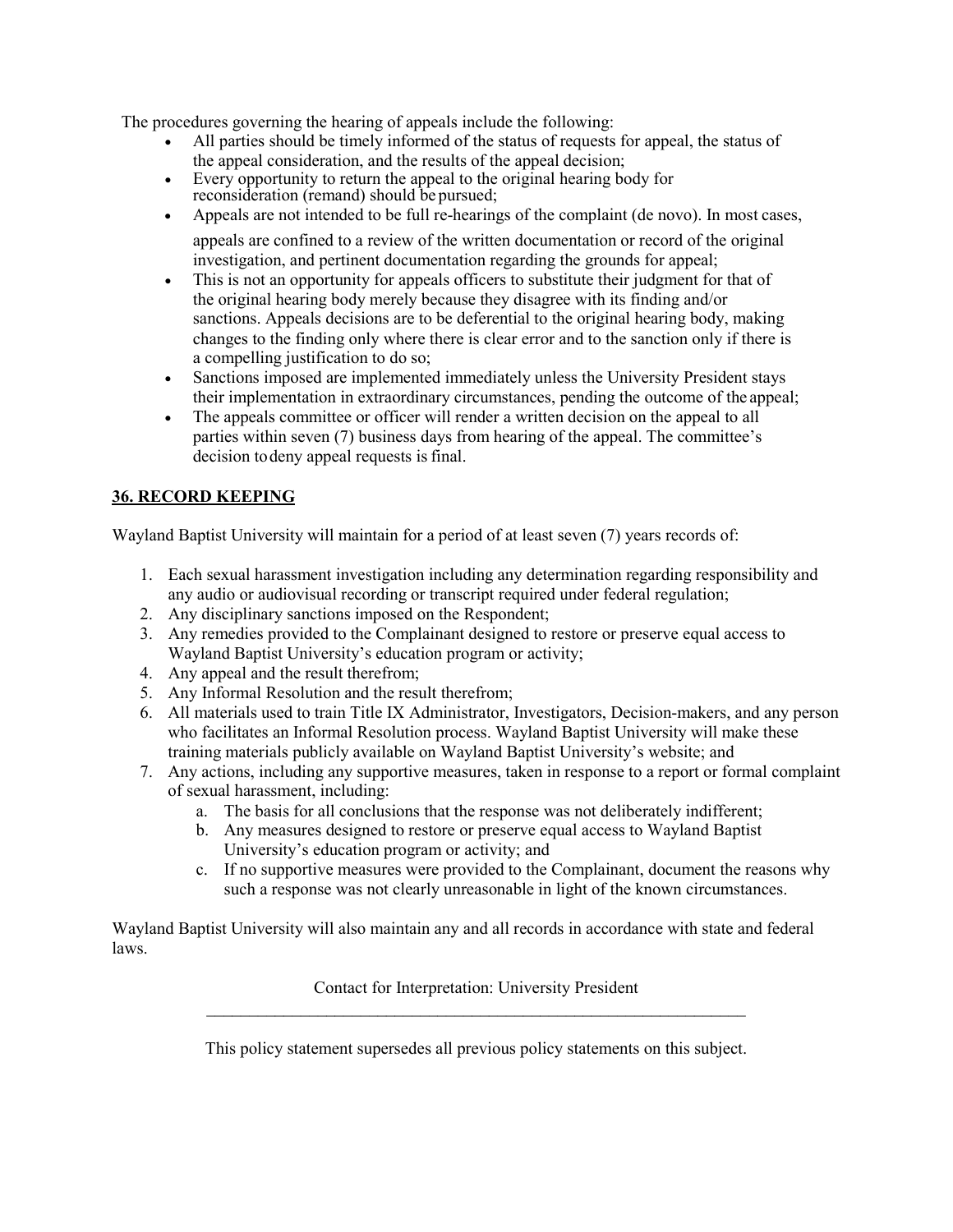The procedures governing the hearing of appeals include the following:

- All parties should be timely informed of the status of requests for appeal, the status of the appeal consideration, and the results of the appeal decision;
- Every opportunity to return the appeal to the original hearing body for reconsideration (remand) should be pursued;
- Appeals are not intended to be full re-hearings of the complaint (de novo). In most cases, appeals are confined to a review of the written documentation or record of the original investigation, and pertinent documentation regarding the grounds for appeal;
- This is not an opportunity for appeals officers to substitute their judgment for that of the original hearing body merely because they disagree with its finding and/or sanctions. Appeals decisions are to be deferential to the original hearing body, making changes to the finding only where there is clear error and to the sanction only if there is a compelling justification to do so;
- Sanctions imposed are implemented immediately unless the University President stays their implementation in extraordinary circumstances, pending the outcome of the appeal;
- The appeals committee or officer will render a written decision on the appeal to all parties within seven (7) business days from hearing of the appeal. The committee's decision to deny appeal requests is final.

## **36. RECORD KEEPING**

Wayland Baptist University will maintain for a period of at least seven (7) years records of:

- 1. Each sexual harassment investigation including any determination regarding responsibility and any audio or audiovisual recording or transcript required under federal regulation;
- 2. Any disciplinary sanctions imposed on the Respondent;
- 3. Any remedies provided to the Complainant designed to restore or preserve equal access to Wayland Baptist University's education program or activity;
- 4. Any appeal and the result therefrom;
- 5. Any Informal Resolution and the result therefrom;
- 6. All materials used to train Title IX Administrator, Investigators, Decision-makers, and any person who facilitates an Informal Resolution process. Wayland Baptist University will make these training materials publicly available on Wayland Baptist University's website; and
- 7. Any actions, including any supportive measures, taken in response to a report or formal complaint of sexual harassment, including:
	- a. The basis for all conclusions that the response was not deliberately indifferent;
	- b. Any measures designed to restore or preserve equal access to Wayland Baptist University's education program or activity; and
	- c. If no supportive measures were provided to the Complainant, document the reasons why such a response was not clearly unreasonable in light of the known circumstances.

Wayland Baptist University will also maintain any and all records in accordance with state and federal laws.

> Contact for Interpretation: University President  $\_$  , and the contribution of the contribution of  $\mathcal{L}_\mathcal{A}$  , and the contribution of  $\mathcal{L}_\mathcal{A}$

> This policy statement supersedes all previous policy statements on this subject.